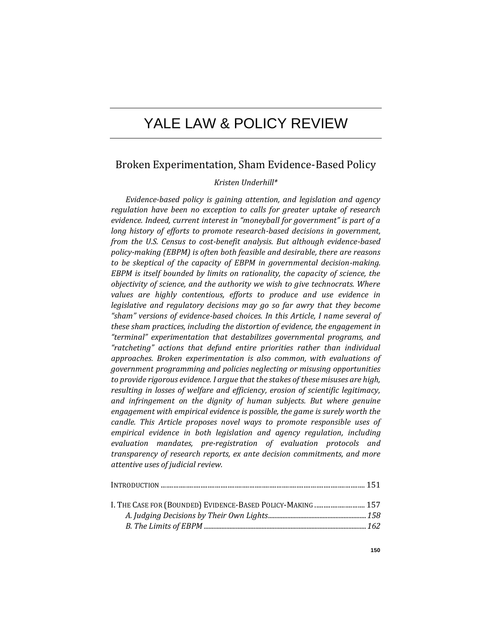# YALE LAW & POLICY REVIEW

# Broken Experimentation, Sham Evidence-Based Policy

# *Kristen Underhill\**

*Evidence-based policy is gaining attention, and legislation and agency regulation have been no exception to calls for greater uptake of research evidence. Indeed, current interest in "moneyball for government" is part of a long history of efforts to promote research-based decisions in government, from the U.S. Census to cost-benefit analysis. But although evidence-based policy-making (EBPM) is often both feasible and desirable, there are reasons to be skeptical of the capacity of EBPM in governmental decision-making. EBPM is itself bounded by limits on rationality, the capacity of science, the objectivity of science, and the authority we wish to give technocrats. Where values are highly contentious, efforts to produce and use evidence in legislative and regulatory decisions may go so far awry that they become "sham" versions of evidence-based choices. In this Article, I name several of these sham practices, including the distortion of evidence, the engagement in "terminal" experimentation that destabilizes governmental programs, and "ratcheting" actions that defund entire priorities rather than individual approaches. Broken experimentation is also common, with evaluations of government programming and policies neglecting or misusing opportunities to provide rigorous evidence. I argue that the stakes of these misuses are high, resulting in losses of welfare and efficiency, erosion of scientific legitimacy, and infringement on the dignity of human subjects. But where genuine engagement with empirical evidence is possible, the game is surely worth the candle. This Article proposes novel ways to promote responsible uses of empirical evidence in both legislation and agency regulation, including evaluation mandates, pre-registration of evaluation protocols and transparency of research reports, ex ante decision commitments, and more attentive uses of judicial review.*

| I. THE CASE FOR (BOUNDED) EVIDENCE-BASED POLICY-MAKING  157 |  |
|-------------------------------------------------------------|--|
|                                                             |  |
|                                                             |  |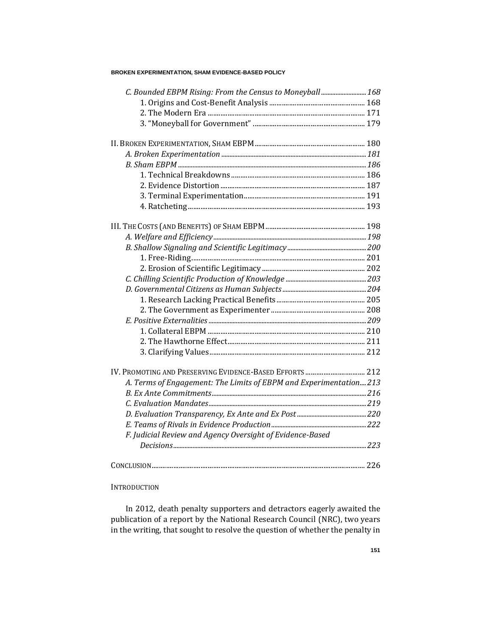| C. Bounded EBPM Rising: From the Census to Moneyball  168          |  |
|--------------------------------------------------------------------|--|
|                                                                    |  |
|                                                                    |  |
|                                                                    |  |
|                                                                    |  |
|                                                                    |  |
|                                                                    |  |
|                                                                    |  |
|                                                                    |  |
|                                                                    |  |
|                                                                    |  |
|                                                                    |  |
|                                                                    |  |
|                                                                    |  |
|                                                                    |  |
|                                                                    |  |
|                                                                    |  |
|                                                                    |  |
|                                                                    |  |
|                                                                    |  |
|                                                                    |  |
|                                                                    |  |
|                                                                    |  |
|                                                                    |  |
| IV. PROMOTING AND PRESERVING EVIDENCE-BASED EFFORTS  212           |  |
| A. Terms of Engagement: The Limits of EBPM and Experimentation 213 |  |
|                                                                    |  |
|                                                                    |  |
|                                                                    |  |
|                                                                    |  |
| F. Judicial Review and Agency Oversight of Evidence-Based          |  |
|                                                                    |  |
|                                                                    |  |

# **INTRODUCTION**

In 2012, death penalty supporters and detractors eagerly awaited the publication of a report by the National Research Council (NRC), two years in the writing, that sought to resolve the question of whether the penalty in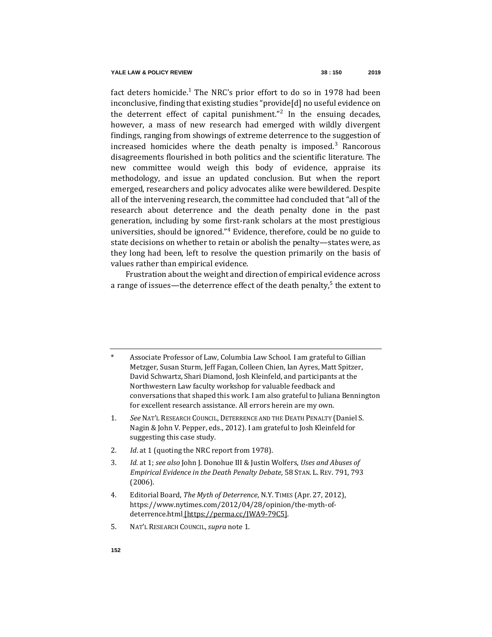<span id="page-2-0"></span>fact deters homicide.<sup>1</sup> The NRC's prior effort to do so in 1978 had been inconclusive, finding that existing studies "provide[d] no useful evidence on the deterrent effect of capital punishment."<sup>2</sup> In the ensuing decades, however, a mass of new research had emerged with wildly divergent findings, ranging from showings of extreme deterrence to the suggestion of increased homicides where the death penalty is imposed.<sup>3</sup> Rancorous disagreements flourished in both politics and the scientific literature. The new committee would weigh this body of evidence, appraise its methodology, and issue an updated conclusion. But when the report emerged, researchers and policy advocates alike were bewildered. Despite all of the intervening research, the committee had concluded that "all of the research about deterrence and the death penalty done in the past generation, including by some first-rank scholars at the most prestigious universities, should be ignored."<sup>4</sup> Evidence, therefore, could be no guide to state decisions on whether to retain or abolish the penalty—states were, as they long had been, left to resolve the question primarily on the basis of values rather than empirical evidence.

Frustration about the weight and direction of empirical evidence across a range of issues—the deterrence effect of the death penalty,<sup>5</sup> the extent to

Associate Professor of Law, Columbia Law School. I am grateful to Gillian Metzger, Susan Sturm, Jeff Fagan, Colleen Chien, Ian Ayres, Matt Spitzer, David Schwartz, Shari Diamond, Josh Kleinfeld, and participants at the Northwestern Law faculty workshop for valuable feedback and conversations that shaped this work. I am also grateful to Juliana Bennington for excellent research assistance. All errors herein are my own.

- 1*. See* NAT'L RESEARCH COUNCIL, DETERRENCE AND THE DEATH PENALTY (Daniel S. Nagin & John V. Pepper, eds., 2012). I am grateful to Josh Kleinfeld for suggesting this case study.
- 2*. Id*. at 1 (quoting the NRC report from 1978).
- 3*. Id.* at 1; *see also* John J. Donohue III & Justin Wolfers, *Uses and Abuses of Empirical Evidence in the Death Penalty Debate*, 58 STAN. L. REV. 791, 793 (2006).
- 4. Editorial Board, *The Myth of Deterrence*, N.Y. TIMES (Apr. 27, 2012), https://www.nytimes.com/2012/04/28/opinion/the-myth-ofdeterrence.html [https://perma.cc/JWA9-79C5].
- 5. NAT'L RESEARCH COUNCIL, *supra* not[e 1.](#page-2-0)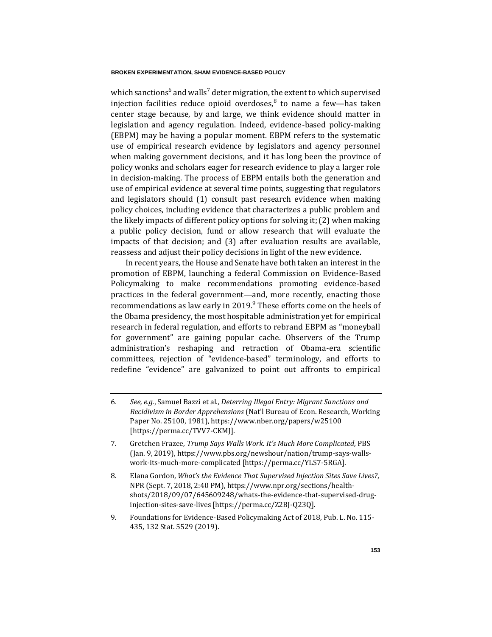which sanctions<sup>6</sup> and walls<sup>7</sup> deter migration, the extent to which supervised injection facilities reduce opioid overdoses, $8$  to name a few—has taken center stage because, by and large, we think evidence should matter in legislation and agency regulation. Indeed, evidence-based policy-making (EBPM) may be having a popular moment. EBPM refers to the systematic use of empirical research evidence by legislators and agency personnel when making government decisions, and it has long been the province of policy wonks and scholars eager for research evidence to play a larger role in decision-making. The process of EBPM entails both the generation and use of empirical evidence at several time points, suggesting that regulators and legislators should (1) consult past research evidence when making policy choices, including evidence that characterizes a public problem and the likely impacts of different policy options for solving it; (2) when making a public policy decision, fund or allow research that will evaluate the impacts of that decision; and (3) after evaluation results are available, reassess and adjust their policy decisions in light of the new evidence.

In recent years, the House and Senate have both taken an interest in the promotion of EBPM, launching a federal Commission on Evidence-Based Policymaking to make recommendations promoting evidence-based practices in the federal government—and, more recently, enacting those recommendations as law early in 2019.<sup>9</sup> These efforts come on the heels of the Obama presidency, the most hospitable administration yet for empirical research in federal regulation, and efforts to rebrand EBPM as "moneyball for government" are gaining popular cache. Observers of the Trump administration's reshaping and retraction of Obama-era scientific committees, rejection of "evidence-based" terminology, and efforts to redefine "evidence" are galvanized to point out affronts to empirical

- 7. Gretchen Frazee, *Trump Says Walls Work. It's Much More Complicated*, PBS (Jan. 9, 2019), https://www.pbs.org/newshour/nation/trump-says-wallswork-its-much-more-complicated [https://perma.cc/YLS7-5RGA].
- 8. Elana Gordon, *What's the Evidence That Supervised Injection Sites Save Lives?*, NPR (Sept. 7, 2018, 2:40 PM), https://www.npr.org/sections/healthshots/2018/09/07/645609248/whats-the-evidence-that-supervised-druginjection-sites-save-lives [https://perma.cc/Z2BJ-Q23Q].
- 9. Foundations for Evidence-Based Policymaking Act of 2018, Pub. L. No. 115- 435, 132 Stat. 5529 (2019).

<sup>6</sup>*. See, e.g.*, Samuel Bazzi et al., *Deterring Illegal Entry: Migrant Sanctions and Recidivism in Border Apprehensions* (Nat'l Bureau of Econ. Research, Working Paper No. 25100, 1981), https://www.nber.org/papers/w25100 [https://perma.cc/TVV7-CKMJ].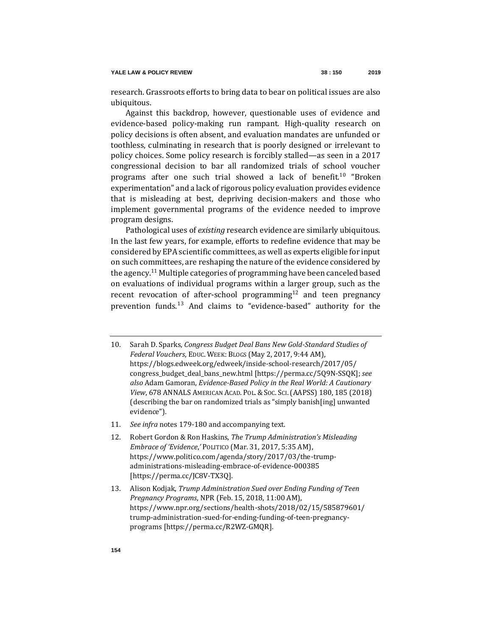research. Grassroots efforts to bring data to bear on political issues are also ubiquitous.

Against this backdrop, however, questionable uses of evidence and evidence-based policy-making run rampant. High-quality research on policy decisions is often absent, and evaluation mandates are unfunded or toothless, culminating in research that is poorly designed or irrelevant to policy choices. Some policy research is forcibly stalled—as seen in a 2017 congressional decision to bar all randomized trials of school voucher programs after one such trial showed a lack of benefit.<sup>10</sup> "Broken experimentation" and a lack of rigorous policy evaluation provides evidence that is misleading at best, depriving decision-makers and those who implement governmental programs of the evidence needed to improve program designs.

<span id="page-4-0"></span>Pathological uses of *existing* research evidence are similarly ubiquitous. In the last few years, for example, efforts to redefine evidence that may be considered by EPA scientific committees, as well as experts eligible for input on such committees, are reshaping the nature of the evidence considered by the agency.<sup>11</sup> Multiple categories of programming have been canceled based on evaluations of individual programs within a larger group, such as the recent revocation of after-school programming<sup>12</sup> and teen pregnancy prevention funds.<sup>13</sup> And claims to "evidence-based" authority for the

- 11*. See infra* notes [179-](#page-39-0)[180](#page-39-1) and accompanying text.
- 12. Robert Gordon & Ron Haskins, *The Trump Administration's Misleading Embrace of 'Evidence*,*'* POLITICO (Mar. 31, 2017, 5:35 AM), https://www.politico.com/agenda/story/2017/03/the-trumpadministrations-misleading-embrace-of-evidence-000385 [https://perma.cc/JC8V-TX3Q].
- 13. Alison Kodjak, *Trump Administration Sued over Ending Funding of Teen Pregnancy Programs*, NPR (Feb. 15, 2018, 11:00 AM), https://www.npr.org/sections/health-shots/2018/02/15/585879601/ trump-administration-sued-for-ending-funding-of-teen-pregnancyprograms [https://perma.cc/R2WZ-GMQR].

<sup>10.</sup> Sarah D. Sparks, *Congress Budget Deal Bans New Gold-Standard Studies of Federal Vouchers*, EDUC. WEEK: BLOGS (May 2, 2017, 9:44 AM), https://blogs.edweek.org/edweek/inside-school-research/2017/05/ congress\_budget\_deal\_bans\_new.html [https://perma.cc/5Q9N-SSQK]; *see also* Adam Gamoran, *Evidence-Based Policy in the Real World: A Cautionary View*, 678 ANNALS AMERICAN ACAD. POL. & SOC. SCI.(AAPSS) 180, 185 (2018) (describing the bar on randomized trials as "simply banish[ing] unwanted evidence").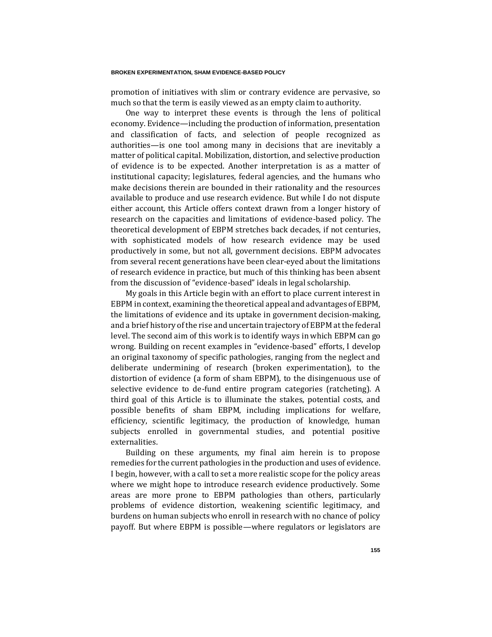promotion of initiatives with slim or contrary evidence are pervasive, so much so that the term is easily viewed as an empty claim to authority.

One way to interpret these events is through the lens of political economy. Evidence—including the production of information, presentation and classification of facts, and selection of people recognized as authorities—is one tool among many in decisions that are inevitably a matter of political capital. Mobilization, distortion, and selective production of evidence is to be expected. Another interpretation is as a matter of institutional capacity; legislatures, federal agencies, and the humans who make decisions therein are bounded in their rationality and the resources available to produce and use research evidence. But while I do not dispute either account, this Article offers context drawn from a longer history of research on the capacities and limitations of evidence-based policy. The theoretical development of EBPM stretches back decades, if not centuries, with sophisticated models of how research evidence may be used productively in some, but not all, government decisions. EBPM advocates from several recent generations have been clear-eyed about the limitations of research evidence in practice, but much of this thinking has been absent from the discussion of "evidence-based" ideals in legal scholarship.

My goals in this Article begin with an effort to place current interest in EBPM in context, examining the theoretical appeal and advantages of EBPM, the limitations of evidence and its uptake in government decision-making, and a brief history of the rise and uncertain trajectory of EBPM at the federal level. The second aim of this work is to identify ways in which EBPM can go wrong. Building on recent examples in "evidence-based" efforts, I develop an original taxonomy of specific pathologies, ranging from the neglect and deliberate undermining of research (broken experimentation), to the distortion of evidence (a form of sham EBPM), to the disingenuous use of selective evidence to de-fund entire program categories (ratcheting). A third goal of this Article is to illuminate the stakes, potential costs, and possible benefits of sham EBPM, including implications for welfare, efficiency, scientific legitimacy, the production of knowledge, human subjects enrolled in governmental studies, and potential positive externalities.

Building on these arguments, my final aim herein is to propose remedies for the current pathologies in the production and uses of evidence. I begin, however, with a call to set a more realistic scope for the policy areas where we might hope to introduce research evidence productively. Some areas are more prone to EBPM pathologies than others, particularly problems of evidence distortion, weakening scientific legitimacy, and burdens on human subjects who enroll in research with no chance of policy payoff. But where EBPM is possible—where regulators or legislators are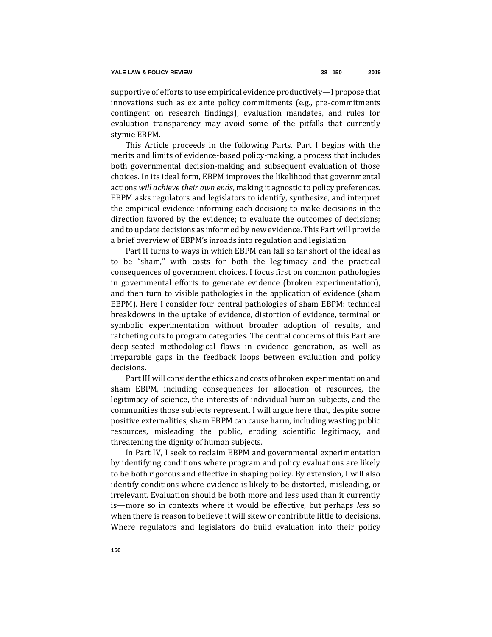supportive of efforts to use empirical evidence productively—I propose that innovations such as ex ante policy commitments (e.g., pre-commitments contingent on research findings), evaluation mandates, and rules for evaluation transparency may avoid some of the pitfalls that currently stymie EBPM.

This Article proceeds in the following Parts. Part I begins with the merits and limits of evidence-based policy-making, a process that includes both governmental decision-making and subsequent evaluation of those choices. In its ideal form, EBPM improves the likelihood that governmental actions *will achieve their own ends*, making it agnostic to policy preferences. EBPM asks regulators and legislators to identify, synthesize, and interpret the empirical evidence informing each decision; to make decisions in the direction favored by the evidence; to evaluate the outcomes of decisions; and to update decisions as informed by new evidence. This Part will provide a brief overview of EBPM's inroads into regulation and legislation.

Part II turns to ways in which EBPM can fall so far short of the ideal as to be "sham," with costs for both the legitimacy and the practical consequences of government choices. I focus first on common pathologies in governmental efforts to generate evidence (broken experimentation), and then turn to visible pathologies in the application of evidence (sham EBPM). Here I consider four central pathologies of sham EBPM: technical breakdowns in the uptake of evidence, distortion of evidence, terminal or symbolic experimentation without broader adoption of results, and ratcheting cuts to program categories. The central concerns of this Part are deep-seated methodological flaws in evidence generation, as well as irreparable gaps in the feedback loops between evaluation and policy decisions.

Part III will consider the ethics and costs of broken experimentation and sham EBPM, including consequences for allocation of resources, the legitimacy of science, the interests of individual human subjects, and the communities those subjects represent. I will argue here that, despite some positive externalities, sham EBPM can cause harm, including wasting public resources, misleading the public, eroding scientific legitimacy, and threatening the dignity of human subjects.

In Part IV, I seek to reclaim EBPM and governmental experimentation by identifying conditions where program and policy evaluations are likely to be both rigorous and effective in shaping policy. By extension, I will also identify conditions where evidence is likely to be distorted, misleading, or irrelevant. Evaluation should be both more and less used than it currently is—more so in contexts where it would be effective, but perhaps *less* so when there is reason to believe it will skew or contribute little to decisions. Where regulators and legislators do build evaluation into their policy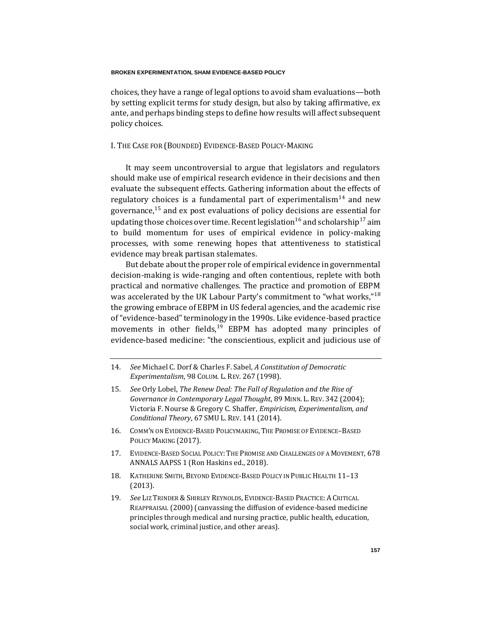choices, they have a range of legal options to avoid sham evaluations—both by setting explicit terms for study design, but also by taking affirmative, ex ante, and perhaps binding steps to define how results will affect subsequent policy choices.

# I. THE CASE FOR (BOUNDED) EVIDENCE-BASED POLICY-MAKING

It may seem uncontroversial to argue that legislators and regulators should make use of empirical research evidence in their decisions and then evaluate the subsequent effects. Gathering information about the effects of regulatory choices is a fundamental part of experimentalism<sup>14</sup> and new governance, $15$  and ex post evaluations of policy decisions are essential for updating those choices over time. Recent legislation<sup>16</sup> and scholarship<sup>17</sup> aim to build momentum for uses of empirical evidence in policy-making processes, with some renewing hopes that attentiveness to statistical evidence may break partisan stalemates.

<span id="page-7-1"></span><span id="page-7-0"></span>But debate about the proper role of empirical evidence in governmental decision-making is wide-ranging and often contentious, replete with both practical and normative challenges. The practice and promotion of EBPM was accelerated by the UK Labour Party's commitment to "what works,"<sup>18</sup> the growing embrace of EBPM in US federal agencies, and the academic rise of "evidence-based" terminology in the 1990s. Like evidence-based practice movements in other fields, $19$  EBPM has adopted many principles of evidence-based medicine: "the conscientious, explicit and judicious use of

- 15*. See* Orly Lobel, *The Renew Deal: The Fall of Regulation and the Rise of Governance in Contemporary Legal Thought*, 89 MINN. L. REV. 342 (2004); Victoria F. Nourse & Gregory C. Shaffer, *Empiricism, Experimentalism, and Conditional Theory*, 67 SMU L. REV. 141 (2014).
- 16. COMM'N ON EVIDENCE-BASED POLICYMAKING, THE PROMISE OF EVIDENCE–BASED POLICY MAKING (2017).
- 17. EVIDENCE-BASED SOCIAL POLICY: THE PROMISE AND CHALLENGES OF A MOVEMENT, 678 ANNALS AAPSS 1 (Ron Haskins ed., 2018).
- 18. KATHERINE SMITH, BEYOND EVIDENCE-BASED POLICY IN PUBLIC HEALTH 11–13 (2013).
- 19*. See* LIZ TRINDER &SHIRLEY REYNOLDS, EVIDENCE-BASED PRACTICE: A CRITICAL REAPPRAISAL (2000) (canvassing the diffusion of evidence-based medicine principles through medical and nursing practice, public health, education, social work, criminal justice, and other areas).

<sup>14</sup>*. See* Michael C. Dorf & Charles F. Sabel, *A Constitution of Democratic Experimentalism*, 98 COLUM. L. REV. 267 (1998).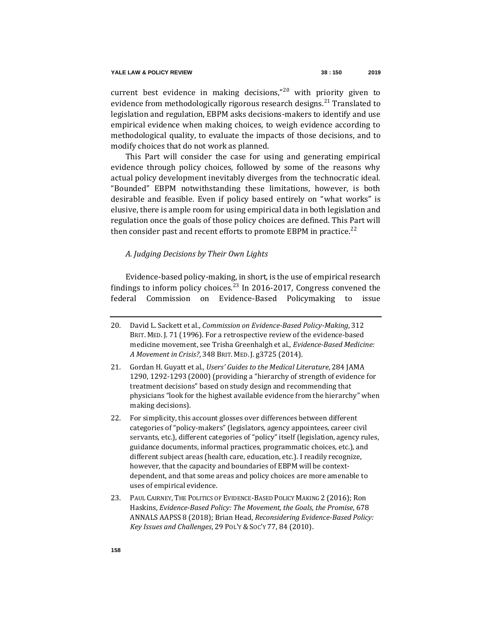current best evidence in making decisions," $20$  with priority given to evidence from methodologically rigorous research designs.<sup>21</sup> Translated to legislation and regulation, EBPM asks decisions-makers to identify and use empirical evidence when making choices, to weigh evidence according to methodological quality, to evaluate the impacts of those decisions, and to modify choices that do not work as planned.

This Part will consider the case for using and generating empirical evidence through policy choices, followed by some of the reasons why actual policy development inevitably diverges from the technocratic ideal. "Bounded" EBPM notwithstanding these limitations, however, is both desirable and feasible. Even if policy based entirely on "what works" is elusive, there is ample room for using empirical data in both legislation and regulation once the goals of those policy choices are defined. This Part will then consider past and recent efforts to promote EBPM in practice.<sup>22</sup>

# <span id="page-8-0"></span>*A. Judging Decisions by Their Own Lights*

Evidence-based policy-making, in short, is the use of empirical research findings to inform policy choices.<sup>23</sup> In 2016-2017, Congress convened the federal Commission on Evidence-Based Policymaking to issue

23. PAUL CAIRNEY, THE POLITICS OF EVIDENCE-BASED POLICY MAKING 2 (2016); Ron Haskins, *Evidence-Based Policy: The Movement, the Goals, the Promise*, 678 ANNALS AAPSS 8 (2018); Brian Head, *Reconsidering Evidence-Based Policy: Key Issues and Challenges*, 29 POL'Y & SOC'Y 77, 84 (2010).

<sup>20.</sup> David L. Sackett et al., *Commission on Evidence-Based Policy-Making*, 312 BRIT. MED. J. 71 (1996). For a retrospective review of the evidence-based medicine movement, see Trisha Greenhalgh et al., *Evidence-Based Medicine: A Movement in Crisis?*, 348 BRIT. MED. J. g3725 (2014).

<sup>21.</sup> Gordan H. Guyatt et al., *Users' Guides to the Medical Literature*, 284 JAMA 1290, 1292-1293 (2000) (providing a "hierarchy of strength of evidence for treatment decisions" based on study design and recommending that physicians "look for the highest available evidence from the hierarchy" when making decisions).

<sup>22.</sup> For simplicity, this account glosses over differences between different categories of "policy-makers" (legislators, agency appointees, career civil servants, etc.), different categories of "policy" itself (legislation, agency rules, guidance documents, informal practices, programmatic choices, etc.), and different subject areas (health care, education, etc.). I readily recognize, however, that the capacity and boundaries of EBPM will be contextdependent, and that some areas and policy choices are more amenable to uses of empirical evidence.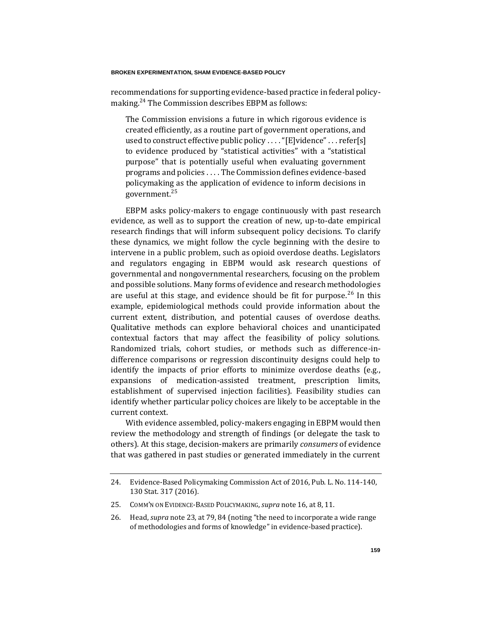recommendations for supporting evidence-based practice in federal policymaking.<sup>24</sup> The Commission describes EBPM as follows:

The Commission envisions a future in which rigorous evidence is created efficiently, as a routine part of government operations, and used to construct effective public policy .... "[E]vidence" ... refer[s] to evidence produced by "statistical activities" with a "statistical purpose" that is potentially useful when evaluating government programs and policies . . . . The Commission defines evidence-based policymaking as the application of evidence to inform decisions in government.<sup>25</sup>

EBPM asks policy-makers to engage continuously with past research evidence, as well as to support the creation of new, up-to-date empirical research findings that will inform subsequent policy decisions. To clarify these dynamics, we might follow the cycle beginning with the desire to intervene in a public problem, such as opioid overdose deaths. Legislators and regulators engaging in EBPM would ask research questions of governmental and nongovernmental researchers, focusing on the problem and possible solutions. Many forms of evidence and research methodologies are useful at this stage, and evidence should be fit for purpose. $26$  In this example, epidemiological methods could provide information about the current extent, distribution, and potential causes of overdose deaths. Qualitative methods can explore behavioral choices and unanticipated contextual factors that may affect the feasibility of policy solutions. Randomized trials, cohort studies, or methods such as difference-indifference comparisons or regression discontinuity designs could help to identify the impacts of prior efforts to minimize overdose deaths (e.g., expansions of medication-assisted treatment, prescription limits, establishment of supervised injection facilities). Feasibility studies can identify whether particular policy choices are likely to be acceptable in the current context.

With evidence assembled, policy-makers engaging in EBPM would then review the methodology and strength of findings (or delegate the task to others). At this stage, decision-makers are primarily *consumers* of evidence that was gathered in past studies or generated immediately in the current

<sup>24.</sup> Evidence-Based Policymaking Commission Act of 2016, Pub. L. No. 114-140, 130 Stat. 317 (2016).

<sup>25.</sup> COMM'N ON EVIDENCE-BASED POLICYMAKING, *supra* not[e 16,](#page-7-0) at 8, 11.

<sup>26.</sup> Head, *supra* not[e 23,](#page-8-0) at 79, 84 (noting "the need to incorporate a wide range of methodologies and forms of knowledge" in evidence-based practice).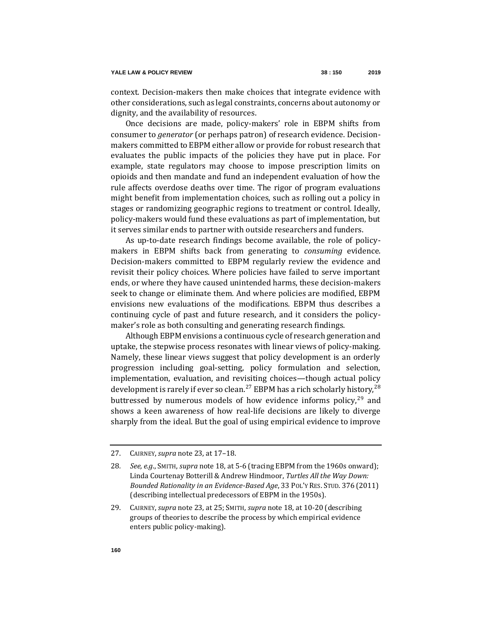context. Decision-makers then make choices that integrate evidence with other considerations, such as legal constraints, concerns about autonomy or dignity, and the availability of resources.

Once decisions are made, policy-makers' role in EBPM shifts from consumer to *generator* (or perhaps patron) of research evidence. Decisionmakers committed to EBPM either allow or provide for robust research that evaluates the public impacts of the policies they have put in place. For example, state regulators may choose to impose prescription limits on opioids and then mandate and fund an independent evaluation of how the rule affects overdose deaths over time. The rigor of program evaluations might benefit from implementation choices, such as rolling out a policy in stages or randomizing geographic regions to treatment or control. Ideally, policy-makers would fund these evaluations as part of implementation, but it serves similar ends to partner with outside researchers and funders.

As up-to-date research findings become available, the role of policymakers in EBPM shifts back from generating to *consuming* evidence. Decision-makers committed to EBPM regularly review the evidence and revisit their policy choices. Where policies have failed to serve important ends, or where they have caused unintended harms, these decision-makers seek to change or eliminate them. And where policies are modified, EBPM envisions new evaluations of the modifications. EBPM thus describes a continuing cycle of past and future research, and it considers the policymaker's role as both consulting and generating research findings.

<span id="page-10-0"></span>Although EBPM envisions a continuous cycle of research generation and uptake, the stepwise process resonates with linear views of policy-making. Namely, these linear views suggest that policy development is an orderly progression including goal-setting, policy formulation and selection, implementation, evaluation, and revisiting choices—though actual policy development is rarely if ever so clean.<sup>27</sup> EBPM has a rich scholarly history,<sup>28</sup> buttressed by numerous models of how evidence informs policy, $29$  and shows a keen awareness of how real-life decisions are likely to diverge sharply from the ideal. But the goal of using empirical evidence to improve

<sup>27.</sup> CAIRNEY, *supra* note [23,](#page-8-0) at 17–18.

<sup>28</sup>*. See, e.g*., SMITH, *supra* not[e 18,](#page-7-1) at 5-6 (tracing EBPM from the 1960s onward); Linda Courtenay Botterill & Andrew Hindmoor, *Turtles All the Way Down: Bounded Rationality in an Evidence-Based Age*, 33 POL'Y RES. STUD. 376 (2011) (describing intellectual predecessors of EBPM in the 1950s).

<sup>29.</sup> CAIRNEY, *supra* note [23,](#page-8-0) at 25; SMITH, *supra* not[e 18,](#page-7-1) at 10-20 (describing groups of theories to describe the process by which empirical evidence enters public policy-making).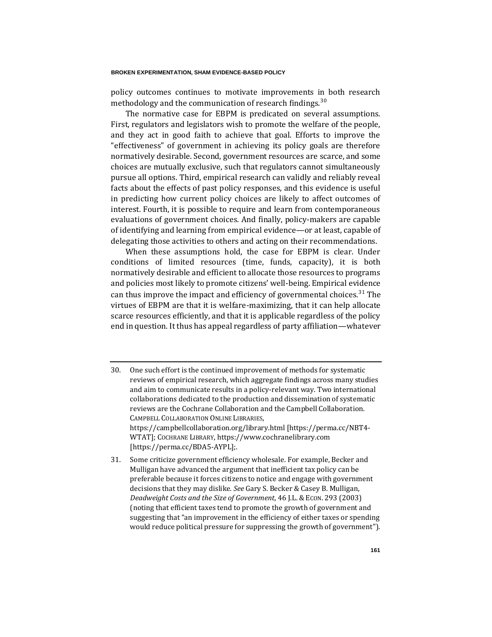policy outcomes continues to motivate improvements in both research methodology and the communication of research findings.<sup>30</sup>

The normative case for EBPM is predicated on several assumptions. First, regulators and legislators wish to promote the welfare of the people, and they act in good faith to achieve that goal. Efforts to improve the "effectiveness" of government in achieving its policy goals are therefore normatively desirable. Second, government resources are scarce, and some choices are mutually exclusive, such that regulators cannot simultaneously pursue all options. Third, empirical research can validly and reliably reveal facts about the effects of past policy responses, and this evidence is useful in predicting how current policy choices are likely to affect outcomes of interest. Fourth, it is possible to require and learn from contemporaneous evaluations of government choices. And finally, policy-makers are capable of identifying and learning from empirical evidence—or at least, capable of delegating those activities to others and acting on their recommendations.

When these assumptions hold, the case for EBPM is clear. Under conditions of limited resources (time, funds, capacity), it is both normatively desirable and efficient to allocate those resources to programs and policies most likely to promote citizens' well-being. Empirical evidence can thus improve the impact and efficiency of governmental choices.<sup>31</sup> The virtues of EBPM are that it is welfare-maximizing, that it can help allocate scarce resources efficiently, and that it is applicable regardless of the policy end in question. It thus has appeal regardless of party affiliation—whatever

- 30. One such effort is the continued improvement of methods for systematic reviews of empirical research, which aggregate findings across many studies and aim to communicate results in a policy-relevant way. Two international collaborations dedicated to the production and dissemination of systematic reviews are the Cochrane Collaboration and the Campbell Collaboration. CAMPBELL COLLABORATION ONLINE LIBRARIES, https://campbellcollaboration.org/library.html [https://perma.cc/NBT4- WTAT]; COCHRANE LIBRARY, https://www.cochranelibrary.com [https://perma.cc/BDA5-AYPL];.
- 31. Some criticize government efficiency wholesale. For example, Becker and Mulligan have advanced the argument that inefficient tax policy can be preferable because it forces citizens to notice and engage with government decisions that they may dislike. *See* Gary S. Becker & Casey B. Mulligan, *Deadweight Costs and the Size of Government*, 46 J.L. & ECON. 293 (2003) (noting that efficient taxes tend to promote the growth of government and suggesting that "an improvement in the efficiency of either taxes or spending would reduce political pressure for suppressing the growth of government").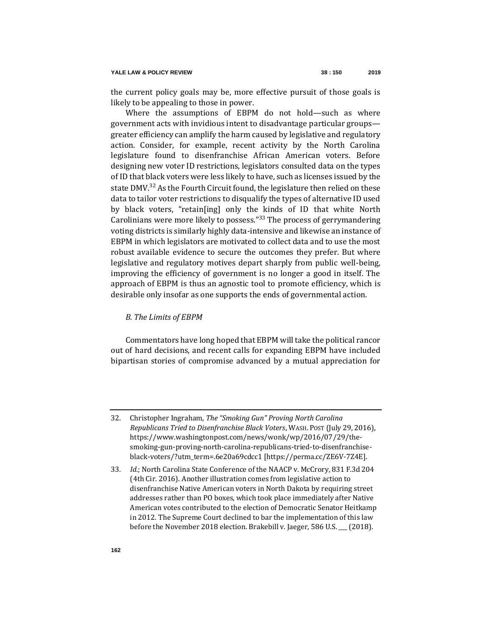the current policy goals may be, more effective pursuit of those goals is likely to be appealing to those in power.

Where the assumptions of EBPM do not hold—such as where government acts with invidious intent to disadvantage particular groups greater efficiency can amplify the harm caused by legislative and regulatory action. Consider, for example, recent activity by the North Carolina legislature found to disenfranchise African American voters. Before designing new voter ID restrictions, legislators consulted data on the types of ID that black voters were less likely to have, such as licenses issued by the state DMV.<sup>32</sup> As the Fourth Circuit found, the legislature then relied on these data to tailor voter restrictions to disqualify the types of alternative ID used by black voters, "retain[ing] only the kinds of ID that white North Carolinians were more likely to possess." $33$  The process of gerrymandering voting districts is similarly highly data-intensive and likewise an instance of EBPM in which legislators are motivated to collect data and to use the most robust available evidence to secure the outcomes they prefer. But where legislative and regulatory motives depart sharply from public well-being, improving the efficiency of government is no longer a good in itself. The approach of EBPM is thus an agnostic tool to promote efficiency, which is desirable only insofar as one supports the ends of governmental action.

# *B. The Limits of EBPM*

Commentators have long hoped that EBPM will take the political rancor out of hard decisions, and recent calls for expanding EBPM have included bipartisan stories of compromise advanced by a mutual appreciation for

<sup>32.</sup> Christopher Ingraham, *The "Smoking Gun" Proving North Carolina Republicans Tried to Disenfranchise Black Voters*, WASH. POST (July 29, 2016), https://www.washingtonpost.com/news/wonk/wp/2016/07/29/thesmoking-gun-proving-north-carolina-republicans-tried-to-disenfranchiseblack-voters/?utm\_term=.6e20a69cdcc1 [https://perma.cc/ZE6V-7Z4E].

<sup>33</sup>*. Id.*; North Carolina State Conference of the NAACP v. McCrory, 831 F.3d 204 (4th Cir. 2016). Another illustration comes from legislative action to disenfranchise Native American voters in North Dakota by requiring street addresses rather than PO boxes, which took place immediately after Native American votes contributed to the election of Democratic Senator Heitkamp in 2012. The Supreme Court declined to bar the implementation of this law before the November 2018 election. Brakebill v. Jaeger, 586 U.S. \_\_\_ (2018).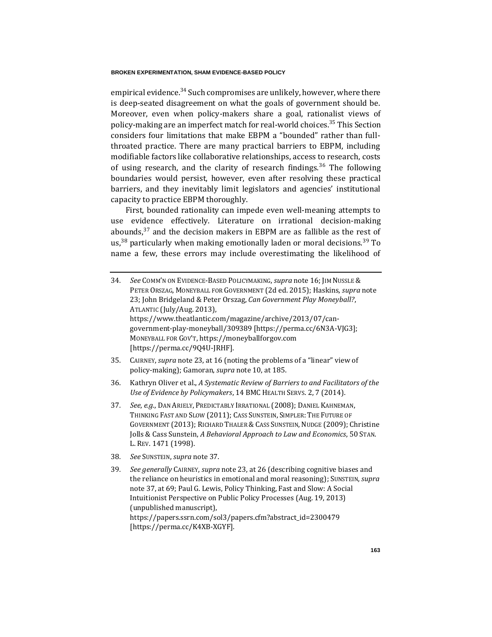<span id="page-13-1"></span>empirical evidence.<sup>34</sup> Such compromises are unlikely, however, where there is deep-seated disagreement on what the goals of government should be. Moreover, even when policy-makers share a goal, rationalist views of policy-making are an imperfect match for real-world choices.<sup>35</sup> This Section considers four limitations that make EBPM a "bounded" rather than fullthroated practice. There are many practical barriers to EBPM, including modifiable factors like collaborative relationships, access to research, costs of using research, and the clarity of research findings.<sup>36</sup> The following boundaries would persist, however, even after resolving these practical barriers, and they inevitably limit legislators and agencies' institutional capacity to practice EBPM thoroughly.

<span id="page-13-0"></span>First, bounded rationality can impede even well-meaning attempts to use evidence effectively. Literature on irrational decision-making abounds, $37$  and the decision makers in EBPM are as fallible as the rest of us,  $38$  particularly when making emotionally laden or moral decisions.  $39$  To name a few, these errors may include overestimating the likelihood of

| 34. | See COMM'N ON EVIDENCE-BASED POLICYMAKING, supra note 16; JIM NUSSLE &    |
|-----|---------------------------------------------------------------------------|
|     | PETER ORSZAG, MONEYBALL FOR GOVERNMENT (2d ed. 2015); Haskins, supra note |
|     | 23; John Bridgeland & Peter Orszag, Can Government Play Moneyball?,       |
|     | ATLANTIC (July/Aug. 2013),                                                |
|     | https://www.theatlantic.com/magazine/archive/2013/07/can-                 |
|     | government-play-moneyball/309389 [https://perma.cc/6N3A-VJG3];            |
|     | MONEYBALL FOR GOV'T, https://moneyballforgov.com                          |
|     | [https://perma.cc/9Q4U-JRHF].                                             |
|     |                                                                           |

- 35. CAIRNEY, *supra* note [23,](#page-8-0) at 16 (noting the problems of a "linear" view of policy-making); Gamoran, *supra* not[e 10,](#page-4-0) at 185.
- 36. Kathryn Oliver et al., *A Systematic Review of Barriers to and Facilitators of the Use of Evidence by Policymakers*, 14 BMC HEALTH SERVS. 2, 7 (2014).
- 37*. See*, *e.g.*, DAN ARIELY, PREDICTABLY IRRATIONAL (2008); DANIEL KAHNEMAN, THINKING FAST AND SLOW (2011); CASS SUNSTEIN, SIMPLER: THE FUTURE OF GOVERNMENT (2013); RICHARD THALER & CASS SUNSTEIN, NUDGE (2009); Christine Jolls & Cass Sunstein, *A Behavioral Approach to Law and Economics*, 50 STAN. L. REV. 1471 (1998).
- 38*. See* SUNSTEIN, *supra* note [37.](#page-13-0)
- 39*. See generally* CAIRNEY, *supra* not[e 23,](#page-8-0) at 26 (describing cognitive biases and the reliance on heuristics in emotional and moral reasoning); SUNSTEIN, *supra*  not[e 37,](#page-13-0) at 69; Paul G. Lewis, Policy Thinking, Fast and Slow: A Social Intuitionist Perspective on Public Policy Processes (Aug. 19, 2013) (unpublished manuscript), https://papers.ssrn.com/sol3/papers.cfm?abstract\_id=2300479 [https://perma.cc/K4XB-XGYF].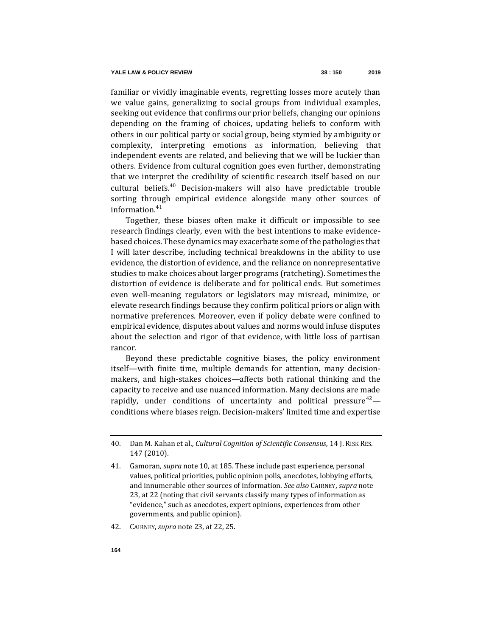familiar or vividly imaginable events, regretting losses more acutely than we value gains, generalizing to social groups from individual examples, seeking out evidence that confirms our prior beliefs, changing our opinions depending on the framing of choices, updating beliefs to conform with others in our political party or social group, being stymied by ambiguity or complexity, interpreting emotions as information, believing that independent events are related, and believing that we will be luckier than others. Evidence from cultural cognition goes even further, demonstrating that we interpret the credibility of scientific research itself based on our cultural beliefs.<sup>40</sup> Decision-makers will also have predictable trouble sorting through empirical evidence alongside many other sources of information.<sup>41</sup>

Together, these biases often make it difficult or impossible to see research findings clearly, even with the best intentions to make evidencebased choices. These dynamics may exacerbate some of the pathologies that I will later describe, including technical breakdowns in the ability to use evidence, the distortion of evidence, and the reliance on nonrepresentative studies to make choices about larger programs (ratcheting). Sometimes the distortion of evidence is deliberate and for political ends. But sometimes even well-meaning regulators or legislators may misread, minimize, or elevate research findings because they confirm political priors or align with normative preferences. Moreover, even if policy debate were confined to empirical evidence, disputes about values and norms would infuse disputes about the selection and rigor of that evidence, with little loss of partisan rancor.

Beyond these predictable cognitive biases, the policy environment itself—with finite time, multiple demands for attention, many decisionmakers, and high-stakes choices—affects both rational thinking and the capacity to receive and use nuanced information. Many decisions are made rapidly, under conditions of uncertainty and political pressure<sup>42</sup> conditions where biases reign. Decision-makers' limited time and expertise

<sup>40.</sup> Dan M. Kahan et al., *Cultural Cognition of Scientific Consensus*, 14 J. RISK RES. 147 (2010).

<sup>41.</sup> Gamoran, *supra* not[e 10,](#page-4-0) at 185. These include past experience, personal values, political priorities, public opinion polls, anecdotes, lobbying efforts, and innumerable other sources of information. *See also* CAIRNEY, *supra* note [23,](#page-8-0) at 22 (noting that civil servants classify many types of information as "evidence," such as anecdotes, expert opinions, experiences from other governments, and public opinion).

<sup>42.</sup> CAIRNEY, *supra* note [23,](#page-8-0) at 22, 25.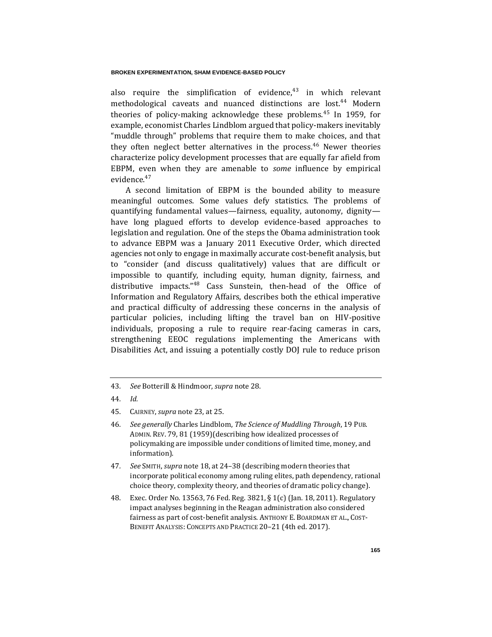also require the simplification of evidence, $43$  in which relevant methodological caveats and nuanced distinctions are lost.<sup>44</sup> Modern theories of policy-making acknowledge these problems.<sup>45</sup> In 1959, for example, economist Charles Lindblom argued that policy-makers inevitably "muddle through" problems that require them to make choices, and that they often neglect better alternatives in the process.<sup>46</sup> Newer theories characterize policy development processes that are equally far afield from EBPM, even when they are amenable to *some* influence by empirical evidence.<sup>47</sup>

<span id="page-15-0"></span>A second limitation of EBPM is the bounded ability to measure meaningful outcomes. Some values defy statistics. The problems of quantifying fundamental values—fairness, equality, autonomy, dignity have long plagued efforts to develop evidence-based approaches to legislation and regulation. One of the steps the Obama administration took to advance EBPM was a January 2011 Executive Order, which directed agencies not only to engage in maximally accurate cost-benefit analysis, but to "consider (and discuss qualitatively) values that are difficult or impossible to quantify, including equity, human dignity, fairness, and distributive impacts."<sup>48</sup> Cass Sunstein, then-head of the Office of Information and Regulatory Affairs, describes both the ethical imperative and practical difficulty of addressing these concerns in the analysis of particular policies, including lifting the travel ban on HIV-positive individuals, proposing a rule to require rear-facing cameras in cars, strengthening EEOC regulations implementing the Americans with Disabilities Act, and issuing a potentially costly DOJ rule to reduce prison

<sup>43</sup>*. See* Botterill & Hindmoor, *supra* not[e 28.](#page-10-0)

<sup>44</sup>*. Id.*

<sup>45.</sup> CAIRNEY, *supra* note [23,](#page-8-0) at 25.

<sup>46</sup>*. See generally* Charles Lindblom, *The Science of Muddling Through*, 19 PUB. ADMIN. REV. 79, 81 (1959)(describing how idealized processes of policymaking are impossible under conditions of limited time, money, and information).

<sup>47</sup>*. See* SMITH, *supra* not[e 18,](#page-7-1) at 24–38 (describing modern theories that incorporate political economy among ruling elites, path dependency, rational choice theory, complexity theory, and theories of dramatic policy change).

<sup>48.</sup> Exec. Order No. 13563, 76 Fed. Reg. 3821, § 1(c) (Jan. 18, 2011). Regulatory impact analyses beginning in the Reagan administration also considered fairness as part of cost-benefit analysis. ANTHONY E. BOARDMAN ET AL., COST-BENEFIT ANALYSIS: CONCEPTS AND PRACTICE 20–21 (4th ed. 2017).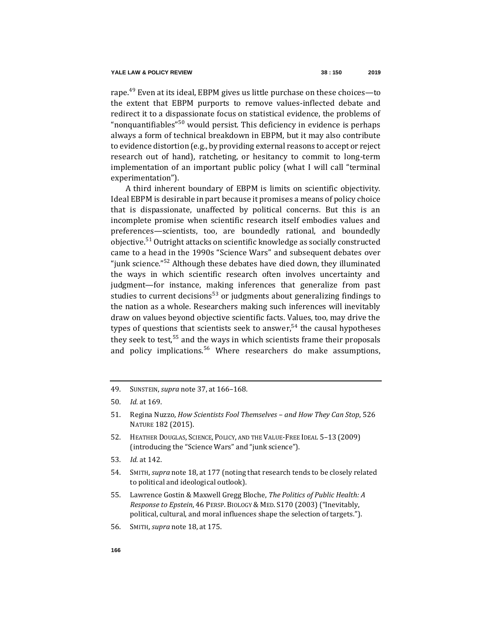rape.<sup>49</sup> Even at its ideal, EBPM gives us little purchase on these choices—to the extent that EBPM purports to remove values-inflected debate and redirect it to a dispassionate focus on statistical evidence, the problems of "nonquantifiables"<sup>50</sup> would persist. This deficiency in evidence is perhaps always a form of technical breakdown in EBPM, but it may also contribute to evidence distortion (e.g., by providing external reasons to accept or reject research out of hand), ratcheting, or hesitancy to commit to long-term implementation of an important public policy (what I will call "terminal experimentation").

<span id="page-16-0"></span>A third inherent boundary of EBPM is limits on scientific objectivity. Ideal EBPM is desirable in part because it promises a means of policy choice that is dispassionate, unaffected by political concerns. But this is an incomplete promise when scientific research itself embodies values and preferences—scientists, too, are boundedly rational, and boundedly objective.<sup>51</sup> Outright attacks on scientific knowledge as socially constructed came to a head in the 1990s "Science Wars" and subsequent debates over "junk science."<sup>52</sup> Although these debates have died down, they illuminated the ways in which scientific research often involves uncertainty and judgment—for instance, making inferences that generalize from past studies to current decisions<sup>53</sup> or judgments about generalizing findings to the nation as a whole. Researchers making such inferences will inevitably draw on values beyond objective scientific facts. Values, too, may drive the types of questions that scientists seek to answer,  $54$  the causal hypotheses they seek to test,  $55$  and the ways in which scientists frame their proposals and policy implications.<sup>56</sup> Where researchers do make assumptions,

<sup>49.</sup> SUNSTEIN, *supra* not[e 37,](#page-13-0) at 166–168.

<sup>50</sup>*. Id.* at 169.

<sup>51.</sup> Regina Nuzzo, *How Scientists Fool Themselves – and How They Can Stop*, 526 NATURE 182 (2015).

<sup>52.</sup> HEATHER DOUGLAS, SCIENCE, POLICY, AND THE VALUE-FREE IDEAL 5–13 (2009) (introducing the "Science Wars" and "junk science").

<sup>53</sup>*. Id.* at 142.

<sup>54.</sup> SMITH, *supra* note [18,](#page-7-1) at 177 (noting that research tends to be closely related to political and ideological outlook).

<sup>55.</sup> Lawrence Gostin & Maxwell Gregg Bloche, *The Politics of Public Health: A Response to Epstein*, 46 PERSP. BIOLOGY & MED. S170 (2003) ("Inevitably, political, cultural, and moral influences shape the selection of targets.").

<sup>56.</sup> SMITH, *supra* note [18,](#page-7-1) at 175.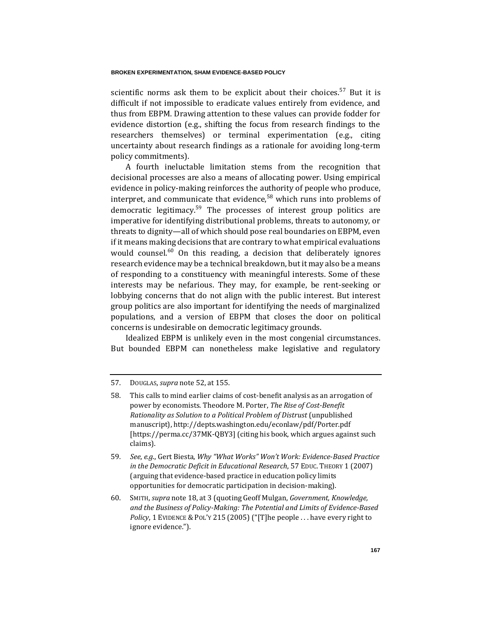scientific norms ask them to be explicit about their choices.<sup>57</sup> But it is difficult if not impossible to eradicate values entirely from evidence, and thus from EBPM. Drawing attention to these values can provide fodder for evidence distortion (e.g., shifting the focus from research findings to the researchers themselves) or terminal experimentation (e.g., citing uncertainty about research findings as a rationale for avoiding long-term policy commitments).

A fourth ineluctable limitation stems from the recognition that decisional processes are also a means of allocating power. Using empirical evidence in policy-making reinforces the authority of people who produce, interpret, and communicate that evidence,  $58$  which runs into problems of democratic legitimacy.<sup>59</sup> The processes of interest group politics are imperative for identifying distributional problems, threats to autonomy, or threats to dignity—all of which should pose real boundaries on EBPM, even if it means making decisions that are contrary to what empirical evaluations would counsel.<sup>60</sup> On this reading, a decision that deliberately ignores research evidence may be a technical breakdown, but it may also be a means of responding to a constituency with meaningful interests. Some of these interests may be nefarious. They may, for example, be rent-seeking or lobbying concerns that do not align with the public interest. But interest group politics are also important for identifying the needs of marginalized populations, and a version of EBPM that closes the door on political concerns is undesirable on democratic legitimacy grounds.

Idealized EBPM is unlikely even in the most congenial circumstances. But bounded EBPM can nonetheless make legislative and regulatory

<sup>57.</sup> DOUGLAS, *supra* note [52,](#page-16-0) at 155.

<sup>58.</sup> This calls to mind earlier claims of cost-benefit analysis as an arrogation of power by economists. Theodore M. Porter, *The Rise of Cost-Benefit Rationality as Solution to a Political Problem of Distrust* (unpublished manuscript), http://depts.washington.edu/econlaw/pdf/Porter.pdf [https://perma.cc/37MK-QBY3] (citing his book, which argues against such claims).

<sup>59</sup>*. See*, *e.g*., Gert Biesta, *Why "What Works" Won't Work: Evidence-Based Practice in the Democratic Deficit in Educational Research*, 57 EDUC. THEORY 1 (2007) (arguing that evidence-based practice in education policy limits opportunities for democratic participation in decision-making).

<sup>60.</sup> SMITH, *supra* note [18,](#page-7-1) at 3 (quoting Geoff Mulgan, *Government, Knowledge, and the Business of Policy-Making: The Potential and Limits of Evidence-Based Policy*, 1 EVIDENCE & POL'Y 215 (2005) ("[T]he people . . . have every right to ignore evidence.").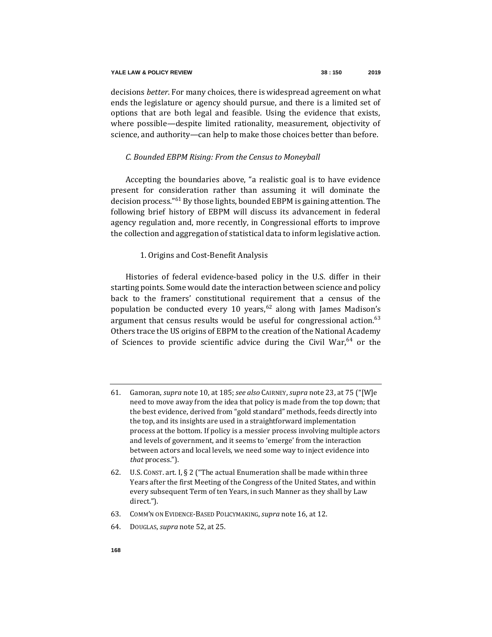decisions *better*. For many choices, there is widespread agreement on what ends the legislature or agency should pursue, and there is a limited set of options that are both legal and feasible. Using the evidence that exists, where possible—despite limited rationality, measurement, objectivity of science, and authority—can help to make those choices better than before.

# *C. Bounded EBPM Rising: From the Census to Moneyball*

Accepting the boundaries above, "a realistic goal is to have evidence present for consideration rather than assuming it will dominate the decision process."<sup>61</sup> By those lights, bounded EBPM is gaining attention. The following brief history of EBPM will discuss its advancement in federal agency regulation and, more recently, in Congressional efforts to improve the collection and aggregation of statistical data to inform legislative action.

# 1. Origins and Cost-Benefit Analysis

Histories of federal evidence-based policy in the U.S. differ in their starting points. Some would date the interaction between science and policy back to the framers' constitutional requirement that a census of the population be conducted every 10 years,  $62$  along with James Madison's argument that census results would be useful for congressional action.  $63$ Others trace the US origins of EBPM to the creation of the National Academy of Sciences to provide scientific advice during the Civil War, $64$  or the

- 63. COMM'N ON EVIDENCE-BASED POLICYMAKING, *supra* not[e 16,](#page-7-0) at 12.
- 64. DOUGLAS, *supra* note [52,](#page-16-0) at 25.

<sup>61.</sup> Gamoran, *supra* not[e 10,](#page-4-0) at 185; *see also* CAIRNEY, *supra* not[e 23,](#page-8-0) at 75 ("[W]e need to move away from the idea that policy is made from the top down; that the best evidence, derived from "gold standard" methods, feeds directly into the top, and its insights are used in a straightforward implementation process at the bottom. If policy is a messier process involving multiple actors and levels of government, and it seems to 'emerge' from the interaction between actors and local levels, we need some way to inject evidence into *that* process.").

<sup>62.</sup> U.S. CONST. art. I, § 2 ("The actual Enumeration shall be made within three Years after the first Meeting of the Congress of the United States, and within every subsequent Term of ten Years, in such Manner as they shall by Law direct.").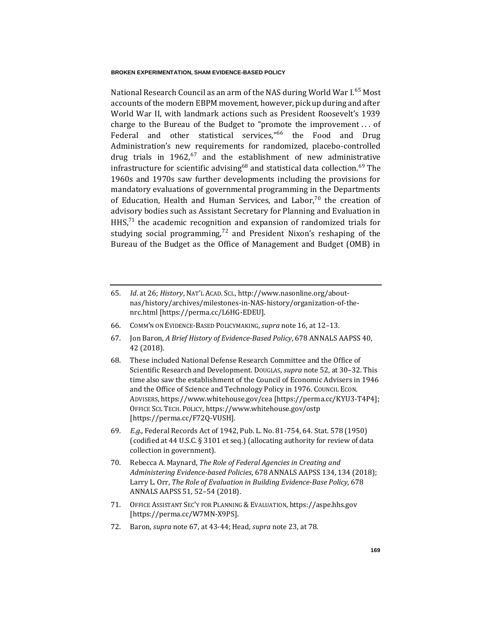<span id="page-19-0"></span>National Research Council as an arm of the NAS during World War I.<sup>65</sup> Most accounts of the modern EBPM movement, however, pick up during and after World War II, with landmark actions such as President Roosevelt's 1939 charge to the Bureau of the Budget to "promote the improvement . . . of Federal and other statistical services,"<sup>66</sup> the Food and Drug Administration's new requirements for randomized, placebo-controlled drug trials in 1962, $67$  and the establishment of new administrative infrastructure for scientific advising<sup>68</sup> and statistical data collection.<sup>69</sup> The 1960s and 1970s saw further developments including the provisions for mandatory evaluations of governmental programming in the Departments of Education, Health and Human Services, and Labor,<sup>70</sup> the creation of advisory bodies such as Assistant Secretary for Planning and Evaluation in  $H<sub>H</sub>$ ,  $K<sub>71</sub>$  the academic recognition and expansion of randomized trials for studying social programming, $72$  and President Nixon's reshaping of the Bureau of the Budget as the Office of Management and Budget (OMB) in

- 66. COMM'N ON EVIDENCE-BASED POLICYMAKING, *supra* not[e 16,](#page-7-0) at 12–13.
- 67. Jon Baron, *A Brief History of Evidence-Based Policy*, 678 ANNALS AAPSS 40, 42 (2018).
- 68. These included National Defense Research Committee and the Office of Scientific Research and Development. DOUGLAS, *supra* not[e 52,](#page-16-0) at 30–32. This time also saw the establishment of the Council of Economic Advisers in 1946 and the Office of Science and Technology Policy in 1976. COUNCIL ECON. ADVISERS, https://www.whitehouse.gov/cea [https://perma.cc/KYU3-T4P4]; OFFICE SCI. TECH. POLICY, https://www.whitehouse.gov/ostp [https://perma.cc/F72Q-VUSH].
- 69*. E.g.*, Federal Records Act of 1942, Pub. L. No. 81-754, 64. Stat. 578 (1950) (codified at 44 U.S.C. § 3101 et seq.) (allocating authority for review of data collection in government).
- 70. Rebecca A. Maynard, *The Role of Federal Agencies in Creating and Administering Evidence-based Policies*, 678 ANNALS AAPSS 134, 134 (2018); Larry L. Orr, *The Role of Evaluation in Building Evidence-Base Policy*, 678 ANNALS AAPSS 51, 52–54 (2018).
- 71. OFFICE ASSISTANT SEC'Y FOR PLANNING & EVALUATION, https://aspe.hhs.gov [https://perma.cc/W7MN-X9PS].
- 72. Baron, *supra* not[e 67,](#page-19-0) at 43-44; Head, *supra* not[e 23,](#page-8-0) at 78.

<span id="page-19-1"></span><sup>65</sup>*. Id*. at 26; *History*, NAT'L ACAD. SCI., http://www.nasonline.org/aboutnas/history/archives/milestones-in-NAS-history/organization-of-thenrc.html [https://perma.cc/L6HG-EDEU].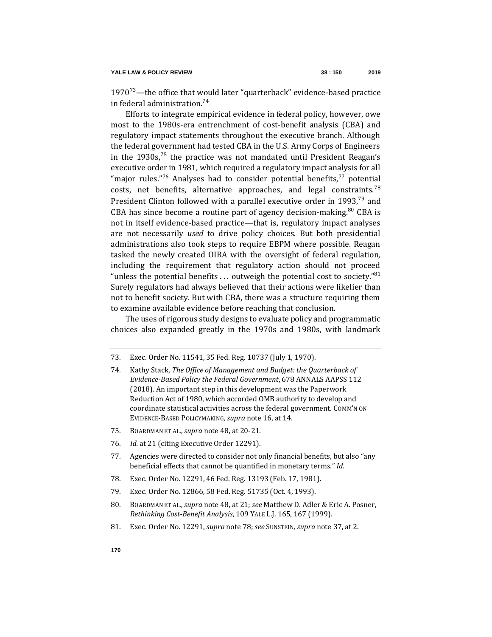<span id="page-20-1"></span> $1970^{73}$ —the office that would later "quarterback" evidence-based practice in federal administration.<sup>74</sup>

<span id="page-20-0"></span>Efforts to integrate empirical evidence in federal policy, however, owe most to the 1980s-era entrenchment of cost-benefit analysis (CBA) and regulatory impact statements throughout the executive branch. Although the federal government had tested CBA in the U.S. Army Corps of Engineers in the 1930s,<sup>75</sup> the practice was not mandated until President Reagan's executive order in 1981, which required a regulatory impact analysis for all "major rules."<sup>76</sup> Analyses had to consider potential benefits,<sup>77</sup> potential costs, net benefits, alternative approaches, and legal constraints.<sup>78</sup> President Clinton followed with a parallel executive order in 1993,<sup>79</sup> and CBA has since become a routine part of agency decision-making. $80$  CBA is not in itself evidence-based practice—that is, regulatory impact analyses are not necessarily *used* to drive policy choices. But both presidential administrations also took steps to require EBPM where possible. Reagan tasked the newly created OIRA with the oversight of federal regulation, including the requirement that regulatory action should not proceed "unless the potential benefits ... outweigh the potential cost to society."<sup>81</sup> Surely regulators had always believed that their actions were likelier than not to benefit society. But with CBA, there was a structure requiring them to examine available evidence before reaching that conclusion.

The uses of rigorous study designs to evaluate policy and programmatic choices also expanded greatly in the 1970s and 1980s, with landmark

- 75. BOARDMAN ET AL.,*supra* not[e 48,](#page-15-0) at 20-21.
- 76*. Id.* at 21 (citing Executive Order 12291).
- 77. Agencies were directed to consider not only financial benefits, but also "any beneficial effects that cannot be quantified in monetary terms."*Id*.
- 78. Exec. Order No. 12291, 46 Fed. Reg. 13193 (Feb. 17, 1981).
- 79. Exec. Order No. 12866, 58 Fed. Reg. 51735 (Oct. 4, 1993).
- 80. BOARDMAN ET AL.,*supra* not[e 48,](#page-15-0) at 21; *see* Matthew D. Adler & Eric A. Posner, *Rethinking Cost-Benefit Analysis*, 109 YALE L.J. 165, 167 (1999).
- 81. Exec. Order No. 12291, *supra* not[e 78;](#page-20-0) *see* SUNSTEIN, *supra* note [37,](#page-13-0) at 2.

<sup>73.</sup> Exec. Order No. 11541, 35 Fed. Reg. 10737 (July 1, 1970).

<sup>74.</sup> Kathy Stack, *The Office of Management and Budget: the Quarterback of Evidence-Based Policy the Federal Government*, 678 ANNALS AAPSS 112 (2018). An important step in this development was the Paperwork Reduction Act of 1980, which accorded OMB authority to develop and coordinate statistical activities across the federal government. COMM'N ON EVIDENCE-BASED POLICYMAKING, *supra* not[e 16,](#page-7-0) at 14.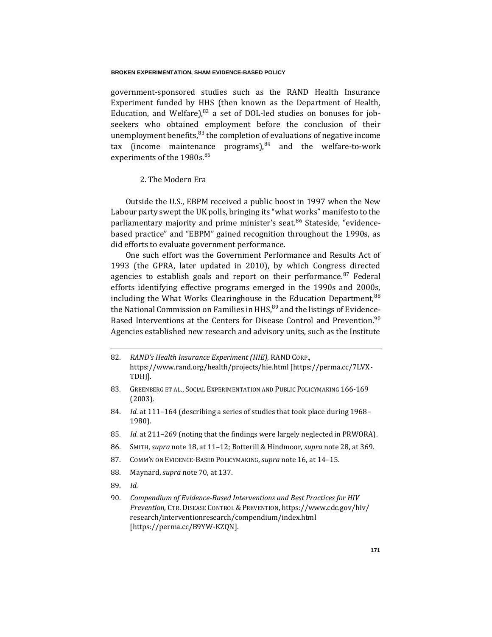government-sponsored studies such as the RAND Health Insurance Experiment funded by HHS (then known as the Department of Health, Education, and Welfare), $82$  a set of DOL-led studies on bonuses for jobseekers who obtained employment before the conclusion of their unemployment benefits,  $83$  the completion of evaluations of negative income tax (income maintenance programs), $84$  and the welfare-to-work experiments of the 1980s.<sup>85</sup>

# 2. The Modern Era

Outside the U.S., EBPM received a public boost in 1997 when the New Labour party swept the UK polls, bringing its "what works" manifesto to the parliamentary majority and prime minister's seat.<sup>86</sup> Stateside, "evidencebased practice" and "EBPM" gained recognition throughout the 1990s, as did efforts to evaluate government performance.

One such effort was the Government Performance and Results Act of 1993 (the GPRA, later updated in 2010), by which Congress directed agencies to establish goals and report on their performance.<sup>87</sup> Federal efforts identifying effective programs emerged in the 1990s and 2000s, including the What Works Clearinghouse in the Education Department,  $88$ the National Commission on Families in  $HHS$ ,  $89$  and the listings of Evidence-Based Interventions at the Centers for Disease Control and Prevention.<sup>90</sup> Agencies established new research and advisory units, such as the Institute

- 82*. RAND's Health Insurance Experiment (HIE)*, RAND CORP., https://www.rand.org/health/projects/hie.html [https://perma.cc/7LVX-TDHJ].
- 83. GREENBERG ET AL., SOCIAL EXPERIMENTATION AND PUBLIC POLICYMAKING 166-169 (2003).
- 84*. Id.* at 111–164 (describing a series of studies that took place during 1968– 1980).
- 85*. Id.* at 211–269 (noting that the findings were largely neglected in PRWORA).
- 86. SMITH, *supra* note [18,](#page-7-1) at 11–12; Botterill & Hindmoor, *supra* note [28,](#page-10-0) at 369.
- 87. COMM'N ON EVIDENCE-BASED POLICYMAKING, *supra* not[e 16,](#page-7-0) at 14–15.
- 88. Maynard, *supra* not[e 70,](#page-19-1) at 137.
- 89*. Id.*
- 90*. Compendium of Evidence-Based Interventions and Best Practices for HIV Prevention*, CTR. DISEASE CONTROL &PREVENTION, https://www.cdc.gov/hiv/ research/interventionresearch/compendium/index.html [https://perma.cc/B9YW-KZQN].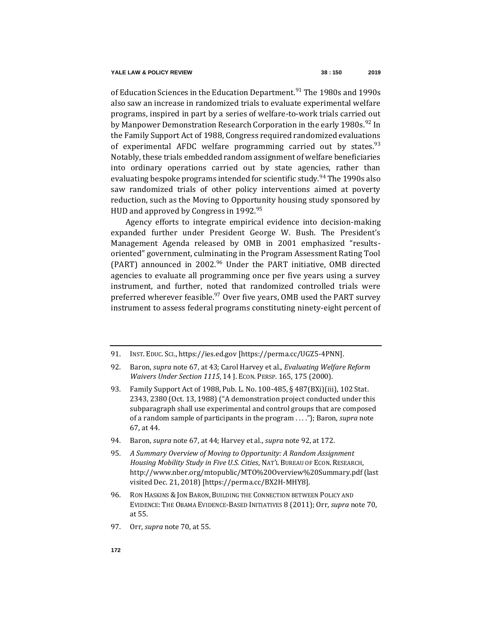<span id="page-22-0"></span>of Education Sciences in the Education Department.<sup>91</sup> The 1980s and 1990s also saw an increase in randomized trials to evaluate experimental welfare programs, inspired in part by a series of welfare-to-work trials carried out by Manpower Demonstration Research Corporation in the early 1980s.<sup>92</sup> In the Family Support Act of 1988, Congress required randomized evaluations of experimental AFDC welfare programming carried out by states.  $93$ Notably, these trials embedded random assignment of welfare beneficiaries into ordinary operations carried out by state agencies, rather than evaluating bespoke programs intended for scientific study.<sup>94</sup> The 1990s also saw randomized trials of other policy interventions aimed at poverty reduction, such as the Moving to Opportunity housing study sponsored by HUD and approved by Congress in  $1992.^{95}$ 

<span id="page-22-1"></span>Agency efforts to integrate empirical evidence into decision-making expanded further under President George W. Bush. The President's Management Agenda released by OMB in 2001 emphasized "resultsoriented" government, culminating in the Program Assessment Rating Tool (PART) announced in 2002. $96$  Under the PART initiative, OMB directed agencies to evaluate all programming once per five years using a survey instrument, and further, noted that randomized controlled trials were preferred wherever feasible.<sup>97</sup> Over five years, OMB used the PART survey instrument to assess federal programs constituting ninety-eight percent of

- 93. Family Support Act of 1988, Pub. L. No. 100-485, § 487(BXi)(iii), 102 Stat. 2343, 2380 (Oct. 13, 1988) ("A demonstration project conducted under this subparagraph shall use experimental and control groups that are composed of a random sample of participants in the program . . . ."); Baron, *supra* note [67,](#page-19-0) at 44.
- 94. Baron, *supra* not[e 67,](#page-19-0) at 44; Harvey et al., *supra* not[e 92,](#page-22-0) at 172.
- 95*. A Summary Overview of Moving to Opportunity: A Random Assignment Housing Mobility Study in Five U.S. Cities*, NAT'L BUREAU OF ECON. RESEARCH, http://www.nber.org/mtopublic/MTO%20Overview%20Summary.pdf (last visited Dec. 21, 2018) [https://perma.cc/BX2H-MHY8].
- 96. RON HASKINS & JON BARON, BUILDING THE CONNECTION BETWEEN POLICY AND EVIDENCE: THE OBAMA EVIDENCE-BASED INITIATIVES 8 (2011); Orr, *supra* note [70,](#page-19-1)  at 55.
- 97. Orr, *supra* not[e 70,](#page-19-1) at 55.

<sup>91.</sup> INST. EDUC. SCI., https://ies.ed.gov [https://perma.cc/UGZ5-4PNN].

<sup>92.</sup> Baron, *supra* not[e 67,](#page-19-0) at 43; Carol Harvey et al., *Evaluating Welfare Reform Waivers Under Section 1115*, 14 J. ECON. PERSP. 165, 175 (2000).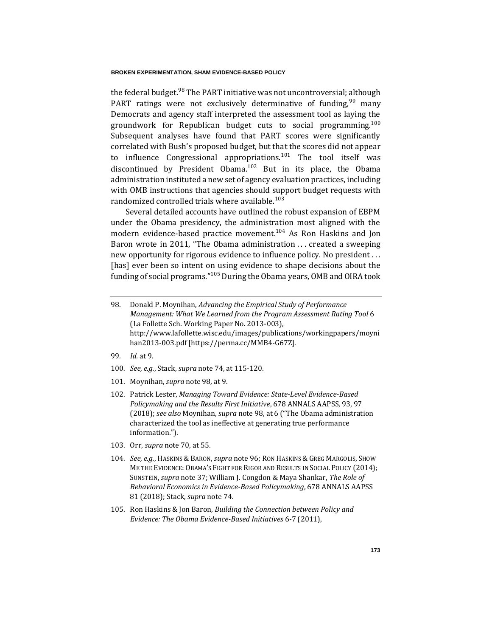<span id="page-23-0"></span>the federal budget.<sup>98</sup> The PART initiative was not uncontroversial; although PART ratings were not exclusively determinative of funding,  $99$  many Democrats and agency staff interpreted the assessment tool as laying the groundwork for Republican budget cuts to social programming.<sup>100</sup> Subsequent analyses have found that PART scores were significantly correlated with Bush's proposed budget, but that the scores did not appear to influence Congressional appropriations.<sup>101</sup> The tool itself was discontinued by President Obama.<sup>102</sup> But in its place, the Obama administration instituted a new set of agency evaluation practices, including with OMB instructions that agencies should support budget requests with randomized controlled trials where available.<sup>103</sup>

<span id="page-23-1"></span>Several detailed accounts have outlined the robust expansion of EBPM under the Obama presidency, the administration most aligned with the modern evidence-based practice movement.<sup>104</sup> As Ron Haskins and Jon Baron wrote in 2011, "The Obama administration ... created a sweeping new opportunity for rigorous evidence to influence policy. No president . . . [has] ever been so intent on using evidence to shape decisions about the funding of social programs."<sup>105</sup> During the Obama years, OMB and OIRA took

- 99*. Id.* at 9.
- 100*. See, e.g.*, Stack, *supra* not[e 74,](#page-20-1) at 115-120.
- 101. Moynihan, *supra* not[e 98,](#page-23-0) at 9.
- 102. Patrick Lester, *Managing Toward Evidence: State-Level Evidence-Based Policymaking and the Results First Initiative*, 678 ANNALS AAPSS, 93, 97 (2018); *see also* Moynihan, *supra* not[e 98,](#page-23-0) at 6 ("The Obama administration characterized the tool as ineffective at generating true performance information.").
- 103. Orr, *supra* not[e 70,](#page-19-1) at 55.
- 104*. See, e.g.*, HASKINS & BARON, *supra* not[e 96;](#page-22-1) RON HASKINS & GREG MARGOLIS, SHOW ME THE EVIDENCE: OBAMA'S FIGHT FOR RIGOR AND RESULTS IN SOCIAL POLICY (2014); SUNSTEIN, *supra* not[e 37;](#page-13-0) William J. Congdon & Maya Shankar, *The Role of Behavioral Economics in Evidence-Based Policymaking*, 678 ANNALS AAPSS 81 (2018); Stack, *supra* not[e 74.](#page-20-1)
- 105. Ron Haskins & Jon Baron, *Building the Connection between Policy and Evidence: The Obama Evidence-Based Initiatives* 6-7 (2011),

<sup>98.</sup> Donald P. Moynihan, *Advancing the Empirical Study of Performance Management: What We Learned from the Program Assessment Rating Tool* 6 (La Follette Sch. Working Paper No. 2013-003), http://www.lafollette.wisc.edu/images/publications/workingpapers/moyni han2013-003.pdf [https://perma.cc/MMB4-G67Z].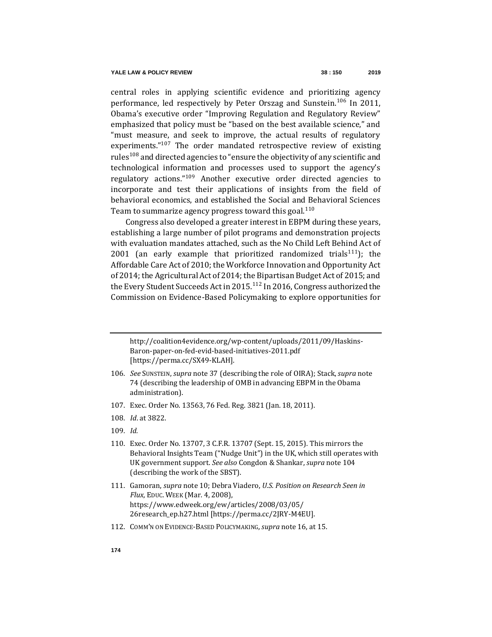central roles in applying scientific evidence and prioritizing agency performance, led respectively by Peter Orszag and Sunstein.<sup>106</sup> In 2011, Obama's executive order "Improving Regulation and Regulatory Review" emphasized that policy must be "based on the best available science," and "must measure, and seek to improve, the actual results of regulatory experiments. $107$  The order mandated retrospective review of existing rules<sup>108</sup> and directed agencies to "ensure the objectivity of any scientific and technological information and processes used to support the agency's regulatory actions."<sup>109</sup> Another executive order directed agencies to incorporate and test their applications of insights from the field of behavioral economics, and established the Social and Behavioral Sciences Team to summarize agency progress toward this goal.  $110$ 

Congress also developed a greater interest in EBPM during these years, establishing a large number of pilot programs and demonstration projects with evaluation mandates attached, such as the No Child Left Behind Act of 2001 (an early example that prioritized randomized trials<sup>111</sup>); the Affordable Care Act of 2010; the Workforce Innovation and Opportunity Act of 2014; the Agricultural Act of 2014; the Bipartisan Budget Act of 2015; and the Every Student Succeeds Act in 2015.<sup>112</sup> In 2016, Congress authorized the Commission on Evidence-Based Policymaking to explore opportunities for

http://coalition4evidence.org/wp-content/uploads/2011/09/Haskins-Baron-paper-on-fed-evid-based-initiatives-2011.pdf [https://perma.cc/SX49-KLAH].

- 106*. See* SUNSTEIN, *supra* note [37](#page-13-0) (describing the role of OIRA); Stack, *supra* note [74](#page-20-1) (describing the leadership of OMB in advancing EBPM in the Obama administration).
- 107. Exec. Order No. 13563, 76 Fed. Reg. 3821 (Jan. 18, 2011).
- 108*. Id*. at 3822.
- 109*. Id.*
- 110. Exec. Order No. 13707, 3 C.F.R. 13707 (Sept. 15, 2015). This mirrors the Behavioral Insights Team ("Nudge Unit") in the UK, which still operates with UK government support. *See also* Congdon & Shankar, *supra* not[e 104](#page-23-1) (describing the work of the SBST).
- 111. Gamoran, *supra* not[e 10;](#page-4-0) Debra Viadero, *U.S. Position on Research Seen in Flux*, EDUC. WEEK (Mar. 4, 2008), https://www.edweek.org/ew/articles/2008/03/05/ 26research\_ep.h27.html [https://perma.cc/2JRY-M4EU].
- 112. COMM'N ON EVIDENCE-BASED POLICYMAKING, *supra* not[e 16,](#page-7-0) at 15.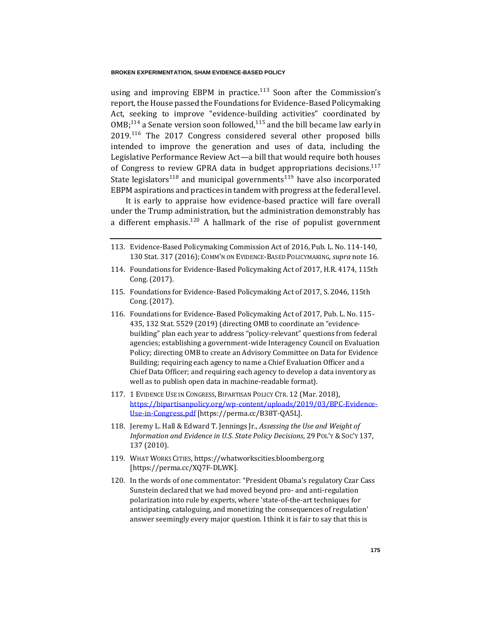using and improving EBPM in practice.<sup>113</sup> Soon after the Commission's report, the House passed the Foundations for Evidence-Based Policymaking Act, seeking to improve "evidence-building activities" coordinated by  $OMB<sub>1</sub><sup>114</sup>$  a Senate version soon followed,<sup>115</sup> and the bill became law early in 2019.<sup>116</sup> The 2017 Congress considered several other proposed bills intended to improve the generation and uses of data, including the Legislative Performance Review Act—a bill that would require both houses of Congress to review GPRA data in budget appropriations decisions.<sup>117</sup> State legislators<sup>118</sup> and municipal governments<sup>119</sup> have also incorporated EBPM aspirations and practices in tandem with progress at the federal level.

It is early to appraise how evidence-based practice will fare overall under the Trump administration, but the administration demonstrably has a different emphasis.<sup>120</sup> A hallmark of the rise of populist government

- 113. Evidence-Based Policymaking Commission Act of 2016, Pub. L. No. 114-140, 130 Stat. 317 (2016); COMM'N ON EVIDENCE-BASED POLICYMAKING, *supra* note [16.](#page-7-0)
- 114. Foundations for Evidence-Based Policymaking Act of 2017, H.R. 4174, 115th Cong. (2017).
- 115. Foundations for Evidence-Based Policymaking Act of 2017, S. 2046, 115th Cong. (2017).
- 116. Foundations for Evidence-Based Policymaking Act of 2017, Pub. L. No. 115- 435, 132 Stat. 5529 (2019) (directing OMB to coordinate an "evidencebuilding" plan each year to address "policy-relevant" questions from federal agencies; establishing a government-wide Interagency Council on Evaluation Policy; directing OMB to create an Advisory Committee on Data for Evidence Building; requiring each agency to name a Chief Evaluation Officer and a Chief Data Officer; and requiring each agency to develop a data inventory as well as to publish open data in machine-readable format).
- 117. 1 EVIDENCE USE IN CONGRESS, BIPARTISAN POLICY CTR. 12 (Mar. 2018), [https://bipartisanpolicy.org/wp-content/uploads/2019/03/BPC-Evidence-](https://bipartisanpolicy.org/wp-content/uploads/2019/03/BPC-Evidence-Use-in-Congress.pdf)[Use-in-Congress.pdf](https://bipartisanpolicy.org/wp-content/uploads/2019/03/BPC-Evidence-Use-in-Congress.pdf) [https://perma.cc/B38T-QA5L].
- 118. Jeremy L. Hall & Edward T. Jennings Jr., *Assessing the Use and Weight of Information and Evidence in U.S. State Policy Decisions*, 29 POL'Y & SOC'Y 137, 137 (2010).
- 119. WHAT WORKS CITIES, https://whatworkscities.bloomberg.org [https://perma.cc/XQ7F-DLWK].
- 120. In the words of one commentator: "President Obama's regulatory Czar Cass Sunstein declared that we had moved beyond pro- and anti-regulation polarization into rule by experts, where 'state-of-the-art techniques for anticipating, cataloguing, and monetizing the consequences of regulation' answer seemingly every major question. I think it is fair to say that this is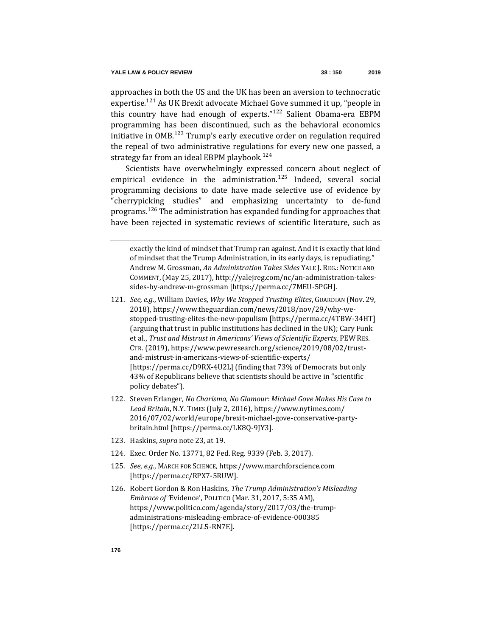approaches in both the US and the UK has been an aversion to technocratic expertise.<sup>121</sup> As UK Brexit advocate Michael Gove summed it up, "people in this country have had enough of experts."<sup>122</sup> Salient Obama-era EBPM programming has been discontinued, such as the behavioral economics initiative in OMB.<sup>123</sup> Trump's early executive order on regulation required the repeal of two administrative regulations for every new one passed, a strategy far from an ideal EBPM playbook.<sup>124</sup>

Scientists have overwhelmingly expressed concern about neglect of empirical evidence in the administration.<sup>125</sup> Indeed, several social programming decisions to date have made selective use of evidence by "cherrypicking studies" and emphasizing uncertainty to de-fund programs.<sup>126</sup> The administration has expanded funding for approaches that have been rejected in systematic reviews of scientific literature, such as

- 121*. See, e.g.*, William Davies, *Why We Stopped Trusting Elites*, GUARDIAN (Nov. 29, 2018), https://www.theguardian.com/news/2018/nov/29/why-westopped-trusting-elites-the-new-populism [https://perma.cc/4TBW-34HT] (arguing that trust in public institutions has declined in the UK); Cary Funk et al., *Trust and Mistrust in Americans' Views of Scientific Experts*, PEW RES. CTR. (2019), https://www.pewresearch.org/science/2019/08/02/trustand-mistrust-in-americans-views-of-scientific-experts/ [https://perma.cc/D9RX-4U2L] (finding that 73% of Democrats but only 43% of Republicans believe that scientists should be active in "scientific policy debates").
- 122. Steven Erlanger, *No Charisma, No Glamour: Michael Gove Makes His Case to Lead Britain*, N.Y. TIMES (July 2, 2016), https://www.nytimes.com/ 2016/07/02/world/europe/brexit-michael-gove-conservative-partybritain.html [https://perma.cc/LK8Q-9JY3].
- 123. Haskins, *supra* not[e 23,](#page-8-0) at 19.
- 124. Exec. Order No. 13771, 82 Fed. Reg. 9339 (Feb. 3, 2017).
- 125*. See*, *e.g.*, MARCH FOR SCIENCE, https://www.marchforscience.com [https://perma.cc/RPX7-5RUW].
- 126. Robert Gordon & Ron Haskins, *The Trump Administration's Misleading Embrace of '*Evidence', POLITICO (Mar. 31, 2017, 5:35 AM), https://www.politico.com/agenda/story/2017/03/the-trumpadministrations-misleading-embrace-of-evidence-000385 [https://perma.cc/2LL5-RN7E].

exactly the kind of mindset that Trump ran against. And it is exactly that kind of mindset that the Trump Administration, in its early days, is repudiating." Andrew M. Grossman, *An Administration Takes Sides* YALE J. REG.: NOTICE AND COMMENT,(May 25, 2017), http://yalejreg.com/nc/an-administration-takessides-by-andrew-m-grossman [https://perma.cc/7MEU-5PGH].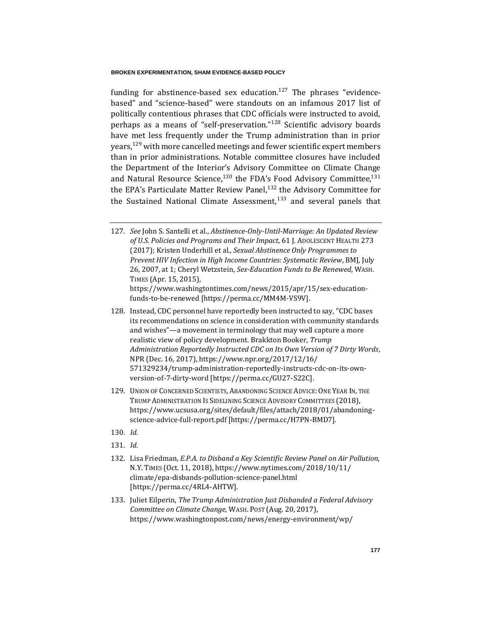funding for abstinence-based sex education. $127$  The phrases "evidencebased" and "science-based" were standouts on an infamous 2017 list of politically contentious phrases that CDC officials were instructed to avoid, perhaps as a means of "self-preservation."<sup>128</sup> Scientific advisory boards have met less frequently under the Trump administration than in prior years,<sup>129</sup> with more cancelled meetings and fewer scientific expert members than in prior administrations. Notable committee closures have included the Department of the Interior's Advisory Committee on Climate Change and Natural Resource Science, $130$  the FDA's Food Advisory Committee, $131$ the EPA's Particulate Matter Review Panel, $132$  the Advisory Committee for the Sustained National Climate Assessment, $133$  and several panels that

- 127*. See* John S. Santelli et al., *Abstinence-Only-Until-Marriage: An Updated Review of U.S. Policies and Programs and Their Impact*, 61 J. ADOLESCENT HEALTH 273 (2017); Kristen Underhill et al., *Sexual Abstinence Only Programmes to Prevent HIV Infection in High Income Countries: Systematic Review*, BMJ, July 26, 2007, at 1; Cheryl Wetzstein, *Sex-Education Funds to Be Renewed*, WASH. TIMES (Apr. 15, 2015), https://www.washingtontimes.com/news/2015/apr/15/sex-education
	- funds-to-be-renewed [https://perma.cc/MM4M-VS9V].
- 128. Instead, CDC personnel have reportedly been instructed to say, "CDC bases its recommendations on science in consideration with community standards and wishes"—a movement in terminology that may well capture a more realistic view of policy development. Brakkton Booker, *Trump Administration Reportedly Instructed CDC on Its Own Version of 7 Dirty Words*, NPR (Dec. 16, 2017), https://www.npr.org/2017/12/16/ 571329234/trump-administration-reportedly-instructs-cdc-on-its-ownversion-of-7-dirty-word [https://perma.cc/GU27-S22C].
- 129. UNION OF CONCERNED SCIENTISTS, ABANDONING SCIENCE ADVICE:ONE YEAR IN, THE TRUMP ADMINISTRATION IS SIDELINING SCIENCE ADVISORY COMMITTEES (2018), https://www.ucsusa.org/sites/default/files/attach/2018/01/abandoningscience-advice-full-report.pdf [https://perma.cc/H7PN-BMD7].
- 130*. Id.*
- 131*. Id.*
- 132. Lisa Friedman, *E.P.A. to Disband a Key Scientific Review Panel on Air Pollution*, N.Y. TIMES (Oct. 11, 2018), https://www.nytimes.com/2018/10/11/ climate/epa-disbands-pollution-science-panel.html [https://perma.cc/4RL4-AHTW].
- 133. Juliet Eilperin, *The Trump Administration Just Disbanded a Federal Advisory Committee on Climate Change,* WASH. POST (Aug. 20, 2017), https://www.washingtonpost.com/news/energy-environment/wp/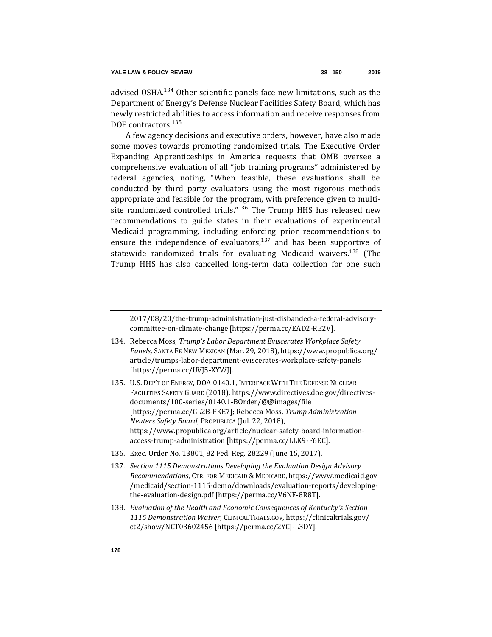advised OSHA.<sup>134</sup> Other scientific panels face new limitations, such as the Department of Energy's Defense Nuclear Facilities Safety Board, which has newly restricted abilities to access information and receive responses from DOE contractors.<sup>135</sup>

A few agency decisions and executive orders, however, have also made some moves towards promoting randomized trials. The Executive Order Expanding Apprenticeships in America requests that OMB oversee a comprehensive evaluation of all "job training programs" administered by federal agencies, noting, "When feasible, these evaluations shall be conducted by third party evaluators using the most rigorous methods appropriate and feasible for the program, with preference given to multisite randomized controlled trials."<sup>136</sup> The Trump HHS has released new recommendations to guide states in their evaluations of experimental Medicaid programming, including enforcing prior recommendations to ensure the independence of evaluators, $137$  and has been supportive of statewide randomized trials for evaluating Medicaid waivers.<sup>138</sup> (The Trump HHS has also cancelled long-term data collection for one such

2017/08/20/the-trump-administration-just-disbanded-a-federal-advisorycommittee-on-climate-change [https://perma.cc/EAD2-RE2V].

- 134. Rebecca Moss, *Trump's Labor Department Eviscerates Workplace Safety Panels,* SANTA FE NEW MEXICAN (Mar. 29, 2018), https://www.propublica.org/ article/trumps-labor-department-eviscerates-workplace-safety-panels [https://perma.cc/UVJ5-XYWJ].
- 135. U.S. DEP'T OF ENERGY, DOA 0140.1, INTERFACE WITH THE DEFENSE NUCLEAR FACILITIES SAFETY GUARD (2018), https://www.directives.doe.gov/directivesdocuments/100-series/0140.1-BOrder/@@images/file [https://perma.cc/GL2B-FKE7]; Rebecca Moss, *Trump Administration Neuters Safety Board*, PROPUBLICA (Jul. 22, 2018), https://www.propublica.org/article/nuclear-safety-board-informationaccess-trump-administration [https://perma.cc/LLK9-F6EC].
- 136. Exec. Order No. 13801, 82 Fed. Reg. 28229 (June 15, 2017).
- 137*. Section 1115 Demonstrations Developing the Evaluation Design Advisory Recommendations*, CTR. FOR MEDICAID & MEDICARE, https://www.medicaid.gov /medicaid/section-1115-demo/downloads/evaluation-reports/developingthe-evaluation-design.pdf [https://perma.cc/V6NF-8R8T].
- 138*. Evaluation of the Health and Economic Consequences of Kentucky's Section 1115 Demonstration Waiver*, CLINICALTRIALS.GOV, https://clinicaltrials.gov/ ct2/show/NCT03602456 [https://perma.cc/2YCJ-L3DY].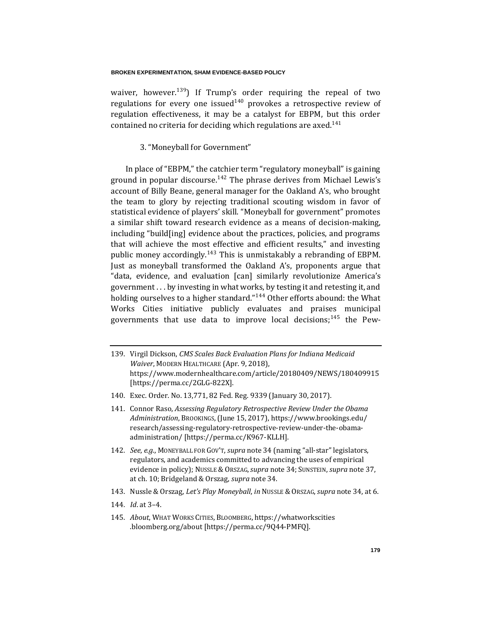waiver, however.<sup>139</sup>) If Trump's order requiring the repeal of two regulations for every one issued<sup>140</sup> provokes a retrospective review of regulation effectiveness, it may be a catalyst for EBPM, but this order contained no criteria for deciding which regulations are axed.<sup>141</sup>

# 3. "Moneyball for Government"

In place of "EBPM," the catchier term "regulatory moneyball" is gaining ground in popular discourse.<sup>142</sup> The phrase derives from Michael Lewis's account of Billy Beane, general manager for the Oakland A's, who brought the team to glory by rejecting traditional scouting wisdom in favor of statistical evidence of players' skill. "Moneyball for government" promotes a similar shift toward research evidence as a means of decision-making, including "build[ing] evidence about the practices, policies, and programs that will achieve the most effective and efficient results," and investing public money accordingly.<sup>143</sup> This is unmistakably a rebranding of EBPM. Just as moneyball transformed the Oakland A's, proponents argue that "data, evidence, and evaluation [can] similarly revolutionize America's government . . . by investing in what works, by testing it and retesting it, and holding ourselves to a higher standard."<sup>144</sup> Other efforts abound: the What Works Cities initiative publicly evaluates and praises municipal governments that use data to improve local decisions;  $145$  the Pew-

- 139. Virgil Dickson, *CMS Scales Back Evaluation Plans for Indiana Medicaid Waiver*, MODERN HEALTHCARE (Apr. 9, 2018), https://www.modernhealthcare.com/article/20180409/NEWS/180409915 [https://perma.cc/2GLG-822X].
- 140. Exec. Order. No. 13,771, 82 Fed. Reg. 9339 (January 30, 2017).
- 141. Connor Raso, *Assessing Regulatory Retrospective Review Under the Obama Administration*, BROOKINGS,(June 15, 2017), https://www.brookings.edu/ research/assessing-regulatory-retrospective-review-under-the-obamaadministration/ [https://perma.cc/K967-KLLH].
- 142*. See*, *e.g.*, MONEYBALL FOR GOV'T, *supra* not[e 34](#page-13-1) (naming "all-star" legislators, regulators, and academics committed to advancing the uses of empirical evidence in policy); NUSSLE & ORSZAG,*supra* not[e 34;](#page-13-1) SUNSTEIN, *supra* not[e 37,](#page-13-0)  at ch. 10; Bridgeland & Orszag, *supra* not[e 34.](#page-13-1)
- 143. Nussle & Orszag, *Let's Play Moneyball*, *in* NUSSLE & ORSZAG,*supra* not[e 34,](#page-13-1) at 6.
- 144*. Id*. at 3–4.
- 145*. About*, WHAT WORKS CITIES, BLOOMBERG, https://whatworkscities .bloomberg.org/about [https://perma.cc/9Q44-PMFQ].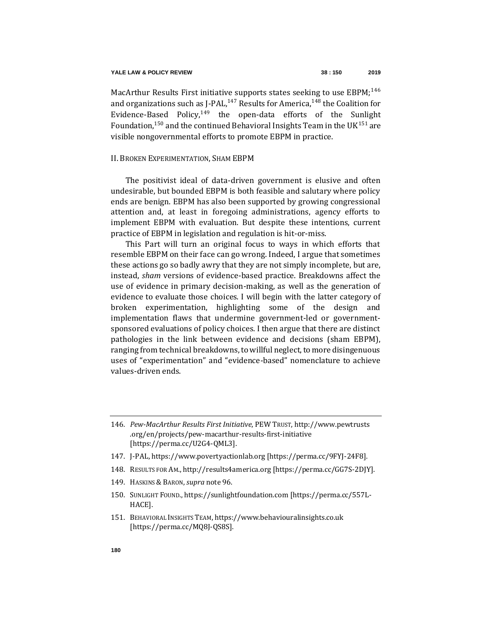MacArthur Results First initiative supports states seeking to use EBPM;<sup>146</sup> and organizations such as J-PAL, $^{147}$  Results for America, $^{148}$  the Coalition for Evidence-Based Policy, $149$  the open-data efforts of the Sunlight Foundation,  $150$  and the continued Behavioral Insights Team in the UK $151$  are visible nongovernmental efforts to promote EBPM in practice.

# II. BROKEN EXPERIMENTATION, SHAM EBPM

The positivist ideal of data-driven government is elusive and often undesirable, but bounded EBPM is both feasible and salutary where policy ends are benign. EBPM has also been supported by growing congressional attention and, at least in foregoing administrations, agency efforts to implement EBPM with evaluation. But despite these intentions, current practice of EBPM in legislation and regulation is hit-or-miss.

This Part will turn an original focus to ways in which efforts that resemble EBPM on their face can go wrong. Indeed, I argue that sometimes these actions go so badly awry that they are not simply incomplete, but are, instead, *sham* versions of evidence-based practice. Breakdowns affect the use of evidence in primary decision-making, as well as the generation of evidence to evaluate those choices. I will begin with the latter category of broken experimentation, highlighting some of the design and implementation flaws that undermine government-led or governmentsponsored evaluations of policy choices. I then argue that there are distinct pathologies in the link between evidence and decisions (sham EBPM), ranging from technical breakdowns, to willful neglect, to more disingenuous uses of "experimentation" and "evidence-based" nomenclature to achieve values-driven ends.

- 148. RESULTS FOR AM., http://results4america.org [https://perma.cc/GG7S-2DJY].
- 149. HASKINS & BARON, *supra* note [96.](#page-22-1)
- 150. SUNLIGHT FOUND., https://sunlightfoundation.com [https://perma.cc/557L-HACE].
- 151. BEHAVIORAL INSIGHTS TEAM, https://www.behaviouralinsights.co.uk [https://perma.cc/MQ8J-QS8S].

<sup>146</sup>*. Pew-MacArthur Results First Initiative*, PEW TRUST, http://www.pewtrusts .org/en/projects/pew-macarthur-results-first-initiative [https://perma.cc/U2G4-QML3].

<sup>147.</sup> J-PAL, https://www.povertyactionlab.org [https://perma.cc/9FYJ-24F8].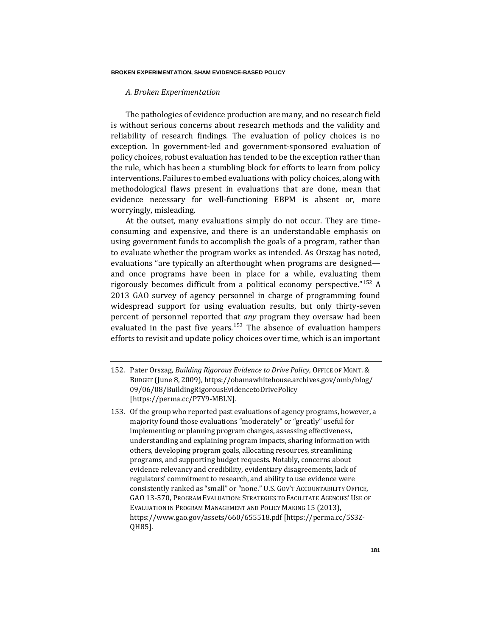# *A. Broken Experimentation*

The pathologies of evidence production are many, and no research field is without serious concerns about research methods and the validity and reliability of research findings. The evaluation of policy choices is no exception. In government-led and government-sponsored evaluation of policy choices, robust evaluation has tended to be the exception rather than the rule, which has been a stumbling block for efforts to learn from policy interventions. Failures to embed evaluations with policy choices, along with methodological flaws present in evaluations that are done, mean that evidence necessary for well-functioning EBPM is absent or, more worryingly, misleading.

At the outset, many evaluations simply do not occur. They are timeconsuming and expensive, and there is an understandable emphasis on using government funds to accomplish the goals of a program, rather than to evaluate whether the program works as intended. As Orszag has noted, evaluations "are typically an afterthought when programs are designed and once programs have been in place for a while, evaluating them rigorously becomes difficult from a political economy perspective."<sup>152</sup> A 2013 GAO survey of agency personnel in charge of programming found widespread support for using evaluation results, but only thirty-seven percent of personnel reported that *any* program they oversaw had been evaluated in the past five years.<sup>153</sup> The absence of evaluation hampers efforts to revisit and update policy choices over time, which is an important

<sup>152.</sup> Pater Orszag, *Building Rigorous Evidence to Drive Policy,* OFFICE OF MGMT.& BUDGET (June 8, 2009), https://obamawhitehouse.archives.gov/omb/blog/ 09/06/08/BuildingRigorousEvidencetoDrivePolicy [https://perma.cc/P7Y9-MBLN].

<sup>153.</sup> Of the group who reported past evaluations of agency programs, however, a majority found those evaluations "moderately" or "greatly" useful for implementing or planning program changes, assessing effectiveness, understanding and explaining program impacts, sharing information with others, developing program goals, allocating resources, streamlining programs, and supporting budget requests. Notably, concerns about evidence relevancy and credibility, evidentiary disagreements, lack of regulators' commitment to research, and ability to use evidence were consistently ranked as "small" or "none." U.S. GOV'T ACCOUNTABILITY OFFICE, GAO 13-570, PROGRAM EVALUATION: STRATEGIES TO FACILITATE AGENCIES' USE OF EVALUATION IN PROGRAM MANAGEMENT AND POLICY MAKING 15 (2013), https://www.gao.gov/assets/660/655518.pdf [https://perma.cc/5S3Z-QH85].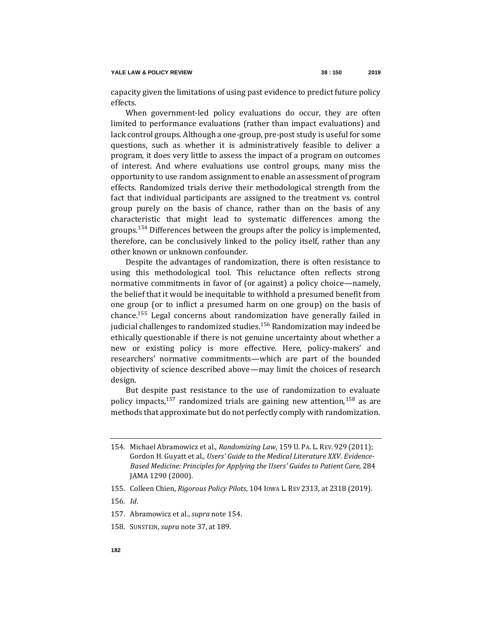capacity given the limitations of using past evidence to predict future policy effects.

When government-led policy evaluations do occur, they are often limited to performance evaluations (rather than impact evaluations) and lack control groups. Although a one-group, pre-post study is useful for some questions, such as whether it is administratively feasible to deliver a program, it does very little to assess the impact of a program on outcomes of interest. And where evaluations use control groups, many miss the opportunity to use random assignment to enable an assessment of program effects. Randomized trials derive their methodological strength from the fact that individual participants are assigned to the treatment vs. control group purely on the basis of chance, rather than on the basis of any characteristic that might lead to systematic differences among the groups.<sup>154</sup> Differences between the groups after the policy is implemented, therefore, can be conclusively linked to the policy itself, rather than any other known or unknown confounder.

<span id="page-32-0"></span>Despite the advantages of randomization, there is often resistance to using this methodological tool. This reluctance often reflects strong normative commitments in favor of (or against) a policy choice—namely, the belief that it would be inequitable to withhold a presumed benefit from one group (or to inflict a presumed harm on one group) on the basis of chance.<sup>155</sup> Legal concerns about randomization have generally failed in judicial challenges to randomized studies.<sup>156</sup> Randomization may indeed be ethically questionable if there is not genuine uncertainty about whether a new or existing policy is more effective. Here, policy-makers' and researchers' normative commitments—which are part of the bounded objectivity of science described above—may limit the choices of research design.

But despite past resistance to the use of randomization to evaluate policy impacts,<sup>157</sup> randomized trials are gaining new attention,<sup>158</sup> as are methods that approximate but do not perfectly comply with randomization.

<sup>154.</sup> Michael Abramowicz et al., *Randomizing Law*, 159 U. PA. L. REV. 929 (2011); Gordon H. Guyatt et al., *Users' Guide to the Medical Literature XXV. Evidence-Based Medicine: Principles for Applying the Users' Guides to Patient Care*, 284 JAMA 1290 (2000).

<sup>155.</sup> Colleen Chien, *Rigorous Policy Pilots*, 104 IOWA L. REV 2313, at 2318 (2019).

<sup>156</sup>*. Id*.

<sup>157.</sup> Abramowicz et al., *supra* note [154.](#page-32-0)

<sup>158.</sup> SUNSTEIN, *supra* not[e 37,](#page-13-0) a[t 189.](#page-42-0)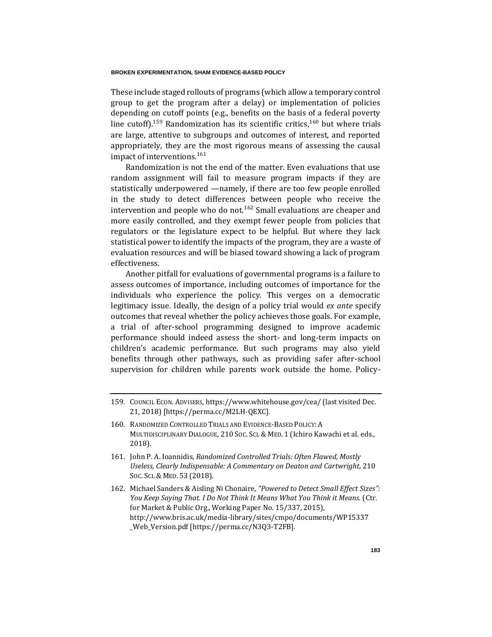These include staged rollouts of programs (which allow a temporary control group to get the program after a delay) or implementation of policies depending on cutoff points (e.g., benefits on the basis of a federal poverty line cutoff).<sup>159</sup> Randomization has its scientific critics,<sup>160</sup> but where trials are large, attentive to subgroups and outcomes of interest, and reported appropriately, they are the most rigorous means of assessing the causal impact of interventions.<sup>161</sup>

Randomization is not the end of the matter. Even evaluations that use random assignment will fail to measure program impacts if they are statistically underpowered —namely, if there are too few people enrolled in the study to detect differences between people who receive the intervention and people who do not.<sup>162</sup> Small evaluations are cheaper and more easily controlled, and they exempt fewer people from policies that regulators or the legislature expect to be helpful. But where they lack statistical power to identify the impacts of the program, they are a waste of evaluation resources and will be biased toward showing a lack of program effectiveness.

Another pitfall for evaluations of governmental programs is a failure to assess outcomes of importance, including outcomes of importance for the individuals who experience the policy. This verges on a democratic legitimacy issue. Ideally, the design of a policy trial would *ex ante* specify outcomes that reveal whether the policy achieves those goals. For example, a trial of after-school programming designed to improve academic performance should indeed assess the short- and long-term impacts on children's academic performance. But such programs may also yield benefits through other pathways, such as providing safer after-school supervision for children while parents work outside the home. Policy-

<sup>159.</sup> COUNCIL ECON. ADVISERS, https://www.whitehouse.gov/cea/ (last visited Dec. 21, 2018) [https://perma.cc/M2LH-QEXC].

<sup>160.</sup> RANDOMIZED CONTROLLED TRIALS AND EVIDENCE-BASED POLICY: A MULTIDISCIPLINARY DIALOGUE, 210 SOC. SCI. & MED. 1 (Ichiro Kawachi et al. eds., 2018).

<sup>161.</sup> John P. A. Ioannidis, *Randomized Controlled Trials: Often Flawed, Mostly Useless, Clearly Indispensable: A Commentary on Deaton and Cartwright*, 210 SOC. SCI. & MED. 53 (2018).

<sup>162.</sup> Michael Sanders & Aisling Ni Chonaire, *"Powered to Detect Small Effect Sizes": You Keep Saying That. I Do Not Think It Means What You Think it Means.* (Ctr. for Market & Public Org., Working Paper No. 15/337, 2015), http://www.bris.ac.uk/media-library/sites/cmpo/documents/WP15337 \_Web\_Version.pdf [https://perma.cc/N3Q3-T2FB].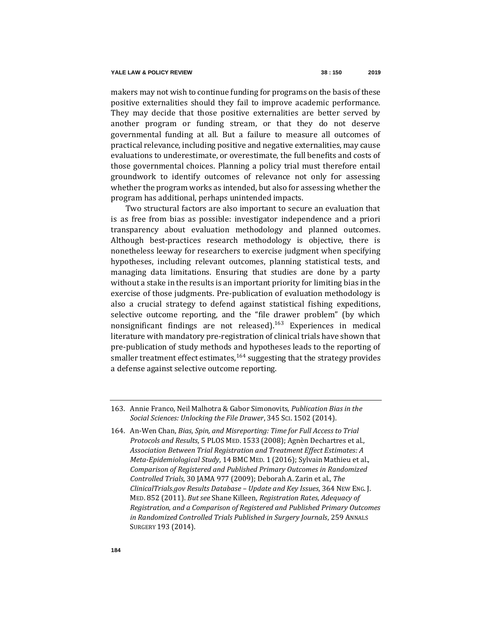makers may not wish to continue funding for programs on the basis of these positive externalities should they fail to improve academic performance. They may decide that those positive externalities are better served by another program or funding stream, or that they do not deserve governmental funding at all. But a failure to measure all outcomes of practical relevance, including positive and negative externalities, may cause evaluations to underestimate, or overestimate, the full benefits and costs of those governmental choices. Planning a policy trial must therefore entail groundwork to identify outcomes of relevance not only for assessing whether the program works as intended, but also for assessing whether the program has additional, perhaps unintended impacts.

Two structural factors are also important to secure an evaluation that is as free from bias as possible: investigator independence and a priori transparency about evaluation methodology and planned outcomes. Although best-practices research methodology is objective, there is nonetheless leeway for researchers to exercise judgment when specifying hypotheses, including relevant outcomes, planning statistical tests, and managing data limitations. Ensuring that studies are done by a party without a stake in the results is an important priority for limiting bias in the exercise of those judgments. Pre-publication of evaluation methodology is also a crucial strategy to defend against statistical fishing expeditions, selective outcome reporting, and the "file drawer problem" (by which nonsignificant findings are not released).<sup>163</sup> Experiences in medical literature with mandatory pre-registration of clinical trials have shown that pre-publication of study methods and hypotheses leads to the reporting of smaller treatment effect estimates, $164$  suggesting that the strategy provides a defense against selective outcome reporting.

<sup>163.</sup> Annie Franco, Neil Malhotra & Gabor Simonovits, *Publication Bias in the Social Sciences: Unlocking the File Drawer*, 345 SCI. 1502 (2014).

<sup>164.</sup> An-Wen Chan, *Bias, Spin, and Misreporting: Time for Full Access to Trial Protocols and Results*, 5 PLOS MED. 1533 (2008); Agnèn Dechartres et al., *Association Between Trial Registration and Treatment Effect Estimates: A Meta-Epidemiological Study*, 14 BMC MED. 1 (2016); Sylvain Mathieu et al., *Comparison of Registered and Published Primary Outcomes in Randomized Controlled Trials*, 30 JAMA 977 (2009); Deborah A. Zarin et al., *The ClinicalTrials.gov Results Database – Update and Key Issues*, 364 NEW ENG. J. MED. 852 (2011). *But see* Shane Killeen, *Registration Rates, Adequacy of Registration, and a Comparison of Registered and Published Primary Outcomes in Randomized Controlled Trials Published in Surgery Journals*, 259 ANNALS SURGERY 193 (2014).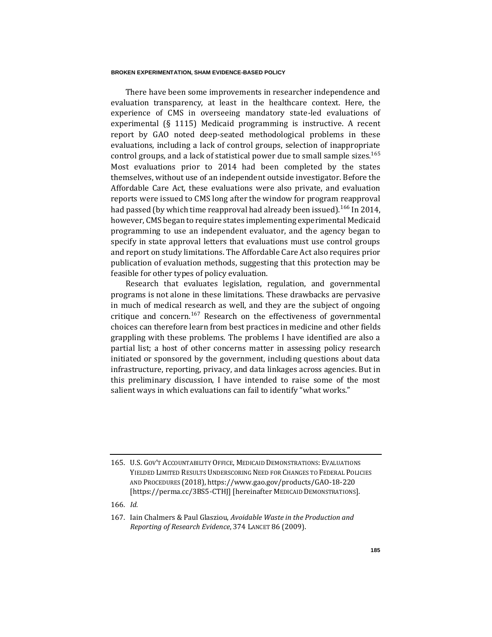There have been some improvements in researcher independence and evaluation transparency, at least in the healthcare context. Here, the experience of CMS in overseeing mandatory state-led evaluations of experimental (§ 1115) Medicaid programming is instructive. A recent report by GAO noted deep-seated methodological problems in these evaluations, including a lack of control groups, selection of inappropriate control groups, and a lack of statistical power due to small sample sizes.<sup>165</sup> Most evaluations prior to 2014 had been completed by the states themselves, without use of an independent outside investigator. Before the Affordable Care Act, these evaluations were also private, and evaluation reports were issued to CMS long after the window for program reapproval had passed (by which time reapproval had already been issued).<sup>166</sup> In 2014, however, CMS began to require states implementing experimental Medicaid programming to use an independent evaluator, and the agency began to specify in state approval letters that evaluations must use control groups and report on study limitations. The Affordable Care Act also requires prior publication of evaluation methods, suggesting that this protection may be feasible for other types of policy evaluation.

Research that evaluates legislation, regulation, and governmental programs is not alone in these limitations. These drawbacks are pervasive in much of medical research as well, and they are the subject of ongoing critique and concern.<sup>167</sup> Research on the effectiveness of governmental choices can therefore learn from best practices in medicine and other fields grappling with these problems. The problems I have identified are also a partial list; a host of other concerns matter in assessing policy research initiated or sponsored by the government, including questions about data infrastructure, reporting, privacy, and data linkages across agencies. But in this preliminary discussion, I have intended to raise some of the most salient ways in which evaluations can fail to identify "what works."

<sup>165.</sup> U.S. GOV'T ACCOUNTABILITY OFFICE, MEDICAID DEMONSTRATIONS: EVALUATIONS YIELDED LIMITED RESULTS UNDERSCORING NEED FOR CHANGES TO FEDERAL POLICIES AND PROCEDURES (2018), https://www.gao.gov/products/GAO-18-220 [https://perma.cc/3BS5-CTHJ] [hereinafter MEDICAID DEMONSTRATIONS].

<sup>166</sup>*. Id.*

<sup>167.</sup> Iain Chalmers & Paul Glasziou, *Avoidable Waste in the Production and Reporting of Research Evidence*, 374 LANCET 86 (2009).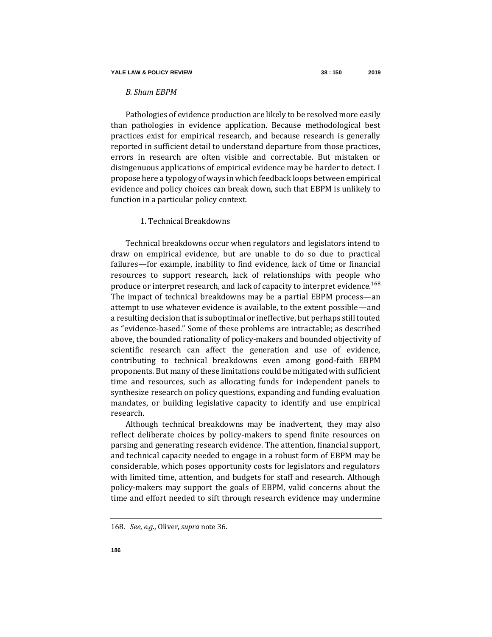## *B. Sham EBPM*

Pathologies of evidence production are likely to be resolved more easily than pathologies in evidence application. Because methodological best practices exist for empirical research, and because research is generally reported in sufficient detail to understand departure from those practices, errors in research are often visible and correctable. But mistaken or disingenuous applications of empirical evidence may be harder to detect. I propose here a typology of ways in which feedback loops between empirical evidence and policy choices can break down, such that EBPM is unlikely to function in a particular policy context.

# 1. Technical Breakdowns

Technical breakdowns occur when regulators and legislators intend to draw on empirical evidence, but are unable to do so due to practical failures—for example, inability to find evidence, lack of time or financial resources to support research, lack of relationships with people who produce or interpret research, and lack of capacity to interpret evidence.<sup>168</sup> The impact of technical breakdowns may be a partial EBPM process—an attempt to use whatever evidence is available, to the extent possible—and a resulting decision that is suboptimal or ineffective, but perhaps still touted as "evidence-based." Some of these problems are intractable; as described above, the bounded rationality of policy-makers and bounded objectivity of scientific research can affect the generation and use of evidence, contributing to technical breakdowns even among good-faith EBPM proponents. But many of these limitations could be mitigated with sufficient time and resources, such as allocating funds for independent panels to synthesize research on policy questions, expanding and funding evaluation mandates, or building legislative capacity to identify and use empirical research.

Although technical breakdowns may be inadvertent, they may also reflect deliberate choices by policy-makers to spend finite resources on parsing and generating research evidence. The attention, financial support, and technical capacity needed to engage in a robust form of EBPM may be considerable, which poses opportunity costs for legislators and regulators with limited time, attention, and budgets for staff and research. Although policy-makers may support the goals of EBPM, valid concerns about the time and effort needed to sift through research evidence may undermine

<sup>168</sup>*. See*, *e.g*., Oliver, *supra* not[e 36.](#page-13-0)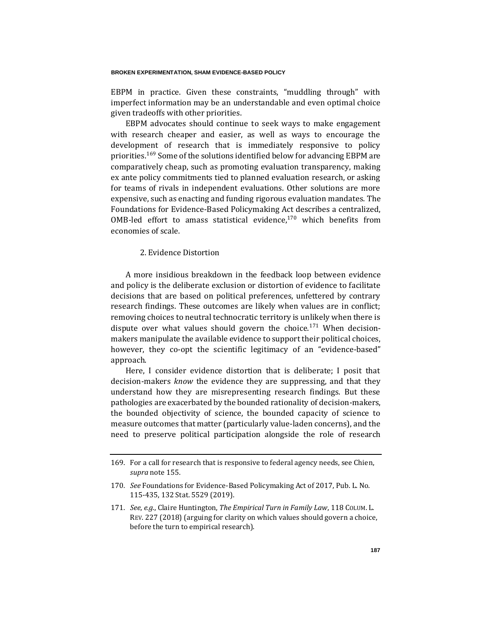EBPM in practice. Given these constraints, "muddling through" with imperfect information may be an understandable and even optimal choice given tradeoffs with other priorities.

EBPM advocates should continue to seek ways to make engagement with research cheaper and easier, as well as ways to encourage the development of research that is immediately responsive to policy priorities.<sup>169</sup> Some of the solutions identified below for advancing EBPM are comparatively cheap, such as promoting evaluation transparency, making ex ante policy commitments tied to planned evaluation research, or asking for teams of rivals in independent evaluations. Other solutions are more expensive, such as enacting and funding rigorous evaluation mandates. The Foundations for Evidence-Based Policymaking Act describes a centralized, OMB-led effort to amass statistical evidence, $170$  which benefits from economies of scale.

## <span id="page-37-0"></span>2. Evidence Distortion

A more insidious breakdown in the feedback loop between evidence and policy is the deliberate exclusion or distortion of evidence to facilitate decisions that are based on political preferences, unfettered by contrary research findings. These outcomes are likely when values are in conflict; removing choices to neutral technocratic territory is unlikely when there is dispute over what values should govern the choice.<sup>171</sup> When decisionmakers manipulate the available evidence to support their political choices, however, they co-opt the scientific legitimacy of an "evidence-based" approach.

Here, I consider evidence distortion that is deliberate; I posit that decision-makers *know* the evidence they are suppressing, and that they understand how they are misrepresenting research findings. But these pathologies are exacerbated by the bounded rationality of decision-makers, the bounded objectivity of science, the bounded capacity of science to measure outcomes that matter (particularly value-laden concerns), and the need to preserve political participation alongside the role of research

<sup>169.</sup> For a call for research that is responsive to federal agency needs, see Chien, *supra* note [155.](#page-32-0)

<sup>170</sup>*. See* Foundations for Evidence-Based Policymaking Act of 2017, Pub. L. No. 115-435, 132 Stat. 5529 (2019).

<sup>171</sup>*. See*, *e.g.*, Claire Huntington, *The Empirical Turn in Family Law*, 118 COLUM. L. REV. 227 (2018) (arguing for clarity on which values should govern a choice, before the turn to empirical research).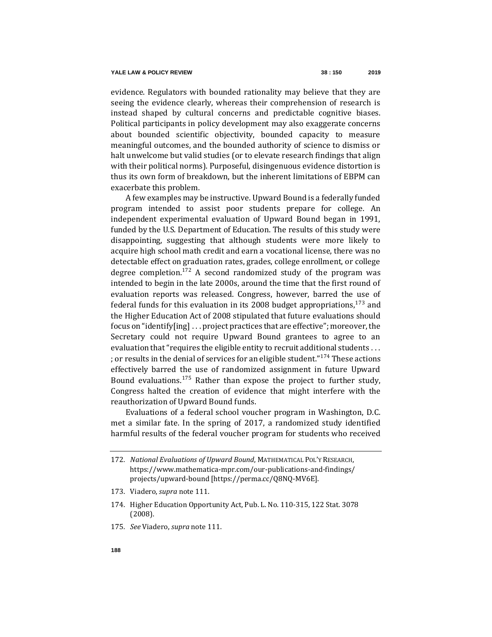evidence. Regulators with bounded rationality may believe that they are seeing the evidence clearly, whereas their comprehension of research is instead shaped by cultural concerns and predictable cognitive biases. Political participants in policy development may also exaggerate concerns about bounded scientific objectivity, bounded capacity to measure meaningful outcomes, and the bounded authority of science to dismiss or halt unwelcome but valid studies (or to elevate research findings that align with their political norms). Purposeful, disingenuous evidence distortion is thus its own form of breakdown, but the inherent limitations of EBPM can exacerbate this problem.

A few examples may be instructive. Upward Bound is a federally funded program intended to assist poor students prepare for college. An independent experimental evaluation of Upward Bound began in 1991, funded by the U.S. Department of Education. The results of this study were disappointing, suggesting that although students were more likely to acquire high school math credit and earn a vocational license, there was no detectable effect on graduation rates, grades, college enrollment, or college degree completion.<sup>172</sup> A second randomized study of the program was intended to begin in the late 2000s, around the time that the first round of evaluation reports was released. Congress, however, barred the use of federal funds for this evaluation in its 2008 budget appropriations,  $173$  and the Higher Education Act of 2008 stipulated that future evaluations should focus on "identify[ing] . . . project practices that are effective"; moreover, the Secretary could not require Upward Bound grantees to agree to an evaluation that "requires the eligible entity to recruit additional students . . . ; or results in the denial of services for an eligible student."<sup>174</sup> These actions effectively barred the use of randomized assignment in future Upward Bound evaluations.<sup>175</sup> Rather than expose the project to further study, Congress halted the creation of evidence that might interfere with the reauthorization of Upward Bound funds.

Evaluations of a federal school voucher program in Washington, D.C. met a similar fate. In the spring of 2017, a randomized study identified harmful results of the federal voucher program for students who received

- 173. Viadero, *supra* note [111.](#page-24-0)
- 174. [Higher](https://www.gpo.gov/fdsys/pkg/PLAW-110publ315/pdf/PLAW-110publ315.pdf) Education Opportunity Act, Pub. L. No. 110-315, 122 Stat. 3078 (2008).
- 175*. See* Viadero, *supra* not[e 111.](#page-24-0)

<sup>172</sup>*. National Evaluations of Upward Bound*, MATHEMATICAL POL'Y RESEARCH, https://www.mathematica-mpr.com/our-publications-and-findings/ projects/upward-bound [https://perma.cc/Q8NQ-MV6E].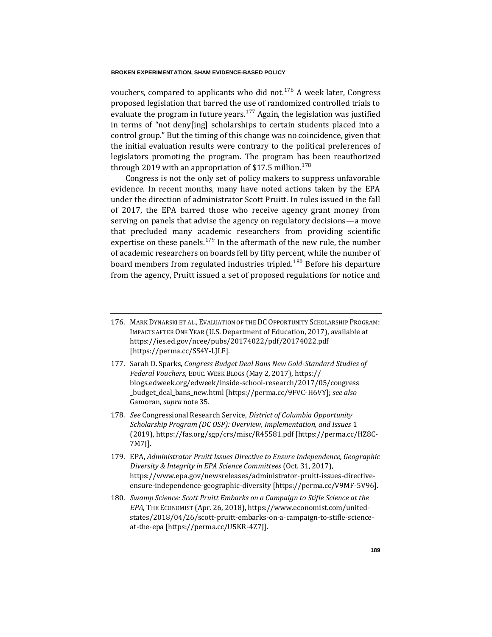vouchers, compared to applicants who did not.<sup>176</sup> A week later, Congress proposed legislation that barred the use of randomized controlled trials to evaluate the program in future years.<sup>177</sup> Again, the legislation was justified in terms of "not deny[ing] scholarships to certain students placed into a control group." But the timing of this change was no coincidence, given that the initial evaluation results were contrary to the political preferences of legislators promoting the program. The program has been reauthorized through 2019 with an appropriation of \$17.5 million.<sup>178</sup>

Congress is not the only set of policy makers to suppress unfavorable evidence. In recent months, many have noted actions taken by the EPA under the direction of administrator Scott Pruitt. In rules issued in the fall of 2017, the EPA barred those who receive agency grant money from serving on panels that advise the agency on regulatory decisions—a move that precluded many academic researchers from providing scientific expertise on these panels.<sup>179</sup> In the aftermath of the new rule, the number of academic researchers on boards fell by fifty percent, while the number of board members from regulated industries tripled.<sup>180</sup> Before his departure from the agency, Pruitt issued a set of proposed regulations for notice and

- <span id="page-39-0"></span>176. MARK DYNARSKI ET AL., EVALUATION OF THE DC OPPORTUNITY SCHOLARSHIP PROGRAM: IMPACTS AFTER ONE YEAR (U.S. Department of Education, 2017), available at https://ies.ed.gov/ncee/pubs/20174022/pdf/20174022.pdf [https://perma.cc/SS4Y-LJLF].
- 177. Sarah D. Sparks, *Congress Budget Deal Bans New Gold-Standard Studies of Federal Vouchers*, EDUC. WEEK BLOGS (May 2, 2017), https:// blogs.edweek.org/edweek/inside-school-research/2017/05/congress \_budget\_deal\_bans\_new.html [https://perma.cc/9FVC-H6VY]; *see also*  Gamoran, *supra* not[e 35.](#page-13-1)
- 178*. See* Congressional Research Service, *District of Columbia Opportunity Scholarship Program (DC OSP): Overview, Implementation, and Issues* 1 (2019), https://fas.org/sgp/crs/misc/R45581.pdf [https://perma.cc/HZ8C-7M7J].
- 179. EPA, *Administrator Pruitt Issues Directive to Ensure Independence, Geographic Diversity & Integrity in EPA Science Committees* (Oct. 31, 2017), https://www.epa.gov/newsreleases/administrator-pruitt-issues-directiveensure-independence-geographic-diversity [https://perma.cc/V9MF-5V96].
- 180*. Swamp Science: Scott Pruitt Embarks on a Campaign to Stifle Science at the EPA*, THE ECONOMIST (Apr. 26, 2018), https://www.economist.com/unitedstates/2018/04/26/scott-pruitt-embarks-on-a-campaign-to-stifle-scienceat-the-epa [https://perma.cc/U5KR-4Z7J].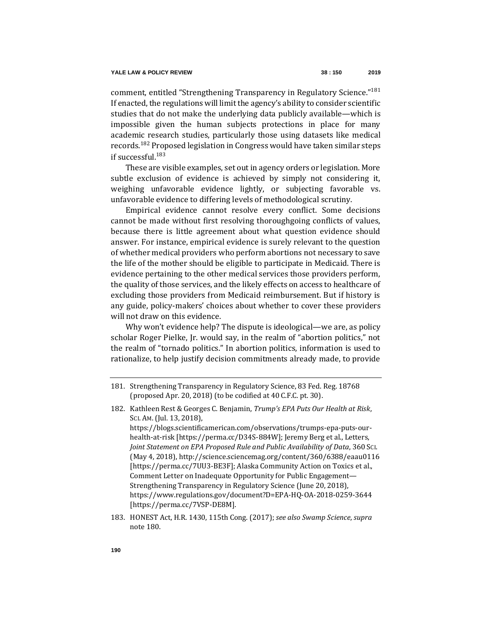comment, entitled "Strengthening Transparency in Regulatory Science."<sup>181</sup> If enacted, the regulations will limit the agency's ability to consider scientific studies that do not make the underlying data publicly available—which is impossible given the human subjects protections in place for many academic research studies, particularly those using datasets like medical records.<sup>182</sup> Proposed legislation in Congress would have taken similar steps if successful.<sup>183</sup>

These are visible examples, set out in agency orders or legislation. More subtle exclusion of evidence is achieved by simply not considering it, weighing unfavorable evidence lightly, or subjecting favorable vs. unfavorable evidence to differing levels of methodological scrutiny.

Empirical evidence cannot resolve every conflict. Some decisions cannot be made without first resolving thoroughgoing conflicts of values, because there is little agreement about what question evidence should answer. For instance, empirical evidence is surely relevant to the question of whether medical providers who perform abortions not necessary to save the life of the mother should be eligible to participate in Medicaid. There is evidence pertaining to the other medical services those providers perform, the quality of those services, and the likely effects on access to healthcare of excluding those providers from Medicaid reimbursement. But if history is any guide, policy-makers' choices about whether to cover these providers will not draw on this evidence.

Why won't evidence help? The dispute is ideological—we are, as policy scholar Roger Pielke, Jr. would say, in the realm of "abortion politics," not the realm of "tornado politics." In abortion politics, information is used to rationalize, to help justify decision commitments already made, to provide

health-at-risk [https://perma.cc/D34S-884W]; Jeremy Berg et al., Letters, *Joint Statement on EPA Proposed Rule and Public Availability of Data*, 360 SCI. (May 4, 2018), http://science.sciencemag.org/content/360/6388/eaau0116 [https://perma.cc/7UU3-BE3F]; Alaska Community Action on Toxics et al., Comment Letter on Inadequate Opportunity for Public Engagement— Strengthening Transparency in Regulatory Science (June 20, 2018), https://www.regulations.gov/document?D=EPA-HQ-OA-2018-0259-3644 [https://perma.cc/7VSP-DE8M].

183. HONEST Act, H.R. 1430, 115th Cong. (2017); *see also Swamp Science*, *supra* not[e 180.](#page-39-0)

<sup>181.</sup> Strengthening Transparency in Regulatory Science, 83 Fed. Reg. 18768 (proposed Apr. 20, 2018) (to be codified at 40 C.F.C. pt. 30).

<sup>182.</sup> Kathleen Rest & Georges C. Benjamin, *Trump's EPA Puts Our Health at Risk*, SCI. AM.(Jul. 13, 2018), https://blogs.scientificamerican.com/observations/trumps-epa-puts-our-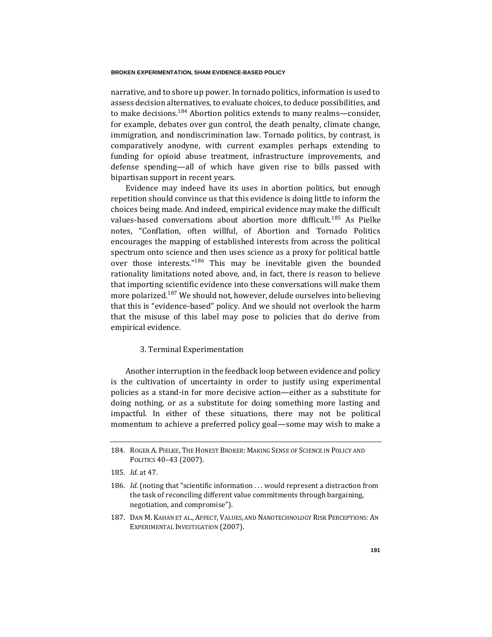narrative, and to shore up power. In tornado politics, information is used to assess decision alternatives, to evaluate choices, to deduce possibilities, and to make decisions.<sup>184</sup> Abortion politics extends to many realms—consider, for example, debates over gun control, the death penalty, climate change, immigration, and nondiscrimination law. Tornado politics, by contrast, is comparatively anodyne, with current examples perhaps extending to funding for opioid abuse treatment, infrastructure improvements, and defense spending—all of which have given rise to bills passed with bipartisan support in recent years.

Evidence may indeed have its uses in abortion politics, but enough repetition should convince us that this evidence is doing little to inform the choices being made. And indeed, empirical evidence may make the difficult values-based conversations about abortion more difficult.<sup>185</sup> As Pielke notes, "Conflation, often willful, of Abortion and Tornado Politics encourages the mapping of established interests from across the political spectrum onto science and then uses science as a proxy for political battle over those interests."<sup>186</sup> This may be inevitable given the bounded rationality limitations noted above, and, in fact, there is reason to believe that importing scientific evidence into these conversations will make them more polarized.<sup>187</sup> We should not, however, delude ourselves into believing that this is "evidence-based" policy. And we should not overlook the harm that the misuse of this label may pose to policies that do derive from empirical evidence.

# 3. Terminal Experimentation

Another interruption in the feedback loop between evidence and policy is the cultivation of uncertainty in order to justify using experimental policies as a stand-in for more decisive action—either as a substitute for doing nothing, or as a substitute for doing something more lasting and impactful. In either of these situations, there may not be political momentum to achieve a preferred policy goal—some may wish to make a

187. DAN M. KAHAN ET AL., AFFECT, VALUES, AND NANOTECHNOLOGY RISK PERCEPTIONS: AN EXPERIMENTAL INVESTIGATION (2007).

<sup>184.</sup> ROGER A. PIELKE, THE HONEST BROKER: MAKING SENSE OF SCIENCE IN POLICY AND POLITICS 40–43 (2007).

<sup>185</sup>*. Id.* at 47.

<sup>186</sup>*. Id.* (noting that "scientific information . . . would represent a distraction from the task of reconciling different value commitments through bargaining, negotiation, and compromise").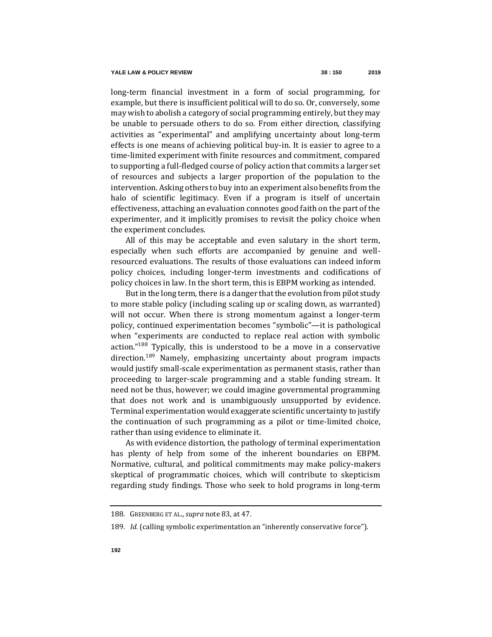long-term financial investment in a form of social programming, for example, but there is insufficient political will to do so. Or, conversely, some may wish to abolish a category of social programming entirely, but they may be unable to persuade others to do so. From either direction, classifying activities as "experimental" and amplifying uncertainty about long-term effects is one means of achieving political buy-in. It is easier to agree to a time-limited experiment with finite resources and commitment, compared to supporting a full-fledged course of policy action that commits a larger set of resources and subjects a larger proportion of the population to the intervention. Asking others to buy into an experiment also benefits from the halo of scientific legitimacy. Even if a program is itself of uncertain effectiveness, attaching an evaluation connotes good faith on the part of the experimenter, and it implicitly promises to revisit the policy choice when the experiment concludes.

All of this may be acceptable and even salutary in the short term, especially when such efforts are accompanied by genuine and wellresourced evaluations. The results of those evaluations can indeed inform policy choices, including longer-term investments and codifications of policy choices in law. In the short term, this is EBPM working as intended.

But in the long term, there is a danger that the evolution from pilot study to more stable policy (including scaling up or scaling down, as warranted) will not occur. When there is strong momentum against a longer-term policy, continued experimentation becomes "symbolic"—it is pathological when "experiments are conducted to replace real action with symbolic action."<sup>188</sup> Typically, this is understood to be a move in a conservative direction.<sup>189</sup> Namely, emphasizing uncertainty about program impacts would justify small-scale experimentation as permanent stasis, rather than proceeding to larger-scale programming and a stable funding stream. It need not be thus, however; we could imagine governmental programming that does not work and is unambiguously unsupported by evidence. Terminal experimentation would exaggerate scientific uncertainty to justify the continuation of such programming as a pilot or time-limited choice, rather than using evidence to eliminate it.

As with evidence distortion, the pathology of terminal experimentation has plenty of help from some of the inherent boundaries on EBPM. Normative, cultural, and political commitments may make policy-makers skeptical of programmatic choices, which will contribute to skepticism regarding study findings. Those who seek to hold programs in long-term

<sup>188.</sup> GREENBERG ET AL., *supra* note [83,](#page-21-0) at 47.

<sup>189</sup>*. Id.* (calling symbolic experimentation an "inherently conservative force").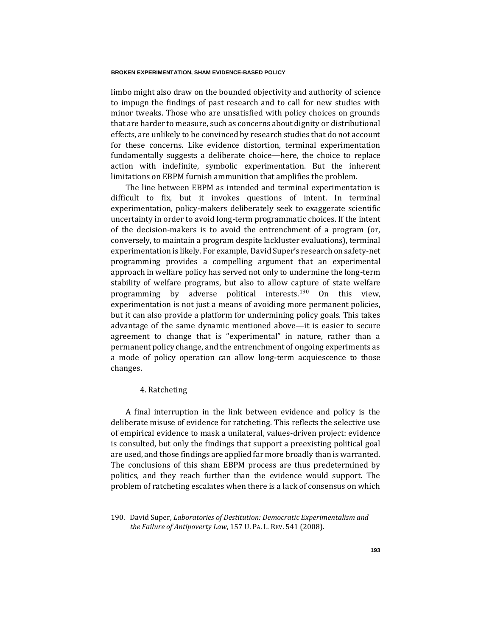limbo might also draw on the bounded objectivity and authority of science to impugn the findings of past research and to call for new studies with minor tweaks. Those who are unsatisfied with policy choices on grounds that are harder to measure, such as concerns about dignity or distributional effects, are unlikely to be convinced by research studies that do not account for these concerns. Like evidence distortion, terminal experimentation fundamentally suggests a deliberate choice—here, the choice to replace action with indefinite, symbolic experimentation. But the inherent limitations on EBPM furnish ammunition that amplifies the problem.

The line between EBPM as intended and terminal experimentation is difficult to fix, but it invokes questions of intent. In terminal experimentation, policy-makers deliberately seek to exaggerate scientific uncertainty in order to avoid long-term programmatic choices. If the intent of the decision-makers is to avoid the entrenchment of a program (or, conversely, to maintain a program despite lackluster evaluations), terminal experimentation is likely. For example, David Super's research on safety-net programming provides a compelling argument that an experimental approach in welfare policy has served not only to undermine the long-term stability of welfare programs, but also to allow capture of state welfare programming by adverse political interests.<sup>190</sup> On this view. experimentation is not just a means of avoiding more permanent policies, but it can also provide a platform for undermining policy goals. This takes advantage of the same dynamic mentioned above—it is easier to secure agreement to change that is "experimental" in nature, rather than a permanent policy change, and the entrenchment of ongoing experiments as a mode of policy operation can allow long-term acquiescence to those changes.

## 4. Ratcheting

A final interruption in the link between evidence and policy is the deliberate misuse of evidence for ratcheting. This reflects the selective use of empirical evidence to mask a unilateral, values-driven project: evidence is consulted, but only the findings that support a preexisting political goal are used, and those findings are applied far more broadly than is warranted. The conclusions of this sham EBPM process are thus predetermined by politics, and they reach further than the evidence would support. The problem of ratcheting escalates when there is a lack of consensus on which

<sup>190.</sup> David Super, *Laboratories of Destitution: Democratic Experimentalism and the Failure of Antipoverty Law*, 157 U. PA. L. REV. 541 (2008).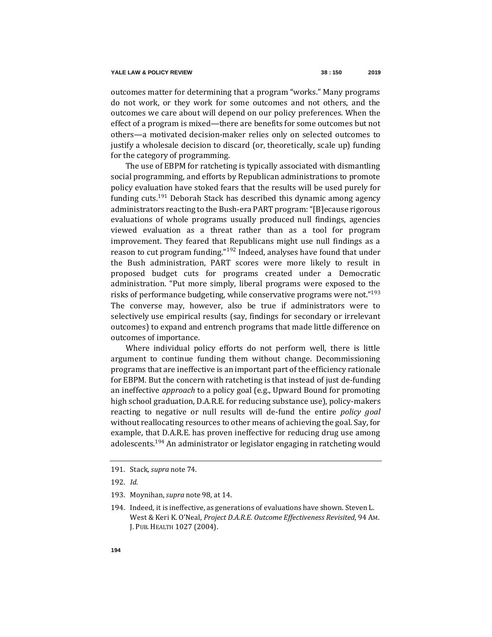outcomes matter for determining that a program "works." Many programs do not work, or they work for some outcomes and not others, and the outcomes we care about will depend on our policy preferences. When the effect of a program is mixed—there are benefits for some outcomes but not others—a motivated decision-maker relies only on selected outcomes to justify a wholesale decision to discard (or, theoretically, scale up) funding for the category of programming.

The use of EBPM for ratcheting is typically associated with dismantling social programming, and efforts by Republican administrations to promote policy evaluation have stoked fears that the results will be used purely for funding cuts.<sup>191</sup> Deborah Stack has described this dynamic among agency administrators reacting to the Bush-era PART program: "[B]ecause rigorous evaluations of whole programs usually produced null findings, agencies viewed evaluation as a threat rather than as a tool for program improvement. They feared that Republicans might use null findings as a reason to cut program funding."<sup>192</sup> Indeed, analyses have found that under the Bush administration, PART scores were more likely to result in proposed budget cuts for programs created under a Democratic administration. "Put more simply, liberal programs were exposed to the risks of performance budgeting, while conservative programs were not."<sup>193</sup> The converse may, however, also be true if administrators were to selectively use empirical results (say, findings for secondary or irrelevant outcomes) to expand and entrench programs that made little difference on outcomes of importance.

Where individual policy efforts do not perform well, there is little argument to continue funding them without change. Decommissioning programs that are ineffective is an important part of the efficiency rationale for EBPM. But the concern with ratcheting is that instead of just de-funding an ineffective *approach* to a policy goal (e.g., Upward Bound for promoting high school graduation, D.A.R.E. for reducing substance use), policy-makers reacting to negative or null results will de-fund the entire *policy goal* without reallocating resources to other means of achieving the goal. Say, for example, that D.A.R.E. has proven ineffective for reducing drug use among adolescents.<sup>194</sup> An administrator or legislator engaging in ratcheting would

- 193. Moynihan, *supra* not[e 98,](#page-23-0) at 14.
- 194. Indeed, it is ineffective, as generations of evaluations have shown. Steven L. West & Keri K. O'Neal, *Project D.A.R.E. Outcome Effectiveness Revisited*, 94 AM. J. PUB. HEALTH 1027 (2004).

<sup>191.</sup> Stack, *supra* not[e 74.](#page-20-0)

<sup>192</sup>*. Id.*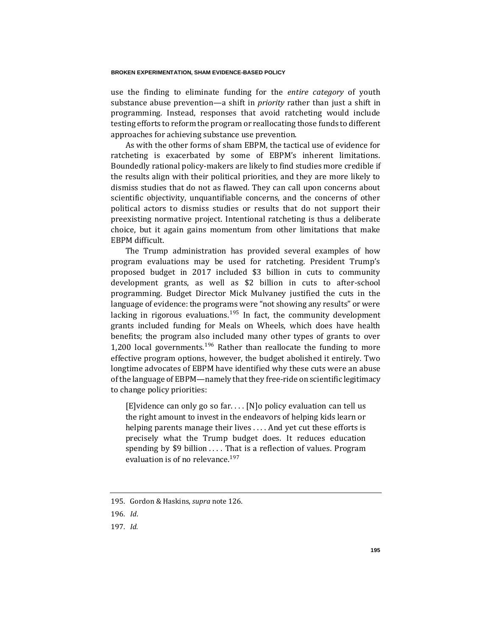use the finding to eliminate funding for the *entire category* of youth substance abuse prevention—a shift in *priority* rather than just a shift in programming. Instead, responses that avoid ratcheting would include testing efforts to reform the program or reallocating those funds to different approaches for achieving substance use prevention.

As with the other forms of sham EBPM, the tactical use of evidence for ratcheting is exacerbated by some of EBPM's inherent limitations. Boundedly rational policy-makers are likely to find studies more credible if the results align with their political priorities, and they are more likely to dismiss studies that do not as flawed. They can call upon concerns about scientific objectivity, unquantifiable concerns, and the concerns of other political actors to dismiss studies or results that do not support their preexisting normative project. Intentional ratcheting is thus a deliberate choice, but it again gains momentum from other limitations that make EBPM difficult.

The Trump administration has provided several examples of how program evaluations may be used for ratcheting. President Trump's proposed budget in 2017 included \$3 billion in cuts to community development grants, as well as \$2 billion in cuts to after-school programming. Budget Director Mick Mulvaney justified the cuts in the language of evidence: the programs were "not showing any results" or were lacking in rigorous evaluations.<sup>195</sup> In fact, the community development grants included funding for Meals on Wheels, which does have health benefits; the program also included many other types of grants to over 1,200 local governments.<sup>196</sup> Rather than reallocate the funding to more effective program options, however, the budget abolished it entirely. Two longtime advocates of EBPM have identified why these cuts were an abuse of the language of EBPM—namely that they free-ride on scientific legitimacy to change policy priorities:

[E]vidence can only go so far. . . . [N]o policy evaluation can tell us the right amount to invest in the endeavors of helping kids learn or helping parents manage their lives . . . . And yet cut these efforts is precisely what the Trump budget does. It reduces education spending by \$9 billion .... That is a reflection of values. Program evaluation is of no relevance.<sup>197</sup>

197*. Id.*

<sup>195.</sup> Gordon & Haskins, *supra* not[e 126.](#page-26-0)

<sup>196</sup>*. Id*.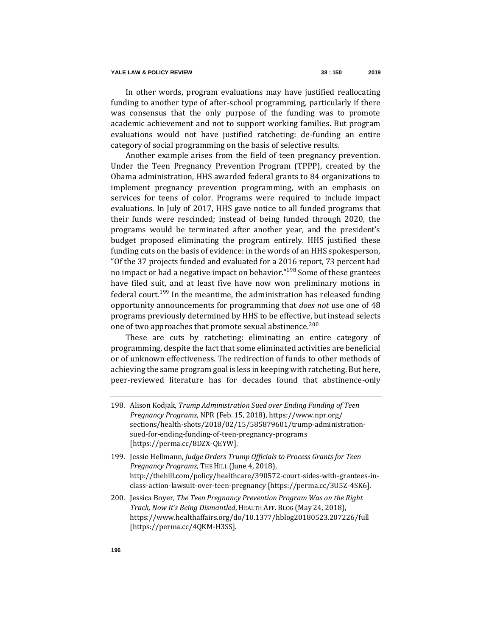In other words, program evaluations may have justified reallocating funding to another type of after-school programming, particularly if there was consensus that the only purpose of the funding was to promote academic achievement and not to support working families. But program evaluations would not have justified ratcheting: de-funding an entire category of social programming on the basis of selective results.

Another example arises from the field of teen pregnancy prevention. Under the Teen Pregnancy Prevention Program (TPPP), created by the Obama administration, HHS awarded federal grants to 84 organizations to implement pregnancy prevention programming, with an emphasis on services for teens of color. Programs were required to include impact evaluations. In July of 2017, HHS gave notice to all funded programs that their funds were rescinded; instead of being funded through 2020, the programs would be terminated after another year, and the president's budget proposed eliminating the program entirely. HHS justified these funding cuts on the basis of evidence: in the words of an HHS spokesperson, "Of the 37 projects funded and evaluated for a 2016 report, 73 percent had no impact or had a negative impact on behavior."<sup>198</sup> Some of these grantees have filed suit, and at least five have now won preliminary motions in federal court.<sup>199</sup> In the meantime, the administration has released funding opportunity announcements for programming that *does not* use one of 48 programs previously determined by HHS to be effective, but instead selects one of two approaches that promote sexual abstinence.<sup>200</sup>

These are cuts by ratcheting: eliminating an entire category of programming, despite the fact that some eliminated activities are beneficial or of unknown effectiveness. The redirection of funds to other methods of achieving the same program goal is less in keeping with ratcheting. But here, peer-reviewed literature has for decades found that abstinence-only

<sup>198.</sup> Alison Kodjak, *Trump Administration Sued over Ending Funding of Teen Pregnancy Programs*, NPR (Feb. 15, 2018), https://www.npr.org/ sections/health-shots/2018/02/15/585879601/trump-administrationsued-for-ending-funding-of-teen-pregnancy-programs [https://perma.cc/8DZX-QEYW].

<sup>199.</sup> Jessie Hellmann, *Judge Orders Trump Officials to Process Grants for Teen Pregnancy Programs*, THE HILL (June 4, 2018), [http://thehill.com/policy/healthcare/390572-court-sides-with-grantees-in](http://thehill.com/policy/healthcare/390572-court-sides-with-grantees-in-class-action-lawsuit-over-teen-pregnancy)[class-action-lawsuit-over-teen-pregnancy](http://thehill.com/policy/healthcare/390572-court-sides-with-grantees-in-class-action-lawsuit-over-teen-pregnancy) [https://perma.cc/3U5Z-4SK6].

<sup>200.</sup> Jessica Boyer, *The Teen Pregnancy Prevention Program Was on the Right Track, Now It's Being Dismantled*, HEALTH AFF. BLOG (May 24, 2018), https://www.healthaffairs.org/do/10.1377/hblog20180523.207226/full [https://perma.cc/4QKM-H3SS].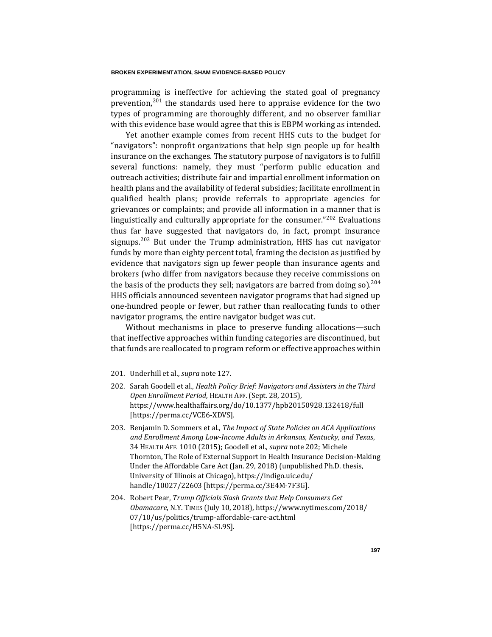programming is ineffective for achieving the stated goal of pregnancy prevention,  $201$  the standards used here to appraise evidence for the two types of programming are thoroughly different, and no observer familiar with this evidence base would agree that this is EBPM working as intended.

<span id="page-47-0"></span>Yet another example comes from recent HHS cuts to the budget for "navigators": nonprofit organizations that help sign people up for health insurance on the exchanges. The statutory purpose of navigators is to fulfill several functions: namely, they must "perform public education and outreach activities; distribute fair and impartial enrollment information on health plans and the availability of federal subsidies; facilitate enrollment in qualified health plans; provide referrals to appropriate agencies for grievances or complaints; and provide all information in a manner that is linguistically and culturally appropriate for the consumer."<sup>202</sup> Evaluations thus far have suggested that navigators do, in fact, prompt insurance signups.<sup>203</sup> But under the Trump administration. HHS has cut navigator funds by more than eighty percent total, framing the decision as justified by evidence that navigators sign up fewer people than insurance agents and brokers (who differ from navigators because they receive commissions on the basis of the products they sell; navigators are barred from doing so).<sup>204</sup> HHS officials announced seventeen navigator programs that had signed up one-hundred people or fewer, but rather than reallocating funds to other navigator programs, the entire navigator budget was cut.

Without mechanisms in place to preserve funding allocations—such that ineffective approaches within funding categories are discontinued, but that funds are reallocated to program reform or effective approaches within

204. Robert Pear, *Trump Officials Slash Grants that Help Consumers Get Obamacare*, N.Y. TIMES (July 10, 2018), https://www.nytimes.com/2018/ 07/10/us/politics/trump-affordable-care-act.html [https://perma.cc/H5NA-SL9S].

<sup>201.</sup> Underhill et al., *supra* not[e 127.](#page-27-0)

<sup>202.</sup> Sarah Goodell et al., *Health Policy Brief: Navigators and Assisters in the Third Open Enrollment Period*, HEALTH AFF.(Sept. 28, 2015), https://www.healthaffairs.org/do/10.1377/hpb20150928.132418/full [https://perma.cc/VCE6-XDVS].

<sup>203.</sup> Benjamin D. Sommers et al., *The Impact of State Policies on ACA Applications and Enrollment Among Low-Income Adults in Arkansas, Kentucky, and Texas*, 34 HEALTH AFF. 1010 (2015); Goodell et al., *supra* not[e 202;](#page-47-0) [Michele](https://indigo.uic.edu/handle/10027/22603) Thornton, The Role of External Support in Health Insurance Decision-Making Under the Affordable Care Act (Jan. 29, 2018) (unpublished Ph.D. thesis, University of Illinois at Chicago), https://indigo.uic.edu/ handle/10027/22603 [https://perma.cc/3E4M-7F3G].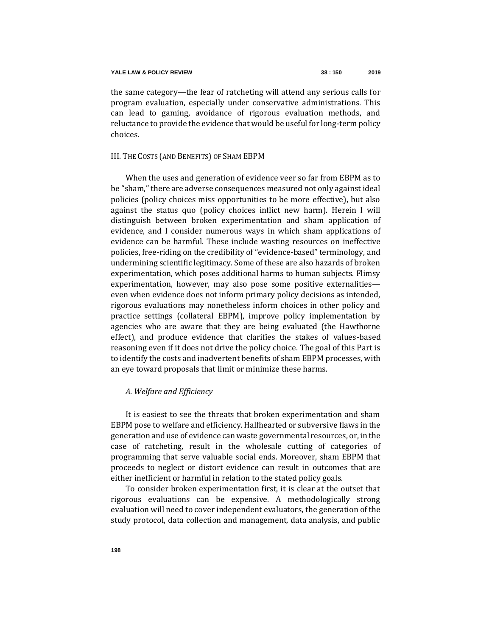the same category—the fear of ratcheting will attend any serious calls for program evaluation, especially under conservative administrations. This can lead to gaming, avoidance of rigorous evaluation methods, and reluctance to provide the evidence that would be useful for long-term policy choices.

## III. THE COSTS (AND BENEFITS) OF SHAM EBPM

When the uses and generation of evidence veer so far from EBPM as to be "sham," there are adverse consequences measured not only against ideal policies (policy choices miss opportunities to be more effective), but also against the status quo (policy choices inflict new harm). Herein I will distinguish between broken experimentation and sham application of evidence, and I consider numerous ways in which sham applications of evidence can be harmful. These include wasting resources on ineffective policies, free-riding on the credibility of "evidence-based" terminology, and undermining scientific legitimacy. Some of these are also hazards of broken experimentation, which poses additional harms to human subjects. Flimsy experimentation, however, may also pose some positive externalities even when evidence does not inform primary policy decisions as intended, rigorous evaluations may nonetheless inform choices in other policy and practice settings (collateral EBPM), improve policy implementation by agencies who are aware that they are being evaluated (the Hawthorne effect), and produce evidence that clarifies the stakes of values-based reasoning even if it does not drive the policy choice. The goal of this Part is to identify the costs and inadvertent benefits of sham EBPM processes, with an eye toward proposals that limit or minimize these harms.

### *A. Welfare and Efficiency*

It is easiest to see the threats that broken experimentation and sham EBPM pose to welfare and efficiency. Halfhearted or subversive flaws in the generation and use of evidence can waste governmental resources, or, in the case of ratcheting, result in the wholesale cutting of categories of programming that serve valuable social ends. Moreover, sham EBPM that proceeds to neglect or distort evidence can result in outcomes that are either inefficient or harmful in relation to the stated policy goals.

To consider broken experimentation first, it is clear at the outset that rigorous evaluations can be expensive. A methodologically strong evaluation will need to cover independent evaluators, the generation of the study protocol, data collection and management, data analysis, and public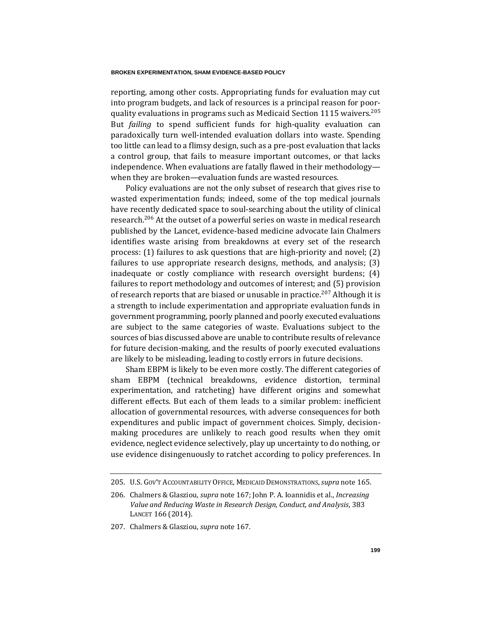reporting, among other costs. Appropriating funds for evaluation may cut into program budgets, and lack of resources is a principal reason for poorquality evaluations in programs such as Medicaid Section 1115 waivers.<sup>205</sup> But *failing* to spend sufficient funds for high-quality evaluation can paradoxically turn well-intended evaluation dollars into waste. Spending too little can lead to a flimsy design, such as a pre-post evaluation that lacks a control group, that fails to measure important outcomes, or that lacks independence. When evaluations are fatally flawed in their methodology when they are broken—evaluation funds are wasted resources.

Policy evaluations are not the only subset of research that gives rise to wasted experimentation funds; indeed, some of the top medical journals have recently dedicated space to soul-searching about the utility of clinical research.<sup>206</sup> At the outset of a powerful series on waste in medical research published by the Lancet, evidence-based medicine advocate Iain Chalmers identifies waste arising from breakdowns at every set of the research process: (1) failures to ask questions that are high-priority and novel; (2) failures to use appropriate research designs, methods, and analysis; (3) inadequate or costly compliance with research oversight burdens; (4) failures to report methodology and outcomes of interest; and (5) provision of research reports that are biased or unusable in practice.<sup>207</sup> Although it is a strength to include experimentation and appropriate evaluation funds in government programming, poorly planned and poorly executed evaluations are subject to the same categories of waste. Evaluations subject to the sources of bias discussed above are unable to contribute results of relevance for future decision-making, and the results of poorly executed evaluations are likely to be misleading, leading to costly errors in future decisions.

Sham EBPM is likely to be even more costly. The different categories of sham EBPM (technical breakdowns, evidence distortion, terminal experimentation, and ratcheting) have different origins and somewhat different effects. But each of them leads to a similar problem: inefficient allocation of governmental resources, with adverse consequences for both expenditures and public impact of government choices. Simply, decisionmaking procedures are unlikely to reach good results when they omit evidence, neglect evidence selectively, play up uncertainty to do nothing, or use evidence disingenuously to ratchet according to policy preferences. In

<sup>205.</sup> U.S. GOV'T ACCOUNTABILITY OFFICE, MEDICAID DEMONSTRATIONS, *supra* not[e 165.](#page-35-0)

<sup>206.</sup> Chalmers & Glasziou, *supra* not[e 167;](#page-35-1) John P. A. Ioannidis et al., *Increasing Value and Reducing Waste in Research Design, Conduct, and Analysis*, 383 LANCET 166 (2014).

<sup>207.</sup> Chalmers & Glasziou, *supra* not[e 167.](#page-35-1)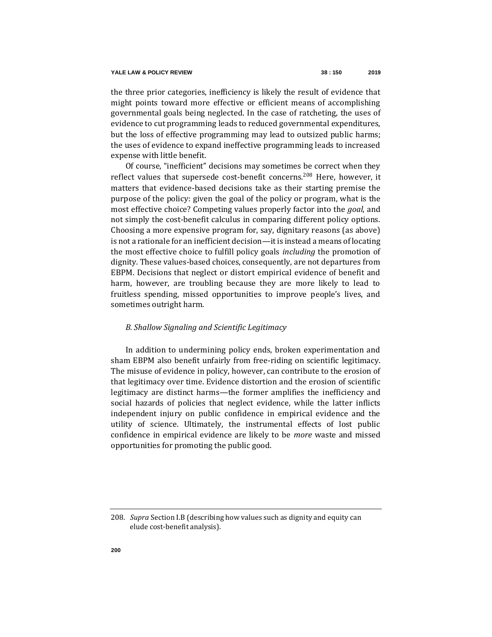the three prior categories, inefficiency is likely the result of evidence that might points toward more effective or efficient means of accomplishing governmental goals being neglected. In the case of ratcheting, the uses of evidence to cut programming leads to reduced governmental expenditures, but the loss of effective programming may lead to outsized public harms; the uses of evidence to expand ineffective programming leads to increased expense with little benefit.

Of course, "inefficient" decisions may sometimes be correct when they reflect values that supersede cost-benefit concerns.<sup>208</sup> Here, however, it matters that evidence-based decisions take as their starting premise the purpose of the policy: given the goal of the policy or program, what is the most effective choice? Competing values properly factor into the *goal*, and not simply the cost-benefit calculus in comparing different policy options. Choosing a more expensive program for, say, dignitary reasons (as above) is not a rationale for an inefficient decision—it is instead a means of locating the most effective choice to fulfill policy goals *including* the promotion of dignity. These values-based choices, consequently, are not departures from EBPM. Decisions that neglect or distort empirical evidence of benefit and harm, however, are troubling because they are more likely to lead to fruitless spending, missed opportunities to improve people's lives, and sometimes outright harm.

# *B. Shallow Signaling and Scientific Legitimacy*

In addition to undermining policy ends, broken experimentation and sham EBPM also benefit unfairly from free-riding on scientific legitimacy. The misuse of evidence in policy, however, can contribute to the erosion of that legitimacy over time. Evidence distortion and the erosion of scientific legitimacy are distinct harms—the former amplifies the inefficiency and social hazards of policies that neglect evidence, while the latter inflicts independent injury on public confidence in empirical evidence and the utility of science. Ultimately, the instrumental effects of lost public confidence in empirical evidence are likely to be *more* waste and missed opportunities for promoting the public good.

<sup>208</sup>*. Supra* Section I.B (describing how values such as dignity and equity can elude cost-benefit analysis).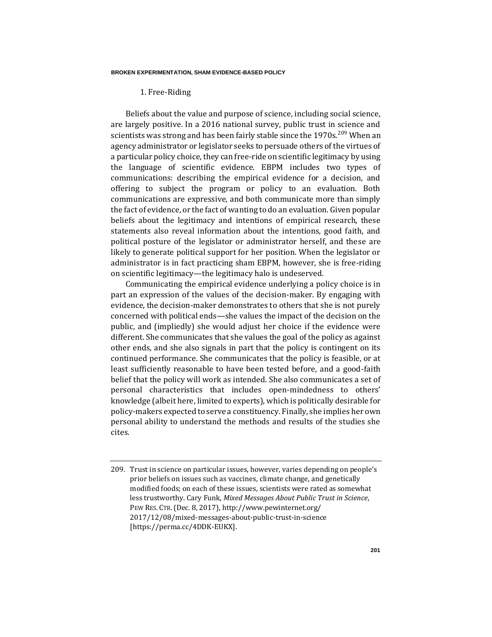## 1. Free-Riding

Beliefs about the value and purpose of science, including social science, are largely positive. In a 2016 national survey, public trust in science and scientists was strong and has been fairly stable since the  $1970s$ .<sup>209</sup> When an agency administrator or legislator seeks to persuade others of the virtues of a particular policy choice, they can free-ride on scientific legitimacy by using the language of scientific evidence. EBPM includes two types of communications: describing the empirical evidence for a decision, and offering to subject the program or policy to an evaluation. Both communications are expressive, and both communicate more than simply the fact of evidence, or the fact of wanting to do an evaluation. Given popular beliefs about the legitimacy and intentions of empirical research, these statements also reveal information about the intentions, good faith, and political posture of the legislator or administrator herself, and these are likely to generate political support for her position. When the legislator or administrator is in fact practicing sham EBPM, however, she is free-riding on scientific legitimacy—the legitimacy halo is undeserved.

Communicating the empirical evidence underlying a policy choice is in part an expression of the values of the decision-maker. By engaging with evidence, the decision-maker demonstrates to others that she is not purely concerned with political ends—she values the impact of the decision on the public, and (impliedly) she would adjust her choice if the evidence were different. She communicates that she values the goal of the policy as against other ends, and she also signals in part that the policy is contingent on its continued performance. She communicates that the policy is feasible, or at least sufficiently reasonable to have been tested before, and a good-faith belief that the policy will work as intended. She also communicates a set of personal characteristics that includes open-mindedness to others' knowledge (albeit here, limited to experts), which is politically desirable for policy-makers expected to serve a constituency. Finally, she implies her own personal ability to understand the methods and results of the studies she cites.

<sup>209.</sup> Trust in science on particular issues, however, varies depending on people's prior beliefs on issues such as vaccines, climate change, and genetically modified foods; on each of these issues, scientists were rated as somewhat less trustworthy. Cary Funk, *Mixed Messages About Public Trust in Science*, PEW RES. CTR.(Dec. 8, 2017), http://www.pewinternet.org/ 2017/12/08/mixed-messages-about-public-trust-in-science [https://perma.cc/4DDK-EUKX].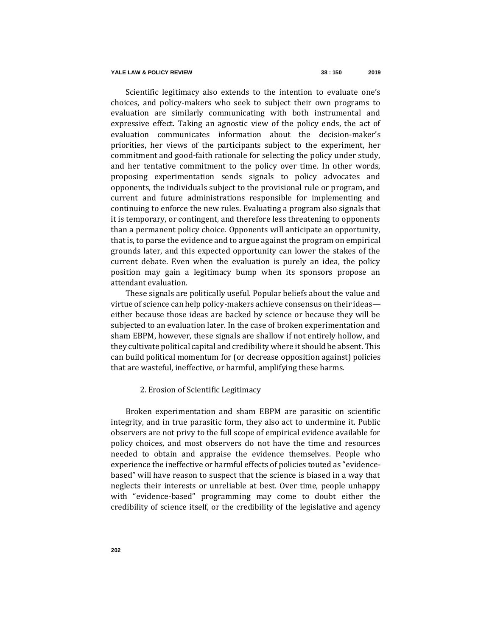### **YALE LAW & POLICY REVIEW 38 : 150 2019**

Scientific legitimacy also extends to the intention to evaluate one's choices, and policy-makers who seek to subject their own programs to evaluation are similarly communicating with both instrumental and expressive effect. Taking an agnostic view of the policy ends, the act of evaluation communicates information about the decision-maker's priorities, her views of the participants subject to the experiment, her commitment and good-faith rationale for selecting the policy under study, and her tentative commitment to the policy over time. In other words, proposing experimentation sends signals to policy advocates and opponents, the individuals subject to the provisional rule or program, and current and future administrations responsible for implementing and continuing to enforce the new rules. Evaluating a program also signals that it is temporary, or contingent, and therefore less threatening to opponents than a permanent policy choice. Opponents will anticipate an opportunity, that is, to parse the evidence and to argue against the program on empirical grounds later, and this expected opportunity can lower the stakes of the current debate. Even when the evaluation is purely an idea, the policy position may gain a legitimacy bump when its sponsors propose an attendant evaluation.

These signals are politically useful. Popular beliefs about the value and virtue of science can help policy-makers achieve consensus on their ideas either because those ideas are backed by science or because they will be subjected to an evaluation later. In the case of broken experimentation and sham EBPM, however, these signals are shallow if not entirely hollow, and they cultivate political capital and credibility where it should be absent. This can build political momentum for (or decrease opposition against) policies that are wasteful, ineffective, or harmful, amplifying these harms.

### 2. Erosion of Scientific Legitimacy

Broken experimentation and sham EBPM are parasitic on scientific integrity, and in true parasitic form, they also act to undermine it. Public observers are not privy to the full scope of empirical evidence available for policy choices, and most observers do not have the time and resources needed to obtain and appraise the evidence themselves. People who experience the ineffective or harmful effects of policies touted as "evidencebased" will have reason to suspect that the science is biased in a way that neglects their interests or unreliable at best. Over time, people unhappy with "evidence-based" programming may come to doubt either the credibility of science itself, or the credibility of the legislative and agency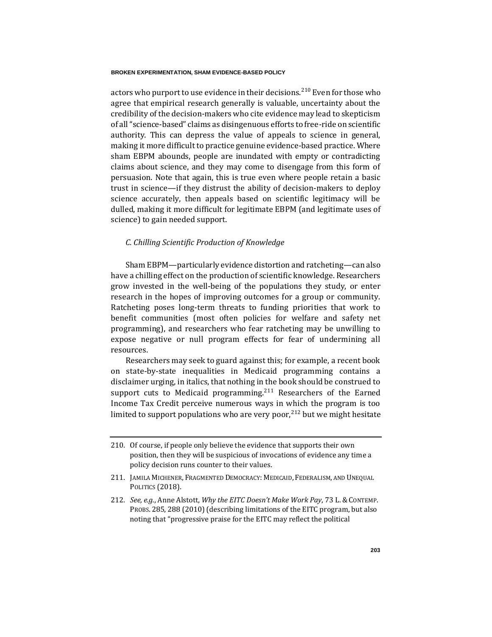actors who purport to use evidence in their decisions.<sup>210</sup> Even for those who agree that empirical research generally is valuable, uncertainty about the credibility of the decision-makers who cite evidence may lead to skepticism of all "science-based" claims as disingenuous efforts to free-ride on scientific authority. This can depress the value of appeals to science in general, making it more difficult to practice genuine evidence-based practice. Where sham EBPM abounds, people are inundated with empty or contradicting claims about science, and they may come to disengage from this form of persuasion. Note that again, this is true even where people retain a basic trust in science—if they distrust the ability of decision-makers to deploy science accurately, then appeals based on scientific legitimacy will be dulled, making it more difficult for legitimate EBPM (and legitimate uses of science) to gain needed support.

### *C. Chilling Scientific Production of Knowledge*

Sham EBPM—particularly evidence distortion and ratcheting—can also have a chilling effect on the production of scientific knowledge. Researchers grow invested in the well-being of the populations they study, or enter research in the hopes of improving outcomes for a group or community. Ratcheting poses long-term threats to funding priorities that work to benefit communities (most often policies for welfare and safety net programming), and researchers who fear ratcheting may be unwilling to expose negative or null program effects for fear of undermining all resources.

Researchers may seek to guard against this; for example, a recent book on state-by-state inequalities in Medicaid programming contains a disclaimer urging, in italics, that nothing in the book should be construed to support cuts to Medicaid programming.<sup>211</sup> Researchers of the Earned Income Tax Credit perceive numerous ways in which the program is too limited to support populations who are very poor,  $212$  but we might hesitate

<sup>210.</sup> Of course, if people only believe the evidence that supports their own position, then they will be suspicious of invocations of evidence any time a policy decision runs counter to their values.

<sup>211.</sup> JAMILA MICHENER, FRAGMENTED DEMOCRACY: MEDICAID, FEDERALISM, AND UNEQUAL POLITICS (2018).

<sup>212</sup>*. See, e.g.*, Anne Alstott, *Why the EITC Doesn't Make Work Pay*, 73 L. & CONTEMP. PROBS. 285, 288 (2010) (describing limitations of the EITC program, but also noting that "progressive praise for the EITC may reflect the political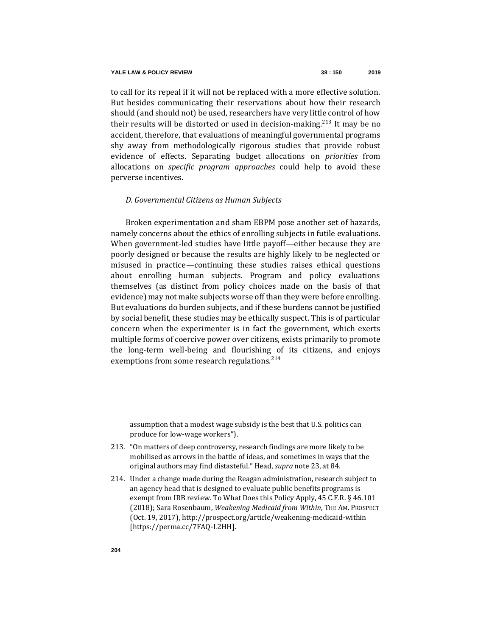to call for its repeal if it will not be replaced with a more effective solution. But besides communicating their reservations about how their research should (and should not) be used, researchers have very little control of how their results will be distorted or used in decision-making.<sup>213</sup> It may be no accident, therefore, that evaluations of meaningful governmental programs shy away from methodologically rigorous studies that provide robust evidence of effects. Separating budget allocations on *priorities* from allocations on *specific program approaches* could help to avoid these perverse incentives.

## *D. Governmental Citizens as Human Subjects*

Broken experimentation and sham EBPM pose another set of hazards, namely concerns about the ethics of enrolling subjects in futile evaluations. When government-led studies have little payoff—either because they are poorly designed or because the results are highly likely to be neglected or misused in practice—continuing these studies raises ethical questions about enrolling human subjects. Program and policy evaluations themselves (as distinct from policy choices made on the basis of that evidence) may not make subjects worse off than they were before enrolling. But evaluations do burden subjects, and if these burdens cannot be justified by social benefit, these studies may be ethically suspect. This is of particular concern when the experimenter is in fact the government, which exerts multiple forms of coercive power over citizens, exists primarily to promote the long-term well-being and flourishing of its citizens, and enjoys exemptions from some research regulations.<sup>214</sup>

assumption that a modest wage subsidy is the best that U.S. politics can produce for low-wage workers").

- 213. "On matters of deep controversy, research findings are more likely to be mobilised as arrows in the battle of ideas, and sometimes in ways that the original authors may find distasteful." Head, *supra* not[e 23,](#page-8-0) at 84.
- 214. Under a change made during the Reagan administration, research subject to an agency head that is designed to evaluate public benefits programs is exempt from IRB review. To What Does this Policy Apply, 45 C.F.R. § 46.101 (2018); Sara Rosenbaum, *Weakening Medicaid from Within*, THE AM. PROSPECT (Oct. 19, 2017), http://prospect.org/article/weakening-medicaid-within [https://perma.cc/7FAQ-L2HH].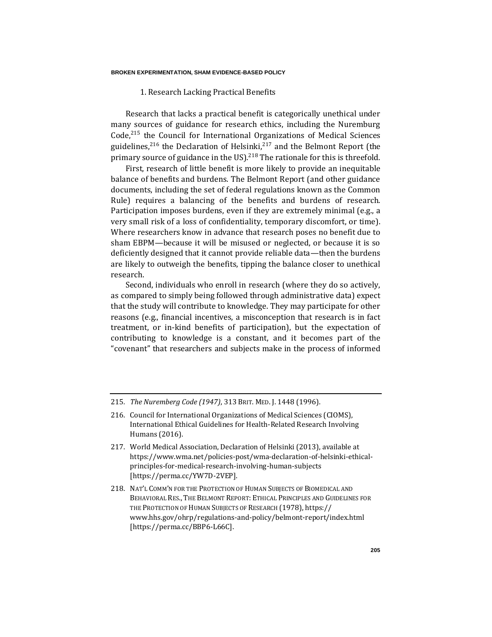1. Research Lacking Practical Benefits

Research that lacks a practical benefit is categorically unethical under many sources of guidance for research ethics, including the Nuremburg  $Code<sub>1</sub><sup>215</sup>$  the Council for International Organizations of Medical Sciences guidelines,<sup>216</sup> the Declaration of Helsinki,<sup>217</sup> and the Belmont Report (the primary source of guidance in the US.<sup>218</sup> The rationale for this is threefold.

First, research of little benefit is more likely to provide an inequitable balance of benefits and burdens. The Belmont Report (and other guidance documents, including the set of federal regulations known as the Common Rule) requires a balancing of the benefits and burdens of research. Participation imposes burdens, even if they are extremely minimal (e.g., a very small risk of a loss of confidentiality, temporary discomfort, or time). Where researchers know in advance that research poses no benefit due to sham EBPM—because it will be misused or neglected, or because it is so deficiently designed that it cannot provide reliable data—then the burdens are likely to outweigh the benefits, tipping the balance closer to unethical research.

Second, individuals who enroll in research (where they do so actively, as compared to simply being followed through administrative data) expect that the study will contribute to knowledge. They may participate for other reasons (e.g., financial incentives, a misconception that research is in fact treatment, or in-kind benefits of participation), but the expectation of contributing to knowledge is a constant, and it becomes part of the "covenant" that researchers and subjects make in the process of informed

- 217. World Medical Association, Declaration of Helsinki (2013), available at https://www.wma.net/policies-post/wma-declaration-of-helsinki-ethicalprinciples-for-medical-research-involving-human-subjects [https://perma.cc/YW7D-2VEP].
- 218. NAT'L COMM'N FOR THE PROTECTION OF HUMAN SUBJECTS OF BIOMEDICAL AND BEHAVIORAL RES., THE BELMONT REPORT: ETHICAL PRINCIPLES AND GUIDELINES FOR THE PROTECTION OF HUMAN SUBJECTS OF RESEARCH (1978), https:// www.hhs.gov/ohrp/regulations-and-policy/belmont-report/index.html [https://perma.cc/BBP6-L66C].

<sup>215</sup>*. The Nuremberg Code (1947)*, 313 BRIT. MED. J. 1448 (1996).

<sup>216.</sup> Council for International Organizations of Medical Sciences (CIOMS), International Ethical Guidelines for Health-Related Research Involving Humans (2016).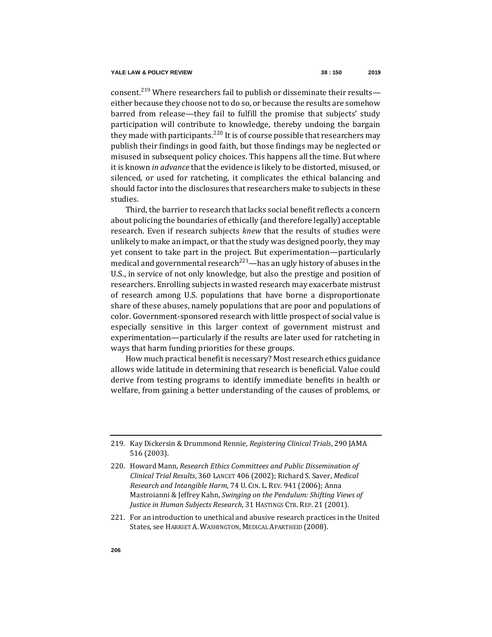consent.<sup>219</sup> Where researchers fail to publish or disseminate their results either because they choose not to do so, or because the results are somehow barred from release—they fail to fulfill the promise that subjects' study participation will contribute to knowledge, thereby undoing the bargain they made with participants.<sup>220</sup> It is of course possible that researchers may publish their findings in good faith, but those findings may be neglected or misused in subsequent policy choices. This happens all the time. But where it is known *in advance* that the evidence is likely to be distorted, misused, or silenced, or used for ratcheting, it complicates the ethical balancing and should factor into the disclosures that researchers make to subjects in these studies.

Third, the barrier to research that lacks social benefit reflects a concern about policing the boundaries of ethically (and therefore legally) acceptable research. Even if research subjects *knew* that the results of studies were unlikely to make an impact, or that the study was designed poorly, they may yet consent to take part in the project. But experimentation—particularly medical and governmental research<sup>221</sup>—has an ugly history of abuses in the U.S., in service of not only knowledge, but also the prestige and position of researchers. Enrolling subjects in wasted research may exacerbate mistrust of research among U.S. populations that have borne a disproportionate share of these abuses, namely populations that are poor and populations of color. Government-sponsored research with little prospect of social value is especially sensitive in this larger context of government mistrust and experimentation—particularly if the results are later used for ratcheting in ways that harm funding priorities for these groups.

How much practical benefit is necessary? Most research ethics guidance allows wide latitude in determining that research is beneficial. Value could derive from testing programs to identify immediate benefits in health or welfare, from gaining a better understanding of the causes of problems, or

<sup>219.</sup> Kay Dickersin & Drummond Rennie, *Registering Clinical Trials*, 290 JAMA 516 (2003).

<sup>220.</sup> Howard Mann, *Research Ethics Committees and Public Dissemination of Clinical Trial Results*, 360 LANCET 406 (2002); Richard S. Saver, *Medical Research and Intangible Harm*, 74 U. CIN. L. REV. 941 (2006); Anna Mastroianni & Jeffrey Kahn, *Swinging on the Pendulum: Shifting Views of Justice in Human Subjects Research*, 31 HASTINGS CTR. REP. 21 (2001).

<sup>221.</sup> For an introduction to unethical and abusive research practices in the United States, see HARRIET A. WASHINGTON, MEDICAL APARTHEID (2008).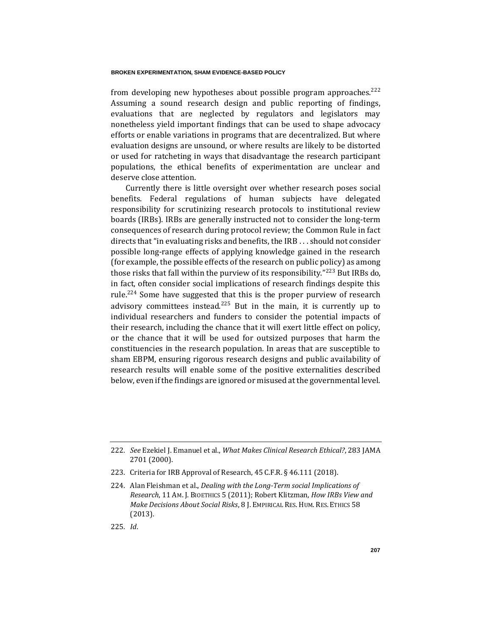from developing new hypotheses about possible program approaches. $222$ Assuming a sound research design and public reporting of findings, evaluations that are neglected by regulators and legislators may nonetheless yield important findings that can be used to shape advocacy efforts or enable variations in programs that are decentralized. But where evaluation designs are unsound, or where results are likely to be distorted or used for ratcheting in ways that disadvantage the research participant populations, the ethical benefits of experimentation are unclear and deserve close attention.

Currently there is little oversight over whether research poses social benefits. Federal regulations of human subjects have delegated responsibility for scrutinizing research protocols to institutional review boards (IRBs). IRBs are generally instructed not to consider the long-term consequences of research during protocol review; the Common Rule in fact directs that "in evaluating risks and benefits, the IRB . . . should not consider possible long-range effects of applying knowledge gained in the research (for example, the possible effects of the research on public policy) as among those risks that fall within the purview of its responsibility."<sup>223</sup> But IRBs do, in fact, often consider social implications of research findings despite this rule.<sup>224</sup> Some have suggested that this is the proper purview of research advisory committees instead. $225$  But in the main, it is currently up to individual researchers and funders to consider the potential impacts of their research, including the chance that it will exert little effect on policy, or the chance that it will be used for outsized purposes that harm the constituencies in the research population. In areas that are susceptible to sham EBPM, ensuring rigorous research designs and public availability of research results will enable some of the positive externalities described below, even if the findings are ignored or misused at the governmental level.

225*. Id*.

<sup>222</sup>*. See* Ezekiel J. Emanuel et al., *What Makes Clinical Research Ethical?*, 283 JAMA 2701 (2000).

<sup>223.</sup> Criteria for IRB Approval of Research, 45 C.F.R. § 46.111 (2018).

<sup>224.</sup> Alan Fleishman et al., *Dealing with the Long-Term social Implications of Research*, 11 AM. J. BIOETHICS 5 (2011); Robert Klitzman, *How IRBs View and Make Decisions About Social Risks*, 8 J. EMPIRICAL RES. HUM. RES. ETHICS 58 (2013).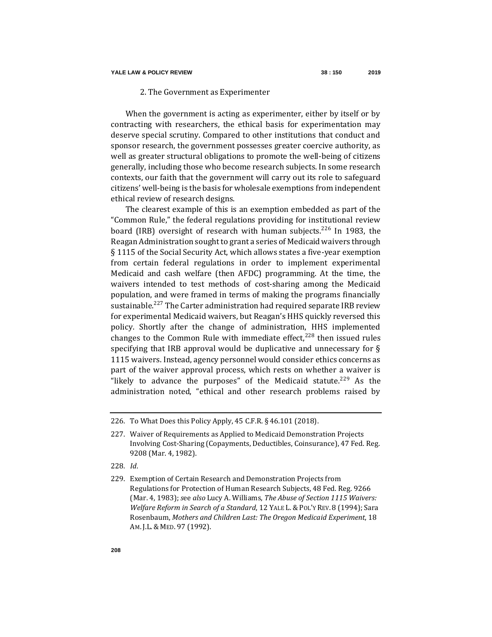## 2. The Government as Experimenter

When the government is acting as experimenter, either by itself or by contracting with researchers, the ethical basis for experimentation may deserve special scrutiny. Compared to other institutions that conduct and sponsor research, the government possesses greater coercive authority, as well as greater structural obligations to promote the well-being of citizens generally, including those who become research subjects. In some research contexts, our faith that the government will carry out its role to safeguard citizens' well-being is the basis for wholesale exemptions from independent ethical review of research designs.

The clearest example of this is an exemption embedded as part of the "Common Rule," the federal regulations providing for institutional review board (IRB) oversight of research with human subjects.<sup>226</sup> In 1983, the Reagan Administration sought to grant a series of Medicaid waivers through § 1115 of the Social Security Act, which allows states a five-year exemption from certain federal regulations in order to implement experimental Medicaid and cash welfare (then AFDC) programming. At the time, the waivers intended to test methods of cost-sharing among the Medicaid population, and were framed in terms of making the programs financially sustainable.<sup>227</sup> The Carter administration had required separate IRB review for experimental Medicaid waivers, but Reagan's HHS quickly reversed this policy. Shortly after the change of administration, HHS implemented changes to the Common Rule with immediate effect, $228$  then issued rules specifying that IRB approval would be duplicative and unnecessary for  $\S$ 1115 waivers. Instead, agency personnel would consider ethics concerns as part of the waiver approval process, which rests on whether a waiver is "likely to advance the purposes" of the Medicaid statute.<sup>229</sup> As the administration noted, "ethical and other research problems raised by

- 228*. Id*.
- 229. Exemption of Certain Research and Demonstration Projects from Regulations for Protection of Human Research Subjects, 48 Fed. Reg. 9266 (Mar. 4, 1983); *s*ee *also* [Lucy](https://digitalcommons.law.yale.edu/cgi/viewcontent.cgi?referer=https://www.google.com/&httpsredir=1&article=1260&context=ylpr) A. Williams, *The Abuse of Section 1115 Waivers: Welfare Reform in Search of a Standard*, 12 YALE L. & POL'Y REV. 8 (1994); Sara Rosenbaum, *Mothers and Children Last: The Oregon Medicaid Experiment*, 18 AM. J.L. & MED. 97 (1992).

<sup>226.</sup> To What Does this Policy Apply, 45 C.F.R. § 46.101 (2018).

<sup>227.</sup> Waiver of Requirements as Applied to Medicaid Demonstration Projects Involving Cost-Sharing (Copayments, Deductibles, Coinsurance), 47 Fed. Reg. 9208 (Mar. 4, 1982).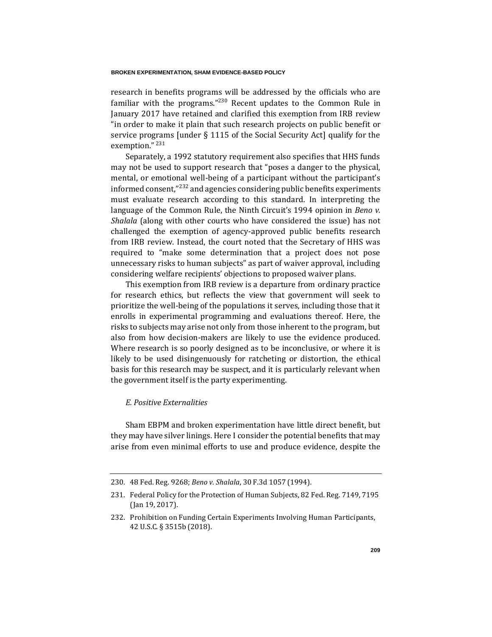research in benefits programs will be addressed by the officials who are familiar with the programs."<sup>230</sup> Recent updates to the Common Rule in January 2017 have retained and clarified this exemption from IRB review "in order to make it plain that such research projects on public benefit or service programs [under § 1115 of the Social Security Act] qualify for the exemption."<sup>231</sup>

Separately, a 1992 statutory requirement also specifies that HHS funds may not be used to support research that "poses a danger to the physical, mental, or emotional well-being of a participant without the participant's informed consent,"<sup>232</sup> and agencies considering public benefits experiments must evaluate research according to this standard. In interpreting the language of the Common Rule, the Ninth Circuit's 1994 opinion in *Beno v. Shalala* (along with other courts who have considered the issue) has not challenged the exemption of agency-approved public benefits research from IRB review. Instead, the court noted that the Secretary of HHS was required to "make some determination that a project does not pose unnecessary risks to human subjects" as part of waiver approval, including considering welfare recipients' objections to proposed waiver plans.

This exemption from IRB review is a departure from ordinary practice for research ethics, but reflects the view that government will seek to prioritize the well-being of the populations it serves, including those that it enrolls in experimental programming and evaluations thereof. Here, the risks to subjects may arise not only from those inherent to the program, but also from how decision-makers are likely to use the evidence produced. Where research is so poorly designed as to be inconclusive, or where it is likely to be used disingenuously for ratcheting or distortion, the ethical basis for this research may be suspect, and it is particularly relevant when the government itself is the party experimenting.

# *E. Positive Externalities*

Sham EBPM and broken experimentation have little direct benefit, but they may have silver linings. Here I consider the potential benefits that may arise from even minimal efforts to use and produce evidence, despite the

<sup>230.</sup> 48 Fed. Reg. 9268; *Beno v. Shalala*, 30 F.3d 1057 (1994).

<sup>231.</sup> Federal Policy for the Protection of Human Subjects, 82 Fed. Reg. 7149, 7195 (Jan 19, 2017).

<sup>232.</sup> Prohibition on Funding Certain Experiments Involving Human Participants, 42 U.S.C. § 3515b (2018).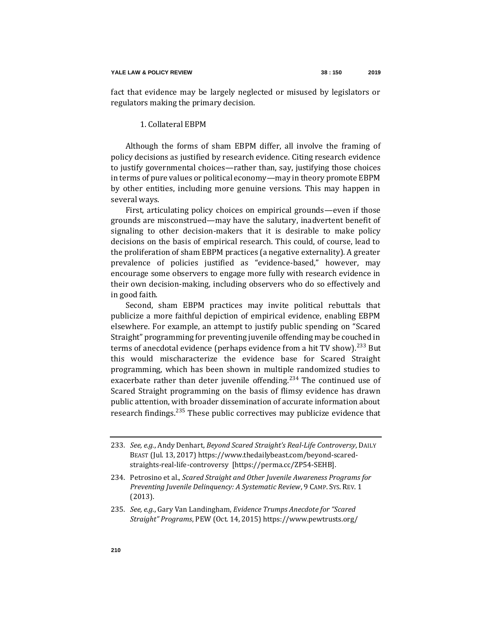fact that evidence may be largely neglected or misused by legislators or regulators making the primary decision.

# 1. Collateral EBPM

Although the forms of sham EBPM differ, all involve the framing of policy decisions as justified by research evidence. Citing research evidence to justify governmental choices—rather than, say, justifying those choices in terms of pure values or political economy—may in theory promote EBPM by other entities, including more genuine versions. This may happen in several ways.

First, articulating policy choices on empirical grounds—even if those grounds are misconstrued—may have the salutary, inadvertent benefit of signaling to other decision-makers that it is desirable to make policy decisions on the basis of empirical research. This could, of course, lead to the proliferation of sham EBPM practices (a negative externality). A greater prevalence of policies justified as "evidence-based," however, may encourage some observers to engage more fully with research evidence in their own decision-making, including observers who do so effectively and in good faith.

<span id="page-60-0"></span>Second, sham EBPM practices may invite political rebuttals that publicize a more faithful depiction of empirical evidence, enabling EBPM elsewhere. For example, an attempt to justify public spending on "Scared Straight" programming for preventing juvenile offending may be couched in terms of anecdotal evidence (perhaps evidence from a hit TV show).<sup>233</sup> But this would mischaracterize the evidence base for Scared Straight programming, which has been shown in multiple randomized studies to exacerbate rather than deter juvenile offending.<sup>234</sup> The continued use of Scared Straight programming on the basis of flimsy evidence has drawn public attention, with broader dissemination of accurate information about research findings.<sup>235</sup> These public correctives may publicize evidence that

<sup>233</sup>*. See, e.g.*, Andy Denhart, *Beyond Scared Straight's Real-Life Controversy*, DAILY BEAST (Jul. 13, 2017) [https://www.thedailybeast.com/beyond-scared](https://www.thedailybeast.com/beyond-scared-straights-real-life-controversy)[straights-real-life-controversy](https://www.thedailybeast.com/beyond-scared-straights-real-life-controversy) [https://perma.cc/ZP54-SEHB].

<sup>234.</sup> Petrosino et al., *Scared Straight and Other Juvenile Awareness Programs for Preventing Juvenile Delinquency: A Systematic Review*, 9 CAMP. SYS. REV. 1 (2013).

<sup>235</sup>*. See, e.g.*, Gary Van Landingham, *Evidence Trumps Anecdote for "Scared Straight" Programs*, PEW (Oct. 14, 2015) https://www.pewtrusts.org/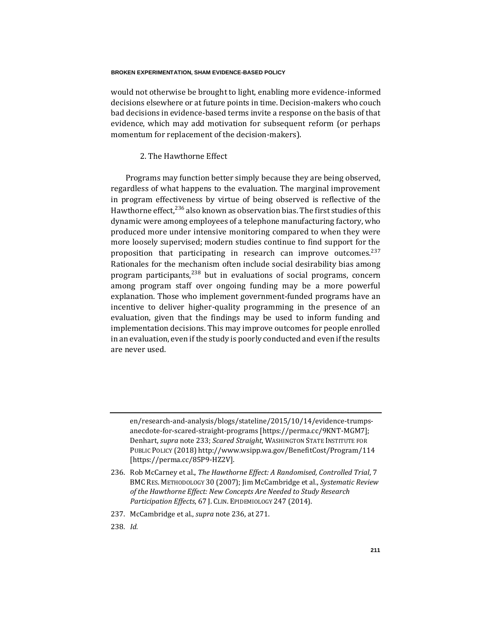would not otherwise be brought to light, enabling more evidence-informed decisions elsewhere or at future points in time. Decision-makers who couch bad decisions in evidence-based terms invite a response on the basis of that evidence, which may add motivation for subsequent reform (or perhaps momentum for replacement of the decision-makers).

## <span id="page-61-0"></span>2. The Hawthorne Effect

Programs may function better simply because they are being observed, regardless of what happens to the evaluation. The marginal improvement in program effectiveness by virtue of being observed is reflective of the Hawthorne effect,  $236$  also known as observation bias. The first studies of this dynamic were among employees of a telephone manufacturing factory, who produced more under intensive monitoring compared to when they were more loosely supervised; modern studies continue to find support for the proposition that participating in research can improve outcomes.<sup>237</sup> Rationales for the mechanism often include social desirability bias among program participants, $^{238}$  but in evaluations of social programs, concern among program staff over ongoing funding may be a more powerful explanation. Those who implement government-funded programs have an incentive to deliver higher-quality programming in the presence of an evaluation, given that the findings may be used to inform funding and implementation decisions. This may improve outcomes for people enrolled in an evaluation, even if the study is poorly conducted and even if the results are never used.

- 237. McCambridge et al., *supra* not[e 236,](#page-61-0) at 271.
- 238*. Id.*

en/research-and-analysis/blogs/stateline/2015/10/14/evidence-trumpsanecdote-for-scared-straight-programs [https://perma.cc/9KNT-MGM7]; Denhart, *supra* not[e 233;](#page-60-0) *Scared Straight*, WASHINGTON STATE INSTITUTE FOR PUBLIC POLICY (2018) http://www.wsipp.wa.gov/BenefitCost/Program/114 [https://perma.cc/85P9-HZ2V].

<sup>236.</sup> Rob McCarney et al., *The Hawthorne Effect: A Randomised, Controlled Trial*, 7 BMC RES. METHODOLOGY 30 (2007); Jim McCambridge et al., *Systematic Review of the Hawthorne Effect: New Concepts Are Needed to Study Research Participation Effects*, 67 J. CLIN. EPIDEMIOLOGY 247 (2014).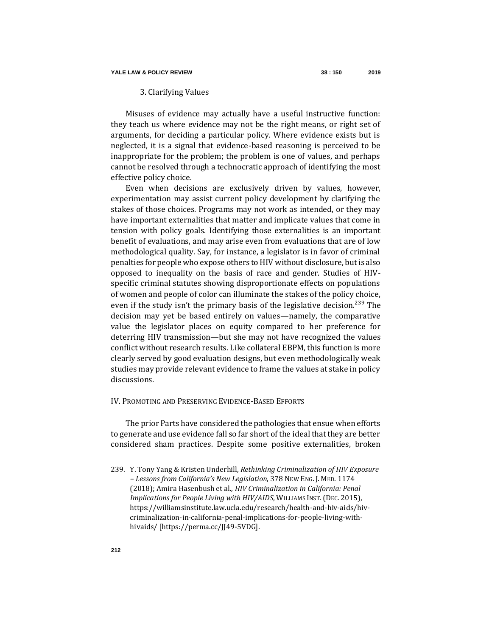## 3. Clarifying Values

Misuses of evidence may actually have a useful instructive function: they teach us where evidence may not be the right means, or right set of arguments, for deciding a particular policy. Where evidence exists but is neglected, it is a signal that evidence-based reasoning is perceived to be inappropriate for the problem; the problem is one of values, and perhaps cannot be resolved through a technocratic approach of identifying the most effective policy choice.

Even when decisions are exclusively driven by values, however, experimentation may assist current policy development by clarifying the stakes of those choices. Programs may not work as intended, or they may have important externalities that matter and implicate values that come in tension with policy goals. Identifying those externalities is an important benefit of evaluations, and may arise even from evaluations that are of low methodological quality. Say, for instance, a legislator is in favor of criminal penalties for people who expose others to HIV without disclosure, but is also opposed to inequality on the basis of race and gender. Studies of HIVspecific criminal statutes showing disproportionate effects on populations of women and people of color can illuminate the stakes of the policy choice, even if the study isn't the primary basis of the legislative decision.<sup>239</sup> The decision may yet be based entirely on values—namely, the comparative value the legislator places on equity compared to her preference for deterring HIV transmission—but she may not have recognized the values conflict without research results. Like collateral EBPM, this function is more clearly served by good evaluation designs, but even methodologically weak studies may provide relevant evidence to frame the values at stake in policy discussions.

### IV. PROMOTING AND PRESERVING EVIDENCE-BASED EFFORTS

The prior Parts have considered the pathologies that ensue when efforts to generate and use evidence fall so far short of the ideal that they are better considered sham practices. Despite some positive externalities, broken

<sup>239.</sup> Y. Tony Yang & Kristen Underhill, *Rethinking Criminalization of HIV Exposure – Lessons from California's New Legislation*, 378 NEW ENG. J. MED. 1174 (2018); Amira Hasenbush et al., *HIV Criminalization in California: Penal Implications for People Living with HIV/AIDS*, WILLIAMS INST. (DEC. 2015), https://williamsinstitute.law.ucla.edu/research/health-and-hiv-aids/hivcriminalization-in-california-penal-implications-for-people-living-withhivaids/ [https://perma.cc/JJ49-5VDG].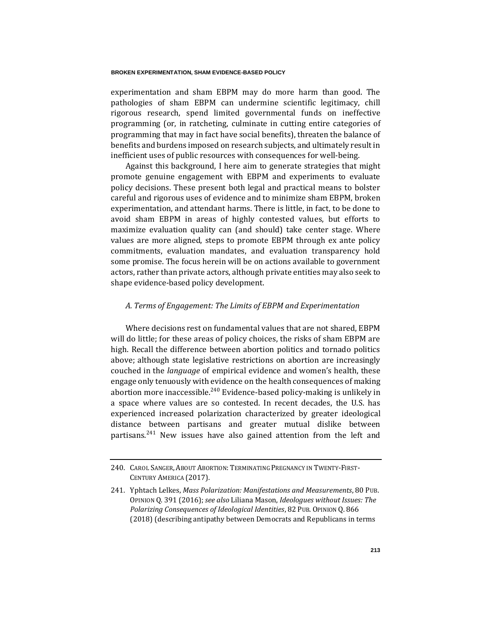experimentation and sham EBPM may do more harm than good. The pathologies of sham EBPM can undermine scientific legitimacy, chill rigorous research, spend limited governmental funds on ineffective programming (or, in ratcheting, culminate in cutting entire categories of programming that may in fact have social benefits), threaten the balance of benefits and burdens imposed on research subjects, and ultimately result in inefficient uses of public resources with consequences for well-being.

Against this background, I here aim to generate strategies that might promote genuine engagement with EBPM and experiments to evaluate policy decisions. These present both legal and practical means to bolster careful and rigorous uses of evidence and to minimize sham EBPM, broken experimentation, and attendant harms. There is little, in fact, to be done to avoid sham EBPM in areas of highly contested values, but efforts to maximize evaluation quality can (and should) take center stage. Where values are more aligned, steps to promote EBPM through ex ante policy commitments, evaluation mandates, and evaluation transparency hold some promise. The focus herein will be on actions available to government actors, rather than private actors, although private entities may also seek to shape evidence-based policy development.

# *A. Terms of Engagement: The Limits of EBPM and Experimentation*

Where decisions rest on fundamental values that are not shared, EBPM will do little; for these areas of policy choices, the risks of sham EBPM are high. Recall the difference between abortion politics and tornado politics above; although state legislative restrictions on abortion are increasingly couched in the *language* of empirical evidence and women's health, these engage only tenuously with evidence on the health consequences of making abortion more inaccessible.<sup>240</sup> Evidence-based policy-making is unlikely in a space where values are so contested. In recent decades, the U.S. has experienced increased polarization characterized by greater ideological distance between partisans and greater mutual dislike between partisans.<sup>241</sup> New issues have also gained attention from the left and

<sup>240.</sup> CAROL SANGER, ABOUT ABORTION: TERMINATING PREGNANCY IN TWENTY-FIRST-CENTURY AMERICA (2017).

<sup>241.</sup> Yphtach Lelkes, *Mass Polarization: Manifestations and Measurements*, 80 PUB. OPINION Q. 391 (2016); *see also* Liliana Mason, *Ideologues without Issues: The Polarizing Consequences of Ideological Identities*, 82 PUB. OPINION Q. 866 (2018) (describing antipathy between Democrats and Republicans in terms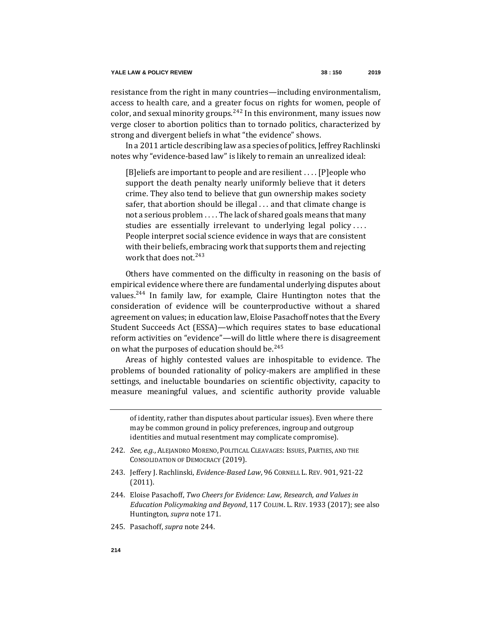resistance from the right in many countries—including environmentalism, access to health care, and a greater focus on rights for women, people of color, and sexual minority groups.<sup>242</sup> In this environment, many issues now verge closer to abortion politics than to tornado politics, characterized by strong and divergent beliefs in what "the evidence" shows.

In a 2011 article describing law as a species of politics, Jeffrey Rachlinski notes why "evidence-based law" is likely to remain an unrealized ideal:

[B]eliefs are important to people and are resilient . . . . [P]eople who support the death penalty nearly uniformly believe that it deters crime. They also tend to believe that gun ownership makes society safer, that abortion should be illegal . . . and that climate change is not a serious problem . . . . The lack of shared goals means that many studies are essentially irrelevant to underlying legal policy .... People interpret social science evidence in ways that are consistent with their beliefs, embracing work that supports them and rejecting work that does not.<sup>243</sup>

<span id="page-64-0"></span>Others have commented on the difficulty in reasoning on the basis of empirical evidence where there are fundamental underlying disputes about values.<sup>244</sup> In family law, for example, Claire Huntington notes that the consideration of evidence will be counterproductive without a shared agreement on values; in education law, Eloise Pasachoff notes that the Every Student Succeeds Act (ESSA)—which requires states to base educational reform activities on "evidence"—will do little where there is disagreement on what the purposes of education should be.<sup>245</sup>

Areas of highly contested values are inhospitable to evidence. The problems of bounded rationality of policy-makers are amplified in these settings, and ineluctable boundaries on scientific objectivity, capacity to measure meaningful values, and scientific authority provide valuable

of identity, rather than disputes about particular issues). Even where there may be common ground in policy preferences, ingroup and outgroup identities and mutual resentment may complicate compromise).

- 242*. See, e.g.*, ALEJANDRO MORENO, POLITICAL CLEAVAGES: ISSUES, PARTIES, AND THE CONSOLIDATION OF DEMOCRACY (2019).
- 243. Jeffery J. Rachlinski, *Evidence-Based Law*, 96 CORNELL L. REV. 901, 921-22 (2011).
- 244. Eloise Pasachoff, *Two Cheers for Evidence: Law, Research, and Values in Education Policymaking and Beyond*, 117 COLUM. L. REV. 1933 (2017); see also Huntington, *supra* not[e 171.](#page-37-0)
- 245. Pasachoff, *supra* note [244.](#page-64-0)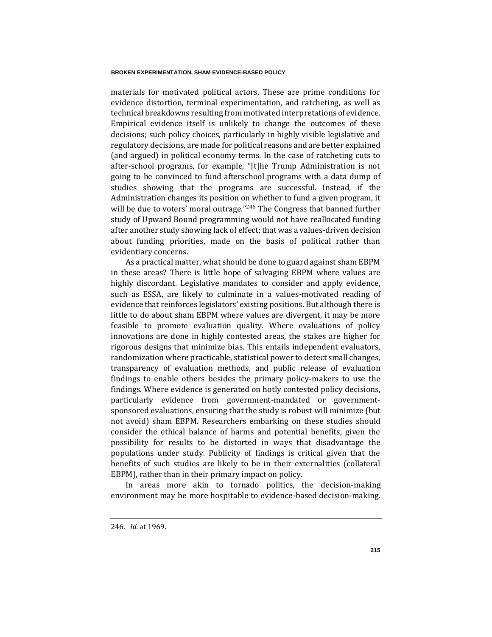materials for motivated political actors. These are prime conditions for evidence distortion, terminal experimentation, and ratcheting, as well as technical breakdowns resulting from motivated interpretations of evidence. Empirical evidence itself is unlikely to change the outcomes of these decisions; such policy choices, particularly in highly visible legislative and regulatory decisions, are made for political reasons and are better explained (and argued) in political economy terms. In the case of ratcheting cuts to after-school programs, for example, "[t]he Trump Administration is not going to be convinced to fund afterschool programs with a data dump of studies showing that the programs are successful. Instead, if the Administration changes its position on whether to fund a given program, it will be due to voters' moral outrage."<sup>246</sup> The Congress that banned further study of Upward Bound programming would not have reallocated funding after another study showing lack of effect; that was a values-driven decision about funding priorities, made on the basis of political rather than evidentiary concerns.

As a practical matter, what should be done to guard against sham EBPM in these areas? There is little hope of salvaging EBPM where values are highly discordant. Legislative mandates to consider and apply evidence, such as ESSA, are likely to culminate in a values-motivated reading of evidence that reinforces legislators' existing positions. But although there is little to do about sham EBPM where values are divergent, it may be more feasible to promote evaluation quality. Where evaluations of policy innovations are done in highly contested areas, the stakes are higher for rigorous designs that minimize bias. This entails independent evaluators, randomization where practicable, statistical power to detect small changes, transparency of evaluation methods, and public release of evaluation findings to enable others besides the primary policy-makers to use the findings. Where evidence is generated on hotly contested policy decisions, particularly evidence from government-mandated or governmentsponsored evaluations, ensuring that the study is robust will minimize (but not avoid) sham EBPM. Researchers embarking on these studies should consider the ethical balance of harms and potential benefits, given the possibility for results to be distorted in ways that disadvantage the populations under study. Publicity of findings is critical given that the benefits of such studies are likely to be in their externalities (collateral EBPM), rather than in their primary impact on policy.

In areas more akin to tornado politics, the decision-making environment may be more hospitable to evidence-based decision-making.

246*. Id.* at 1969.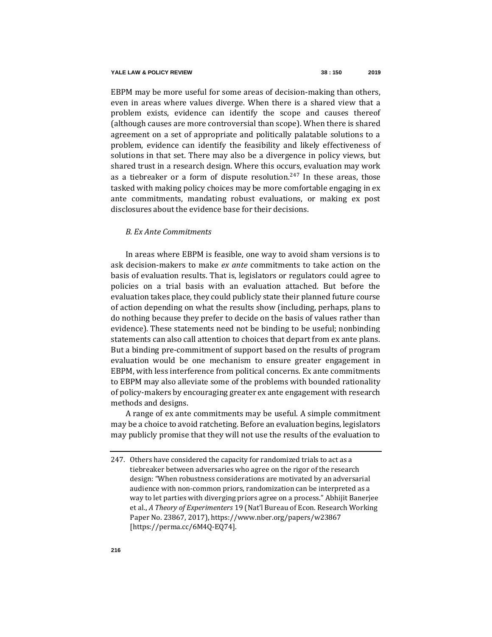EBPM may be more useful for some areas of decision-making than others, even in areas where values diverge. When there is a shared view that a problem exists, evidence can identify the scope and causes thereof (although causes are more controversial than scope). When there is shared agreement on a set of appropriate and politically palatable solutions to a problem, evidence can identify the feasibility and likely effectiveness of solutions in that set. There may also be a divergence in policy views, but shared trust in a research design. Where this occurs, evaluation may work as a tiebreaker or a form of dispute resolution.<sup>247</sup> In these areas, those tasked with making policy choices may be more comfortable engaging in ex ante commitments, mandating robust evaluations, or making ex post disclosures about the evidence base for their decisions.

## *B. Ex Ante Commitments*

In areas where EBPM is feasible, one way to avoid sham versions is to ask decision-makers to make *ex ante* commitments to take action on the basis of evaluation results. That is, legislators or regulators could agree to policies on a trial basis with an evaluation attached. But before the evaluation takes place, they could publicly state their planned future course of action depending on what the results show (including, perhaps, plans to do nothing because they prefer to decide on the basis of values rather than evidence). These statements need not be binding to be useful; nonbinding statements can also call attention to choices that depart from ex ante plans. But a binding pre-commitment of support based on the results of program evaluation would be one mechanism to ensure greater engagement in EBPM, with less interference from political concerns. Ex ante commitments to EBPM may also alleviate some of the problems with bounded rationality of policy-makers by encouraging greater ex ante engagement with research methods and designs.

A range of ex ante commitments may be useful. A simple commitment may be a choice to avoid ratcheting. Before an evaluation begins, legislators may publicly promise that they will not use the results of the evaluation to

<sup>247.</sup> Others have considered the capacity for randomized trials to act as a tiebreaker between adversaries who agree on the rigor of the research design: "When robustness considerations are motivated by an adversarial audience with non-common priors, randomization can be interpreted as a way to let parties with diverging priors agree on a process." Abhijit Banerjee et al., *A Theory of Experimenters* 19 (Nat'l Bureau of Econ. Research Working Paper No. 23867, 2017), https://www.nber.org/papers/w23867 [https://perma.cc/6M4Q-EQ74].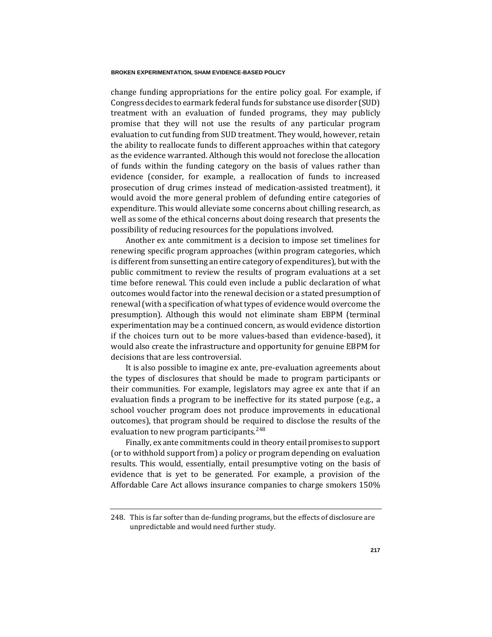change funding appropriations for the entire policy goal. For example, if Congress decides to earmark federal funds for substance use disorder (SUD) treatment with an evaluation of funded programs, they may publicly promise that they will not use the results of any particular program evaluation to cut funding from SUD treatment. They would, however, retain the ability to reallocate funds to different approaches within that category as the evidence warranted. Although this would not foreclose the allocation of funds within the funding category on the basis of values rather than evidence (consider, for example, a reallocation of funds to increased prosecution of drug crimes instead of medication-assisted treatment), it would avoid the more general problem of defunding entire categories of expenditure. This would alleviate some concerns about chilling research, as well as some of the ethical concerns about doing research that presents the possibility of reducing resources for the populations involved.

Another ex ante commitment is a decision to impose set timelines for renewing specific program approaches (within program categories, which is different from sunsetting an entire category of expenditures), but with the public commitment to review the results of program evaluations at a set time before renewal. This could even include a public declaration of what outcomes would factor into the renewal decision or a stated presumption of renewal (with a specification of what types of evidence would overcome the presumption). Although this would not eliminate sham EBPM (terminal experimentation may be a continued concern, as would evidence distortion if the choices turn out to be more values-based than evidence-based), it would also create the infrastructure and opportunity for genuine EBPM for decisions that are less controversial.

It is also possible to imagine ex ante, pre-evaluation agreements about the types of disclosures that should be made to program participants or their communities. For example, legislators may agree ex ante that if an evaluation finds a program to be ineffective for its stated purpose (e.g., a school voucher program does not produce improvements in educational outcomes), that program should be required to disclose the results of the evaluation to new program participants.  $248$ 

Finally, ex ante commitments could in theory entail promises to support (or to withhold support from) a policy or program depending on evaluation results. This would, essentially, entail presumptive voting on the basis of evidence that is yet to be generated. For example, a provision of the Affordable Care Act allows insurance companies to charge smokers 150%

<sup>248.</sup> This is far softer than de-funding programs, but the effects of disclosure are unpredictable and would need further study.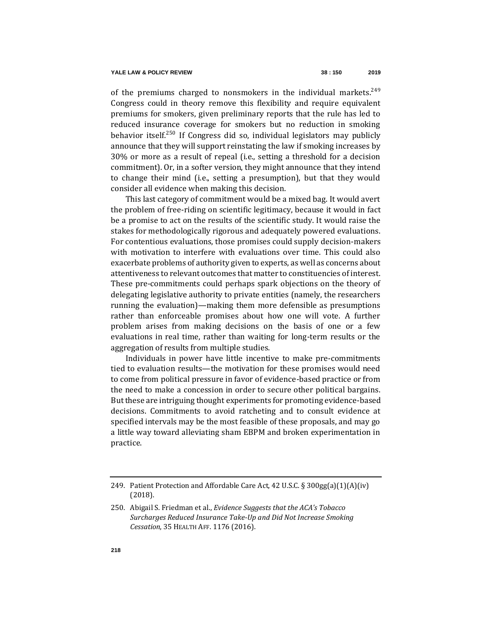of the premiums charged to nonsmokers in the individual markets.<sup>249</sup> Congress could in theory remove this flexibility and require equivalent premiums for smokers, given preliminary reports that the rule has led to reduced insurance coverage for smokers but no reduction in smoking behavior itself.<sup>250</sup> If Congress did so, individual legislators may publicly announce that they will support reinstating the law if smoking increases by 30% or more as a result of repeal (i.e., setting a threshold for a decision commitment). Or, in a softer version, they might announce that they intend to change their mind (i.e., setting a presumption), but that they would consider all evidence when making this decision.

This last category of commitment would be a mixed bag. It would avert the problem of free-riding on scientific legitimacy, because it would in fact be a promise to act on the results of the scientific study. It would raise the stakes for methodologically rigorous and adequately powered evaluations. For contentious evaluations, those promises could supply decision-makers with motivation to interfere with evaluations over time. This could also exacerbate problems of authority given to experts, as well as concerns about attentiveness to relevant outcomes that matter to constituencies of interest. These pre-commitments could perhaps spark objections on the theory of delegating legislative authority to private entities (namely, the researchers running the evaluation)—making them more defensible as presumptions rather than enforceable promises about how one will vote. A further problem arises from making decisions on the basis of one or a few evaluations in real time, rather than waiting for long-term results or the aggregation of results from multiple studies.

Individuals in power have little incentive to make pre-commitments tied to evaluation results—the motivation for these promises would need to come from political pressure in favor of evidence-based practice or from the need to make a concession in order to secure other political bargains. But these are intriguing thought experiments for promoting evidence-based decisions. Commitments to avoid ratcheting and to consult evidence at specified intervals may be the most feasible of these proposals, and may go a little way toward alleviating sham EBPM and broken experimentation in practice.

<sup>249.</sup> Patient Protection and Affordable Care Act, 42 U.S.C. § 300gg(a)(1)(A)(iv) (2018).

<sup>250.</sup> Abigail S. Friedman et al., *Evidence Suggests that the ACA's Tobacco Surcharges Reduced Insurance Take-Up and Did Not Increase Smoking Cessation*, 35 HEALTH AFF. 1176 (2016).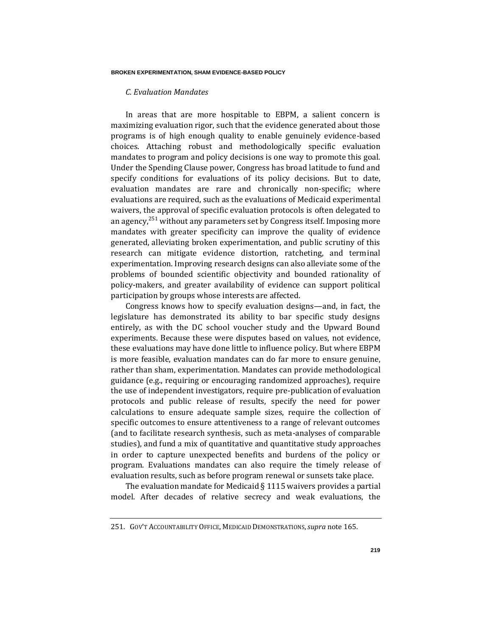## *C. Evaluation Mandates*

In areas that are more hospitable to EBPM, a salient concern is maximizing evaluation rigor, such that the evidence generated about those programs is of high enough quality to enable genuinely evidence-based choices. Attaching robust and methodologically specific evaluation mandates to program and policy decisions is one way to promote this goal. Under the Spending Clause power, Congress has broad latitude to fund and specify conditions for evaluations of its policy decisions. But to date, evaluation mandates are rare and chronically non-specific; where evaluations are required, such as the evaluations of Medicaid experimental waivers, the approval of specific evaluation protocols is often delegated to an agency,<sup>251</sup> without any parameters set by Congress itself. Imposing more mandates with greater specificity can improve the quality of evidence generated, alleviating broken experimentation, and public scrutiny of this research can mitigate evidence distortion, ratcheting, and terminal experimentation. Improving research designs can also alleviate some of the problems of bounded scientific objectivity and bounded rationality of policy-makers, and greater availability of evidence can support political participation by groups whose interests are affected.

Congress knows how to specify evaluation designs—and, in fact, the legislature has demonstrated its ability to bar specific study designs entirely, as with the DC school voucher study and the Upward Bound experiments. Because these were disputes based on values, not evidence, these evaluations may have done little to influence policy. But where EBPM is more feasible, evaluation mandates can do far more to ensure genuine, rather than sham, experimentation. Mandates can provide methodological guidance (e.g., requiring or encouraging randomized approaches), require the use of independent investigators, require pre-publication of evaluation protocols and public release of results, specify the need for power calculations to ensure adequate sample sizes, require the collection of specific outcomes to ensure attentiveness to a range of relevant outcomes (and to facilitate research synthesis, such as meta-analyses of comparable studies), and fund a mix of quantitative and quantitative study approaches in order to capture unexpected benefits and burdens of the policy or program. Evaluations mandates can also require the timely release of evaluation results, such as before program renewal or sunsets take place.

The evaluation mandate for Medicaid § 1115 waivers provides a partial model. After decades of relative secrecy and weak evaluations, the

<sup>251.</sup> GOV'T ACCOUNTABILITY OFFICE, MEDICAID DEMONSTRATIONS,*supra* not[e 165.](#page-35-0)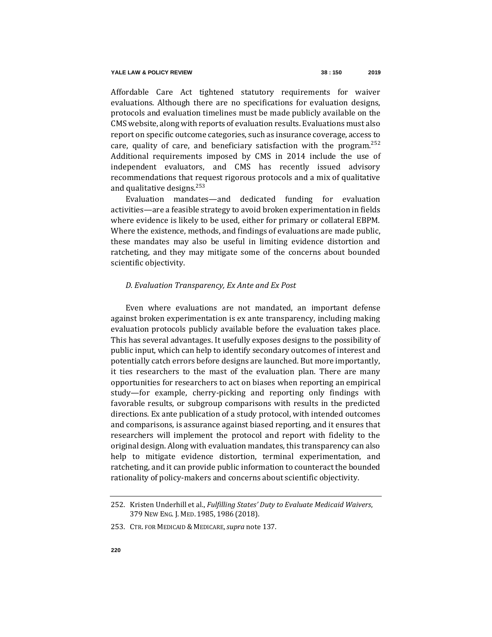Affordable Care Act tightened statutory requirements for waiver evaluations. Although there are no specifications for evaluation designs, protocols and evaluation timelines must be made publicly available on the CMS website, along with reports of evaluation results. Evaluations must also report on specific outcome categories, such as insurance coverage, access to care, quality of care, and beneficiary satisfaction with the program.<sup>252</sup> Additional requirements imposed by CMS in 2014 include the use of independent evaluators, and CMS has recently issued advisory recommendations that request rigorous protocols and a mix of qualitative and qualitative designs.<sup>253</sup>

Evaluation mandates—and dedicated funding for evaluation activities—are a feasible strategy to avoid broken experimentation in fields where evidence is likely to be used, either for primary or collateral EBPM. Where the existence, methods, and findings of evaluations are made public, these mandates may also be useful in limiting evidence distortion and ratcheting, and they may mitigate some of the concerns about bounded scientific objectivity.

### *D. Evaluation Transparency, Ex Ante and Ex Post*

Even where evaluations are not mandated, an important defense against broken experimentation is ex ante transparency, including making evaluation protocols publicly available before the evaluation takes place. This has several advantages. It usefully exposes designs to the possibility of public input, which can help to identify secondary outcomes of interest and potentially catch errors before designs are launched. But more importantly, it ties researchers to the mast of the evaluation plan. There are many opportunities for researchers to act on biases when reporting an empirical study—for example, cherry-picking and reporting only findings with favorable results, or subgroup comparisons with results in the predicted directions. Ex ante publication of a study protocol, with intended outcomes and comparisons, is assurance against biased reporting, and it ensures that researchers will implement the protocol and report with fidelity to the original design. Along with evaluation mandates, this transparency can also help to mitigate evidence distortion, terminal experimentation, and ratcheting, and it can provide public information to counteract the bounded rationality of policy-makers and concerns about scientific objectivity.

<sup>252.</sup> Kristen Underhill et al., *Fulfilling States' Duty to Evaluate Medicaid Waivers*, 379 NEW ENG. J. MED. 1985, 1986 (2018).

<sup>253.</sup> CTR. FOR MEDICAID & MEDICARE,*supra* not[e 137.](#page-28-0)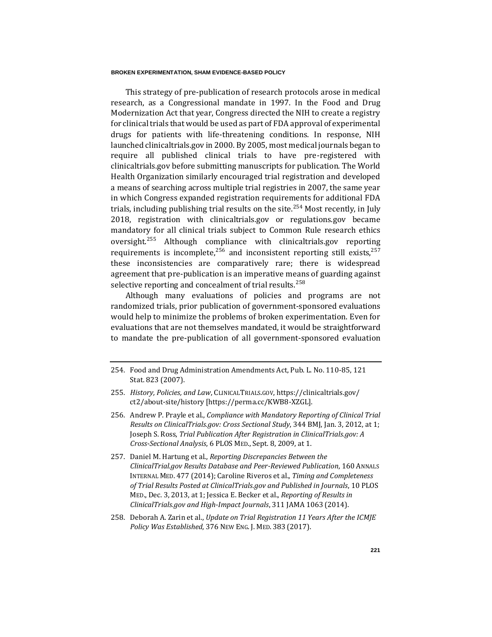This strategy of pre-publication of research protocols arose in medical research, as a Congressional mandate in 1997. In the Food and Drug Modernization Act that year, Congress directed the NIH to create a registry for clinical trials that would be used as part of FDA approval of experimental drugs for patients with life-threatening conditions. In response, NIH launched clinicaltrials.gov in 2000. By 2005, most medical journals began to require all published clinical trials to have pre-registered with clinicaltrials.gov before submitting manuscripts for publication. The World Health Organization similarly encouraged trial registration and developed a means of searching across multiple trial registries in 2007, the same year in which Congress expanded registration requirements for additional FDA trials, including publishing trial results on the site.<sup>254</sup> Most recently, in July 2018, registration with clinicaltrials.gov or regulations.gov became mandatory for all clinical trials subject to Common Rule research ethics oversight.<sup>255</sup> Although compliance with clinicaltrials.gov reporting requirements is incomplete,  $256$  and inconsistent reporting still exists,  $257$ these inconsistencies are comparatively rare; there is widespread agreement that pre-publication is an imperative means of guarding against selective reporting and concealment of trial results.<sup>258</sup>

Although many evaluations of policies and programs are not randomized trials, prior publication of government-sponsored evaluations would help to minimize the problems of broken experimentation. Even for evaluations that are not themselves mandated, it would be straightforward to mandate the pre-publication of all government-sponsored evaluation

<sup>254.</sup> Food and Drug Administration Amendments Act, Pub. L. No. 110-85, 121 Stat. 823 (2007).

<sup>255</sup>*. History, Policies, and Law*, CLINICALTRIALS.GOV, https://clinicaltrials.gov/ ct2/about-site/history [https://perma.cc/KWB8-XZGL].

<sup>256.</sup> Andrew P. Prayle et al., *Compliance with Mandatory Reporting of Clinical Trial Results on ClinicalTrials.gov: Cross Sectional Study*, 344 BMJ, Jan. 3, 2012, at 1; Joseph S. Ross, *Trial Publication After Registration in ClinicalTrials.gov: A Cross-Sectional Analysis*, 6 PLOS MED., Sept. 8, 2009, at 1.

<sup>257.</sup> Daniel M. Hartung et al., *[Reporting](http://annals.org/aim/article-abstract/1852869/reporting-discrepancies-between-clinicaltrials-gov-results-database-peer-reviewed-publications) Discrepancies Between the ClinicalTrial.gov Results Database and Peer-Reviewed Publication*, 160 ANNALS INTERNAL MED. 477 (2014); Caroline Riveros et al., *Timing and Completeness of Trial Results Posted at ClinicalTrials.gov and Published in Journals*, 10 PLOS MED., Dec. 3, 2013, at 1[; Jessica](https://jamanetwork.com/journals/jama/fullarticle/1840223) E. Becker et al., *Reporting of Results in ClinicalTrials.gov and High-Impact Journals*, 311 JAMA 1063 (2014).

<sup>258.</sup> Deborah A. Zarin et al., *Update on Trial Registration 11 Years After the ICMJE Policy Was Established*, 376 NEW ENG. J. MED. 383 (2017).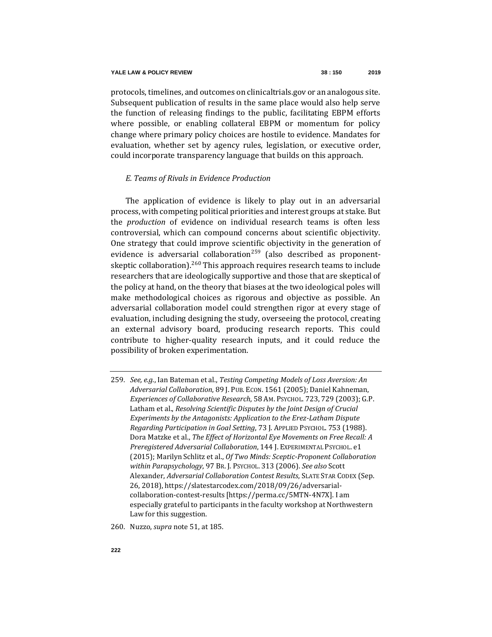protocols, timelines, and outcomes on clinicaltrials.gov or an analogous site. Subsequent publication of results in the same place would also help serve the function of releasing findings to the public, facilitating EBPM efforts where possible, or enabling collateral EBPM or momentum for policy change where primary policy choices are hostile to evidence. Mandates for evaluation, whether set by agency rules, legislation, or executive order, could incorporate transparency language that builds on this approach.

## *E. Teams of Rivals in Evidence Production*

The application of evidence is likely to play out in an adversarial process, with competing political priorities and interest groups at stake. But the *production* of evidence on individual research teams is often less controversial, which can compound concerns about scientific objectivity. One strategy that could improve scientific objectivity in the generation of evidence is adversarial collaboration<sup>259</sup> (also described as proponentskeptic collaboration).<sup>260</sup> This approach requires research teams to include researchers that are ideologically supportive and those that are skeptical of the policy at hand, on the theory that biases at the two ideological poles will make methodological choices as rigorous and objective as possible. An adversarial collaboration model could strengthen rigor at every stage of evaluation, including designing the study, overseeing the protocol, creating an external advisory board, producing research reports. This could contribute to higher-quality research inputs, and it could reduce the possibility of broken experimentation.

<sup>259</sup>*. See, e.g.*, Ian Bateman et al., *Testing Competing Models of Loss Aversion: An Adversarial Collaboration*, 89 J. PUB. ECON. 1561 (2005); Daniel Kahneman, *Experiences of Collaborative Research*, 58 AM. PSYCHOL. 723, 729 (2003); G.P. Latham et al., *Resolving Scientific Disputes by the Joint Design of Crucial Experiments by the Antagonists: Application to the Erez-Latham Dispute Regarding Participation in Goal Setting*, 73 J. APPLIED PSYCHOL. 753 (1988). Dora Matzke et al., *The Effect of Horizontal Eye Movements on Free Recall: A Preregistered Adversarial Collaboration*, 144 J. EXPERIMENTAL PSYCHOL. e1 (2015); Marilyn Schlitz et al., *Of Two Minds: Sceptic-Proponent Collaboration within Parapsychology*, 97 BR. J. PSYCHOL. 313 (2006). *See also* Scott Alexander, *Adversarial Collaboration Contest Results*, SLATE STAR CODEX (Sep. 26, 2018), https://slatestarcodex.com/2018/09/26/adversarialcollaboration-contest-results [https://perma.cc/5MTN-4N7X]. I am especially grateful to participants in the faculty workshop at Northwestern Law for this suggestion.

<sup>260.</sup> Nuzzo, *supra* not[e 51,](#page-16-0) at 185.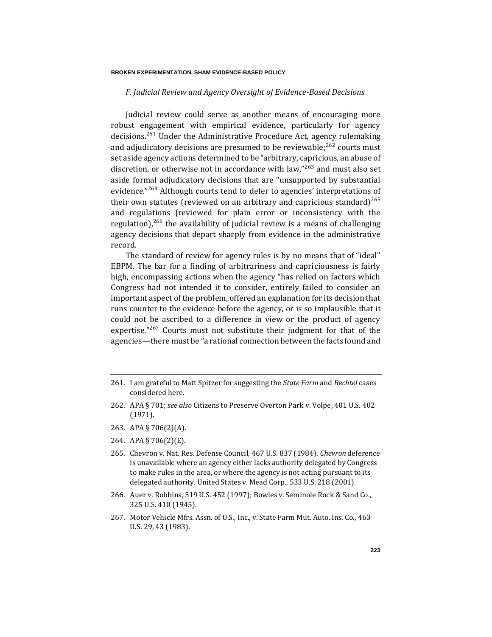#### **BROKEN EXPERIMENTATION, SHAM EVIDENCE-BASED POLICY**

# *F. Judicial Review and Agency Oversight of Evidence-Based Decisions*

Judicial review could serve as another means of encouraging more robust engagement with empirical evidence, particularly for agency decisions.<sup>261</sup> Under the Administrative Procedure Act, agency rulemaking and adjudicatory decisions are presumed to be reviewable;<sup>262</sup> courts must set aside agency actions determined to be "arbitrary, capricious, an abuse of discretion, or otherwise not in accordance with law,"<sup>263</sup> and must also set aside formal adjudicatory decisions that are "unsupported by substantial evidence."<sup>264</sup> Although courts tend to defer to agencies' interpretations of their own statutes (reviewed on an arbitrary and capricious standard)<sup>265</sup> and regulations (reviewed for plain error or inconsistency with the regulation),  $266$  the availability of judicial review is a means of challenging agency decisions that depart sharply from evidence in the administrative record.

The standard of review for agency rules is by no means that of "ideal" EBPM. The bar for a finding of arbitrariness and capriciousness is fairly high, encompassing actions when the agency "has relied on factors which Congress had not intended it to consider, entirely failed to consider an important aspect of the problem, offered an explanation for its decision that runs counter to the evidence before the agency, or is so implausible that it could not be ascribed to a difference in view or the product of agency expertise."<sup>267</sup> Courts must not substitute their judgment for that of the agencies—there must be "a rational connection between the facts found and

- 264. APA § 706(2)(E).
- 265. Chevron v. Nat. Res. Defense Council, 467 U.S. 837 (1984). *Chevron* deference is unavailable where an agency either lacks authority delegated by Congress to make rules in the area, or where the agency is not acting pursuant to its delegated authority. United States v. Mead Corp., 533 U.S. 218 (2001).
- 266. Auer v. Robbins, 519 U.S. 452 (1997); Bowles v. Seminole Rock & Sand Co., 325 U.S. 410 (1945).
- 267. Motor Vehicle Mfrs. Assn. of U.S., Inc., v. State Farm Mut. Auto. Ins. Co., 463 U.S. 29, 43 (1983).

<sup>261.</sup> I am grateful to Matt Spitzer for suggesting the *State Farm* and *Bechtel* cases considered here.

<sup>262.</sup> APA § 701; *see also* Citizens to Preserve Overton Park v. Volpe, 401 U.S. 402 (1971).

<sup>263.</sup> APA § 706(2)(A).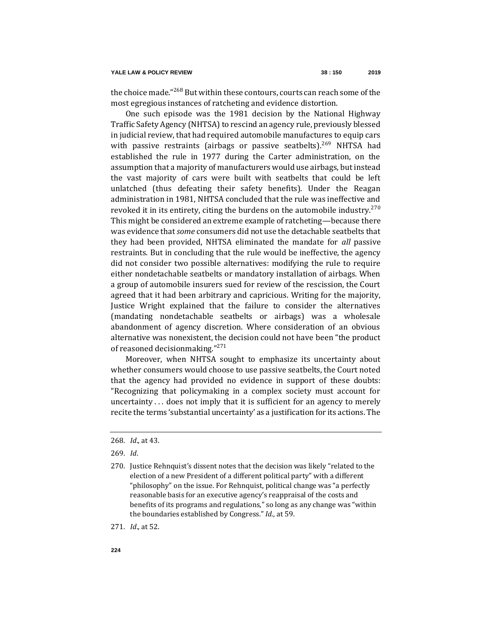the choice made."<sup>268</sup> But within these contours, courts can reach some of the most egregious instances of ratcheting and evidence distortion.

One such episode was the 1981 decision by the National Highway Traffic Safety Agency (NHTSA) to rescind an agency rule, previously blessed in judicial review, that had required automobile manufactures to equip cars with passive restraints (airbags or passive seatbelts).<sup>269</sup> NHTSA had established the rule in 1977 during the Carter administration, on the assumption that a majority of manufacturers would use airbags, but instead the vast majority of cars were built with seatbelts that could be left unlatched (thus defeating their safety benefits). Under the Reagan administration in 1981, NHTSA concluded that the rule was ineffective and revoked it in its entirety, citing the burdens on the automobile industry.<sup>270</sup> This might be considered an extreme example of ratcheting—because there was evidence that *some* consumers did not use the detachable seatbelts that they had been provided, NHTSA eliminated the mandate for *all* passive restraints. But in concluding that the rule would be ineffective, the agency did not consider two possible alternatives: modifying the rule to require either nondetachable seatbelts or mandatory installation of airbags. When a group of automobile insurers sued for review of the rescission, the Court agreed that it had been arbitrary and capricious. Writing for the majority, Justice Wright explained that the failure to consider the alternatives (mandating nondetachable seatbelts or airbags) was a wholesale abandonment of agency discretion. Where consideration of an obvious alternative was nonexistent, the decision could not have been "the product of reasoned decision making  $"^{271}$ 

Moreover, when NHTSA sought to emphasize its uncertainty about whether consumers would choose to use passive seatbelts, the Court noted that the agency had provided no evidence in support of these doubts: "Recognizing that policymaking in a complex society must account for uncertainty . . . does not imply that it is sufficient for an agency to merely recite the terms 'substantial uncertainty' as a justification for its actions. The

271*. Id*., at 52.

<sup>268</sup>*. Id*., at 43.

<sup>269</sup>*. Id*.

<sup>270.</sup> Justice Rehnquist's dissent notes that the decision was likely "related to the election of a new President of a different political party" with a different "philosophy" on the issue. For Rehnquist, political change was "a perfectly reasonable basis for an executive agency's reappraisal of the costs and benefits of its programs and regulations," so long as any change was "within the boundaries established by Congress." *Id*., at 59.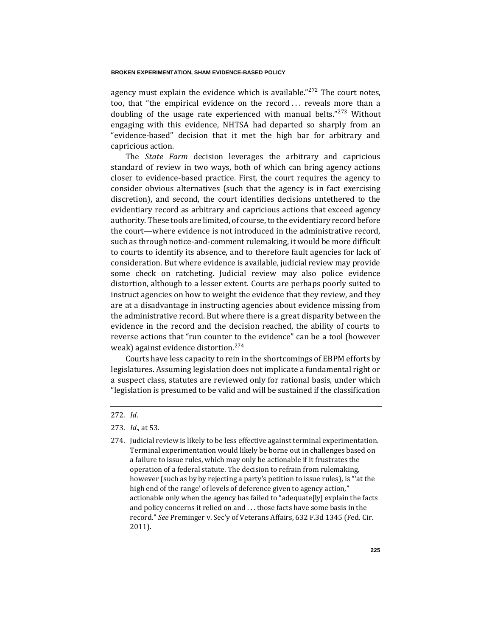#### **BROKEN EXPERIMENTATION, SHAM EVIDENCE-BASED POLICY**

agency must explain the evidence which is available." $272$  The court notes, too, that "the empirical evidence on the record . . . reveals more than a doubling of the usage rate experienced with manual belts."<sup>273</sup> Without engaging with this evidence, NHTSA had departed so sharply from an "evidence-based" decision that it met the high bar for arbitrary and capricious action.

The *State Farm* decision leverages the arbitrary and capricious standard of review in two ways, both of which can bring agency actions closer to evidence-based practice. First, the court requires the agency to consider obvious alternatives (such that the agency is in fact exercising discretion), and second, the court identifies decisions untethered to the evidentiary record as arbitrary and capricious actions that exceed agency authority. These tools are limited, of course, to the evidentiary record before the court—where evidence is not introduced in the administrative record, such as through notice-and-comment rulemaking, it would be more difficult to courts to identify its absence, and to therefore fault agencies for lack of consideration. But where evidence is available, judicial review may provide some check on ratcheting. Judicial review may also police evidence distortion, although to a lesser extent. Courts are perhaps poorly suited to instruct agencies on how to weight the evidence that they review, and they are at a disadvantage in instructing agencies about evidence missing from the administrative record. But where there is a great disparity between the evidence in the record and the decision reached, the ability of courts to reverse actions that "run counter to the evidence" can be a tool (however weak) against evidence distortion.<sup>274</sup>

Courts have less capacity to rein in the shortcomings of EBPM efforts by legislatures. Assuming legislation does not implicate a fundamental right or a suspect class, statutes are reviewed only for rational basis, under which "legislation is presumed to be valid and will be sustained if the classification

<sup>272</sup>*. Id*.

<sup>273</sup>*. Id*., at 53.

<sup>274.</sup> Judicial review is likely to be less effective against terminal experimentation. Terminal experimentation would likely be borne out in challenges based on a failure to issue rules, which may only be actionable if it frustrates the operation of a federal statute. The decision to refrain from rulemaking, however (such as by by rejecting a party's petition to issue rules), is "'at the high end of the range' of levels of deference given to agency action," actionable only when the agency has failed to "adequate[ly] explain the facts and policy concerns it relied on and . . . those facts have some basis in the record." *See* Preminger v. Sec'y of Veterans Affairs, 632 F.3d 1345 (Fed. Cir. 2011).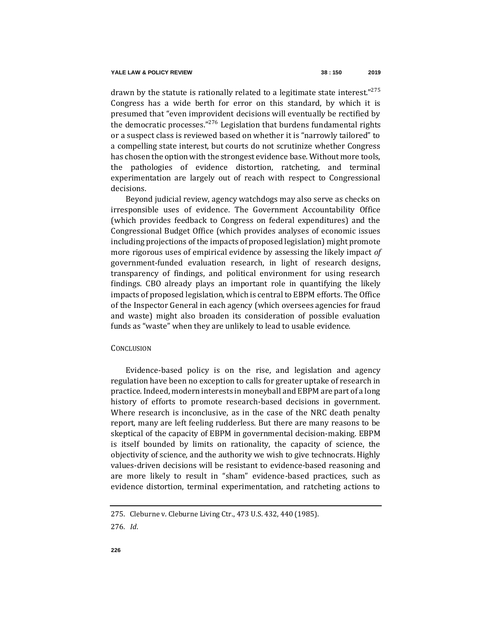drawn by the statute is rationally related to a legitimate state interest."<sup>275</sup> Congress has a wide berth for error on this standard, by which it is presumed that "even improvident decisions will eventually be rectified by the democratic processes."<sup>276</sup> Legislation that burdens fundamental rights or a suspect class is reviewed based on whether it is "narrowly tailored" to a compelling state interest, but courts do not scrutinize whether Congress has chosen the option with the strongest evidence base. Without more tools, the pathologies of evidence distortion, ratcheting, and terminal experimentation are largely out of reach with respect to Congressional decisions.

Beyond judicial review, agency watchdogs may also serve as checks on irresponsible uses of evidence. The Government Accountability Office (which provides feedback to Congress on federal expenditures) and the Congressional Budget Office (which provides analyses of economic issues including projections of the impacts of proposed legislation) might promote more rigorous uses of empirical evidence by assessing the likely impact *of*  government-funded evaluation research, in light of research designs, transparency of findings, and political environment for using research findings. CBO already plays an important role in quantifying the likely impacts of proposed legislation, which is central to EBPM efforts. The Office of the Inspector General in each agency (which oversees agencies for fraud and waste) might also broaden its consideration of possible evaluation funds as "waste" when they are unlikely to lead to usable evidence.

### **CONCLUSION**

Evidence-based policy is on the rise, and legislation and agency regulation have been no exception to calls for greater uptake of research in practice. Indeed, modern interests in moneyball and EBPM are part of a long history of efforts to promote research-based decisions in government. Where research is inconclusive, as in the case of the NRC death penalty report, many are left feeling rudderless. But there are many reasons to be skeptical of the capacity of EBPM in governmental decision-making. EBPM is itself bounded by limits on rationality, the capacity of science, the objectivity of science, and the authority we wish to give technocrats. Highly values-driven decisions will be resistant to evidence-based reasoning and are more likely to result in "sham" evidence-based practices, such as evidence distortion, terminal experimentation, and ratcheting actions to

<sup>275.</sup> Cleburne v. Cleburne Living Ctr., 473 U.S. 432, 440 (1985).

<sup>276</sup>*. Id*.